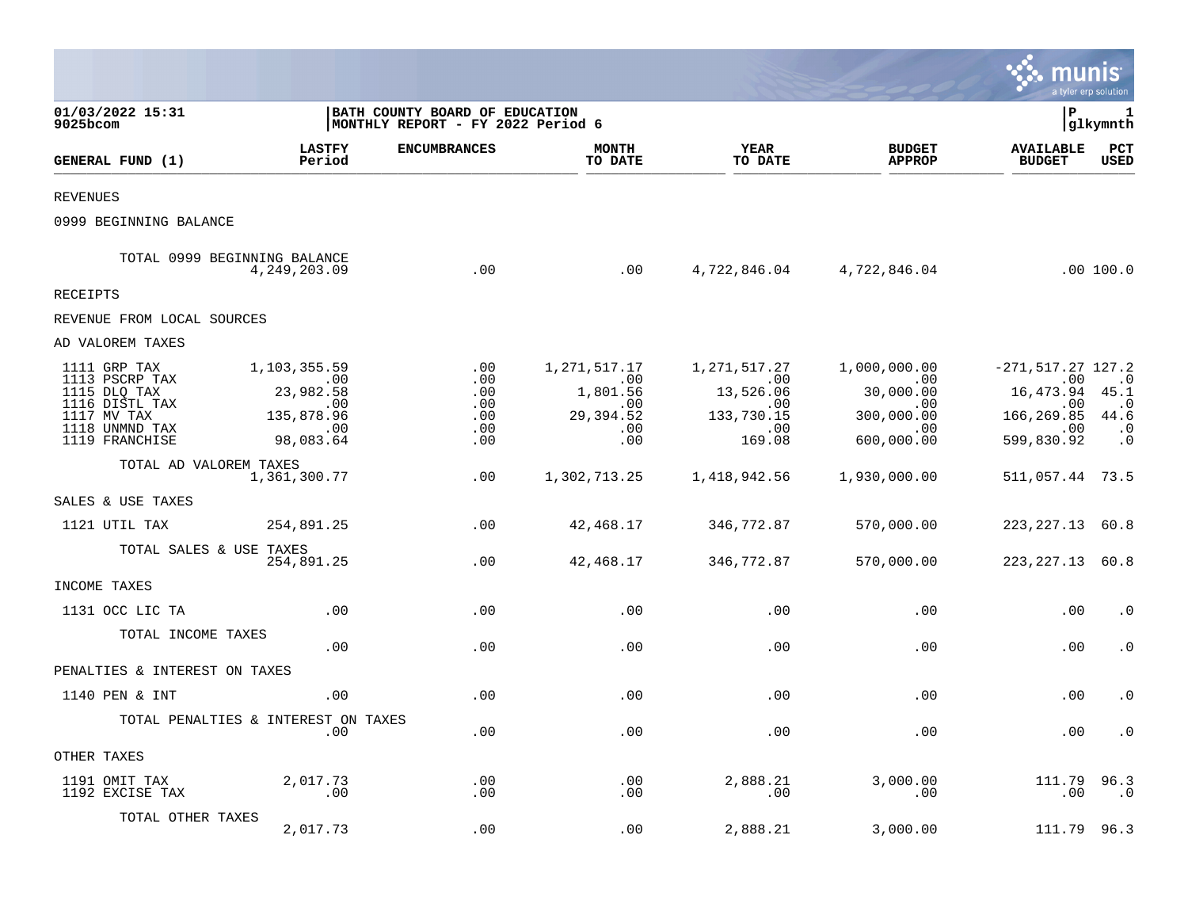|                                                                                                                     |                                                                                                   |                                                                      |                                                                   |                                                                                                      |                                                                                                     | munis                                                                                   | a tyler erp solution                                             |
|---------------------------------------------------------------------------------------------------------------------|---------------------------------------------------------------------------------------------------|----------------------------------------------------------------------|-------------------------------------------------------------------|------------------------------------------------------------------------------------------------------|-----------------------------------------------------------------------------------------------------|-----------------------------------------------------------------------------------------|------------------------------------------------------------------|
| 01/03/2022 15:31<br>9025bcom                                                                                        |                                                                                                   | BATH COUNTY BOARD OF EDUCATION<br> MONTHLY REPORT - FY 2022 Period 6 |                                                                   |                                                                                                      |                                                                                                     | l P                                                                                     | 1<br> glkymnth                                                   |
| GENERAL FUND (1)                                                                                                    | <b>LASTFY</b><br>Period                                                                           | <b>ENCUMBRANCES</b>                                                  | <b>MONTH</b><br>TO DATE                                           | <b>YEAR</b><br>TO DATE                                                                               | <b>BUDGET</b><br><b>APPROP</b>                                                                      | <b>AVAILABLE</b><br><b>BUDGET</b>                                                       | PCT<br><b>USED</b>                                               |
| <b>REVENUES</b>                                                                                                     |                                                                                                   |                                                                      |                                                                   |                                                                                                      |                                                                                                     |                                                                                         |                                                                  |
| 0999 BEGINNING BALANCE                                                                                              |                                                                                                   |                                                                      |                                                                   |                                                                                                      |                                                                                                     |                                                                                         |                                                                  |
|                                                                                                                     | TOTAL 0999 BEGINNING BALANCE<br>4, 249, 203.09                                                    | .00                                                                  | .00                                                               |                                                                                                      | 4,722,846.04 4,722,846.04                                                                           |                                                                                         | .00 100.0                                                        |
| RECEIPTS                                                                                                            |                                                                                                   |                                                                      |                                                                   |                                                                                                      |                                                                                                     |                                                                                         |                                                                  |
| REVENUE FROM LOCAL SOURCES                                                                                          |                                                                                                   |                                                                      |                                                                   |                                                                                                      |                                                                                                     |                                                                                         |                                                                  |
| AD VALOREM TAXES                                                                                                    |                                                                                                   |                                                                      |                                                                   |                                                                                                      |                                                                                                     |                                                                                         |                                                                  |
| 1111 GRP TAX<br>1113 PSCRP TAX<br>1115 DLQ TAX<br>1116 DISTL TAX<br>1117 MV TAX<br>1118 UNMND TAX<br>1119 FRANCHISE | 1,103,355.59<br>$\sim 00$<br>23,982.58<br>$\overline{00}$<br>135,878.96<br>$\sim 00$<br>98,083.64 | .00<br>.00<br>.00<br>.00<br>.00<br>.00<br>.00                        | 1,271,517.17<br>.00<br>1,801.56<br>.00<br>29,394.52<br>.00<br>.00 | 1,271,517.27<br>$\overline{\phantom{0}}$ .00<br>13,526.06<br>$.00 \,$<br>133,730.15<br>.00<br>169.08 | 1,000,000.00<br>$\overline{\phantom{0}}$ .00<br>30,000.00<br>.00<br>300,000.00<br>.00<br>600,000.00 | $-271, 517.27 127.2$<br>.00<br>16,473.94<br>$.00 \,$<br>166,269.85<br>.00<br>599,830.92 | $\cdot$ 0<br>45.1<br>$\cdot$ 0<br>44.6<br>$\cdot$ 0<br>$\cdot$ 0 |
| TOTAL AD VALOREM TAXES                                                                                              | 1,361,300.77                                                                                      | .00                                                                  | 1,302,713.25                                                      | 1,418,942.56                                                                                         | 1,930,000.00                                                                                        | 511,057.44 73.5                                                                         |                                                                  |
| SALES & USE TAXES                                                                                                   |                                                                                                   |                                                                      |                                                                   |                                                                                                      |                                                                                                     |                                                                                         |                                                                  |
| 1121 UTIL TAX                                                                                                       | 254,891.25                                                                                        | .00                                                                  | 42,468.17                                                         | 346,772.87                                                                                           | 570,000.00                                                                                          | 223, 227. 13 60. 8                                                                      |                                                                  |
| TOTAL SALES & USE TAXES                                                                                             | 254,891.25                                                                                        | .00                                                                  | 42,468.17                                                         | 346,772.87                                                                                           | 570,000.00                                                                                          | 223, 227. 13 60. 8                                                                      |                                                                  |
| INCOME TAXES                                                                                                        |                                                                                                   |                                                                      |                                                                   |                                                                                                      |                                                                                                     |                                                                                         |                                                                  |
| 1131 OCC LIC TA                                                                                                     | .00                                                                                               | .00                                                                  | .00                                                               | .00                                                                                                  | .00                                                                                                 | .00                                                                                     | $\cdot$ 0                                                        |
| TOTAL INCOME TAXES                                                                                                  | .00                                                                                               | .00                                                                  | .00                                                               | .00                                                                                                  | .00                                                                                                 | .00                                                                                     | $\cdot$ 0                                                        |
| PENALTIES & INTEREST ON TAXES                                                                                       |                                                                                                   |                                                                      |                                                                   |                                                                                                      |                                                                                                     |                                                                                         |                                                                  |
| 1140 PEN & INT                                                                                                      | .00                                                                                               | .00                                                                  | .00                                                               | .00                                                                                                  | .00                                                                                                 | .00                                                                                     | $\cdot$ 0                                                        |
|                                                                                                                     | TOTAL PENALTIES & INTEREST ON TAXES<br>.00                                                        | .00                                                                  | .00                                                               | .00                                                                                                  | .00                                                                                                 | .00                                                                                     | $\cdot$ 0                                                        |
| OTHER TAXES                                                                                                         |                                                                                                   |                                                                      |                                                                   |                                                                                                      |                                                                                                     |                                                                                         |                                                                  |
| 1191 OMIT TAX<br>1192 EXCISE TAX                                                                                    | 2,017.73<br>$\ldots$                                                                              | .00<br>.00                                                           | .00<br>.00                                                        | 2,888.21<br>.00                                                                                      | 3,000.00<br>.00                                                                                     | 111.79<br>.00                                                                           | 96.3<br>$\cdot$ 0                                                |
| TOTAL OTHER TAXES                                                                                                   | 2,017.73                                                                                          | .00                                                                  | .00                                                               | 2,888.21                                                                                             | 3,000.00                                                                                            | 111.79                                                                                  | 96.3                                                             |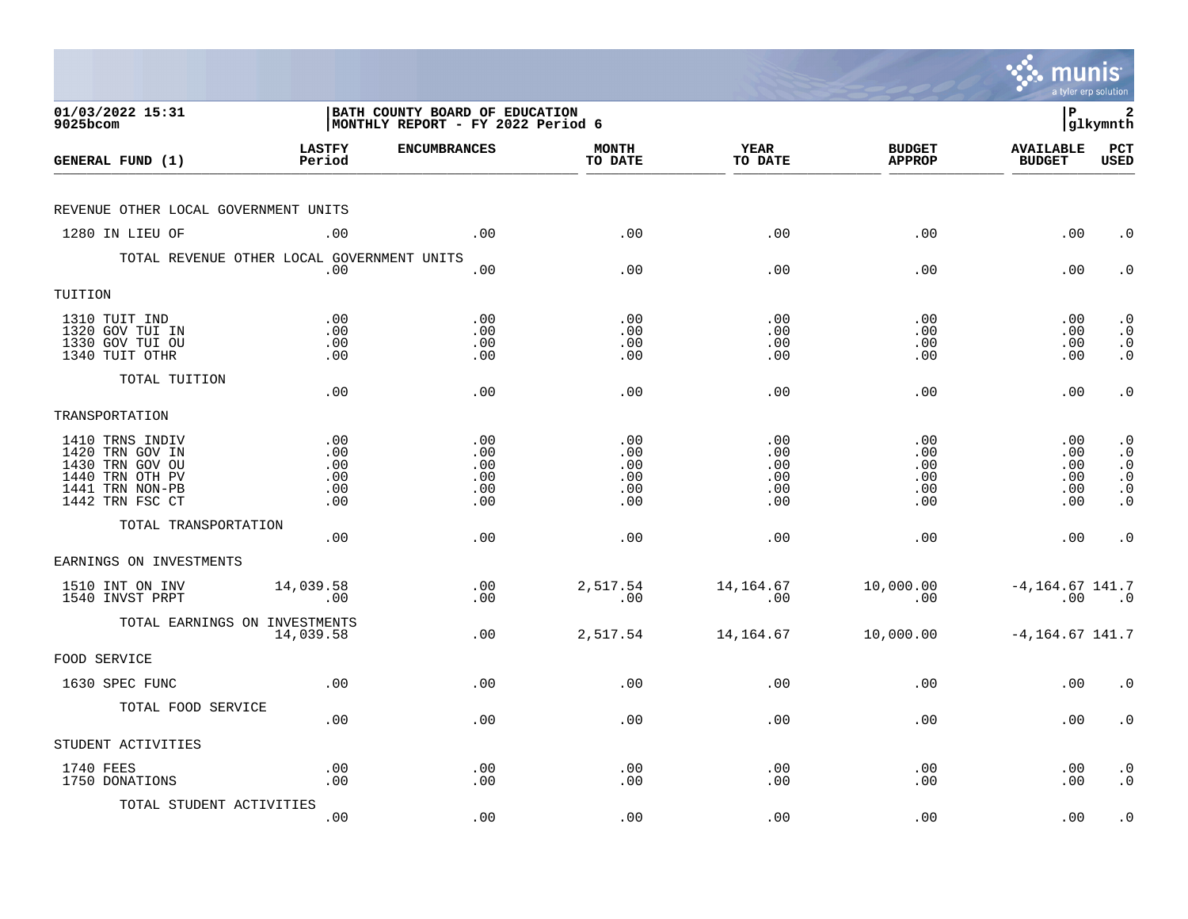|                                                                                                                |                                        |                                                                             |                                        |                                        |                                        | munis                                   | a tyler erp solution                                                                    |
|----------------------------------------------------------------------------------------------------------------|----------------------------------------|-----------------------------------------------------------------------------|----------------------------------------|----------------------------------------|----------------------------------------|-----------------------------------------|-----------------------------------------------------------------------------------------|
| 01/03/2022 15:31<br>9025bcom                                                                                   |                                        | <b>BATH COUNTY BOARD OF EDUCATION</b><br> MONTHLY REPORT - FY 2022 Period 6 |                                        |                                        |                                        | l P                                     | 2<br> glkymnth                                                                          |
| GENERAL FUND (1)                                                                                               | <b>LASTFY</b><br>Period                | <b>ENCUMBRANCES</b>                                                         | <b>MONTH</b><br>TO DATE                | <b>YEAR</b><br>TO DATE                 | <b>BUDGET</b><br><b>APPROP</b>         | <b>AVAILABLE</b><br><b>BUDGET</b>       | PCT<br><b>USED</b>                                                                      |
| REVENUE OTHER LOCAL GOVERNMENT UNITS                                                                           |                                        |                                                                             |                                        |                                        |                                        |                                         |                                                                                         |
| 1280 IN LIEU OF                                                                                                | .00                                    | .00                                                                         | .00                                    | .00                                    | .00                                    | .00                                     | $\cdot$ 0                                                                               |
| TOTAL REVENUE OTHER LOCAL GOVERNMENT UNITS                                                                     | .00                                    | .00                                                                         | .00                                    | .00                                    | .00                                    | .00                                     | $\cdot$ 0                                                                               |
| TUITION                                                                                                        |                                        |                                                                             |                                        |                                        |                                        |                                         |                                                                                         |
| 1310 TUIT IND<br>1320 GOV TUI IN<br>1330 GOV TUI OU<br>1340 TUIT OTHR                                          | .00<br>.00<br>.00<br>.00               | .00<br>.00<br>.00<br>.00                                                    | .00<br>.00<br>.00<br>.00               | .00<br>.00<br>.00<br>.00               | .00<br>.00<br>.00<br>.00               | $.00 \,$<br>$.00 \,$<br>.00<br>$.00 \,$ | $\cdot$ 0<br>$\cdot$ 0<br>$\begin{smallmatrix} 0 \\ 0 \\ 0 \end{smallmatrix}$           |
| TOTAL TUITION                                                                                                  | .00                                    | .00                                                                         | .00                                    | .00                                    | .00                                    | .00                                     | $\cdot$ 0                                                                               |
| TRANSPORTATION                                                                                                 |                                        |                                                                             |                                        |                                        |                                        |                                         |                                                                                         |
| 1410 TRNS INDIV<br>1420 TRN GOV IN<br>1430 TRN GOV OU<br>1440 TRN OTH PV<br>1441 TRN NON-PB<br>1442 TRN FSC CT | .00<br>.00<br>.00<br>.00<br>.00<br>.00 | .00<br>.00<br>.00<br>.00<br>.00<br>.00                                      | .00<br>.00<br>.00<br>.00<br>.00<br>.00 | .00<br>.00<br>.00<br>.00<br>.00<br>.00 | .00<br>.00<br>.00<br>.00<br>.00<br>.00 | .00<br>.00<br>.00<br>.00<br>.00<br>.00  | $\cdot$ 0<br>$\cdot$ 0<br>$\cdot$ 0<br>$\boldsymbol{\cdot}$ 0<br>$\cdot$ 0<br>$\cdot$ 0 |
| TOTAL TRANSPORTATION                                                                                           | .00                                    | .00                                                                         | .00                                    | .00                                    | .00                                    | .00                                     | $\cdot$ 0                                                                               |
| EARNINGS ON INVESTMENTS                                                                                        |                                        |                                                                             |                                        |                                        |                                        |                                         |                                                                                         |
| 1510 INT ON INV<br>1540 INVST PRPT                                                                             | 14,039.58<br>.00                       | .00<br>.00                                                                  | 2,517.54<br>.00                        | 14,164.67<br>.00                       | 10,000.00<br>.00                       | $-4, 164.67$ 141.7<br>.00               | $\overline{\phantom{0}}$ .0                                                             |
| TOTAL EARNINGS ON INVESTMENTS                                                                                  | 14,039.58                              | .00                                                                         | 2,517.54                               | 14,164.67                              | 10,000.00                              | $-4, 164.67$ 141.7                      |                                                                                         |
| FOOD SERVICE                                                                                                   |                                        |                                                                             |                                        |                                        |                                        |                                         |                                                                                         |
| 1630 SPEC FUNC                                                                                                 | .00                                    | .00                                                                         | .00                                    | .00                                    | .00                                    | .00                                     | $\cdot$ 0                                                                               |
| TOTAL FOOD SERVICE                                                                                             | .00                                    | .00                                                                         | .00                                    | .00                                    | .00                                    | $.00 \,$                                | $\cdot$ 0                                                                               |
| STUDENT ACTIVITIES                                                                                             |                                        |                                                                             |                                        |                                        |                                        |                                         |                                                                                         |
| 1740 FEES<br>1750 DONATIONS                                                                                    | .00<br>.00                             | .00<br>.00                                                                  | .00<br>.00                             | .00<br>.00                             | .00<br>.00                             | $.00 \,$<br>.00                         | $\cdot$ 0<br>$\cdot$ 0                                                                  |
| TOTAL STUDENT ACTIVITIES                                                                                       | .00                                    | .00                                                                         | .00                                    | .00                                    | .00                                    | .00                                     | $\cdot$ 0                                                                               |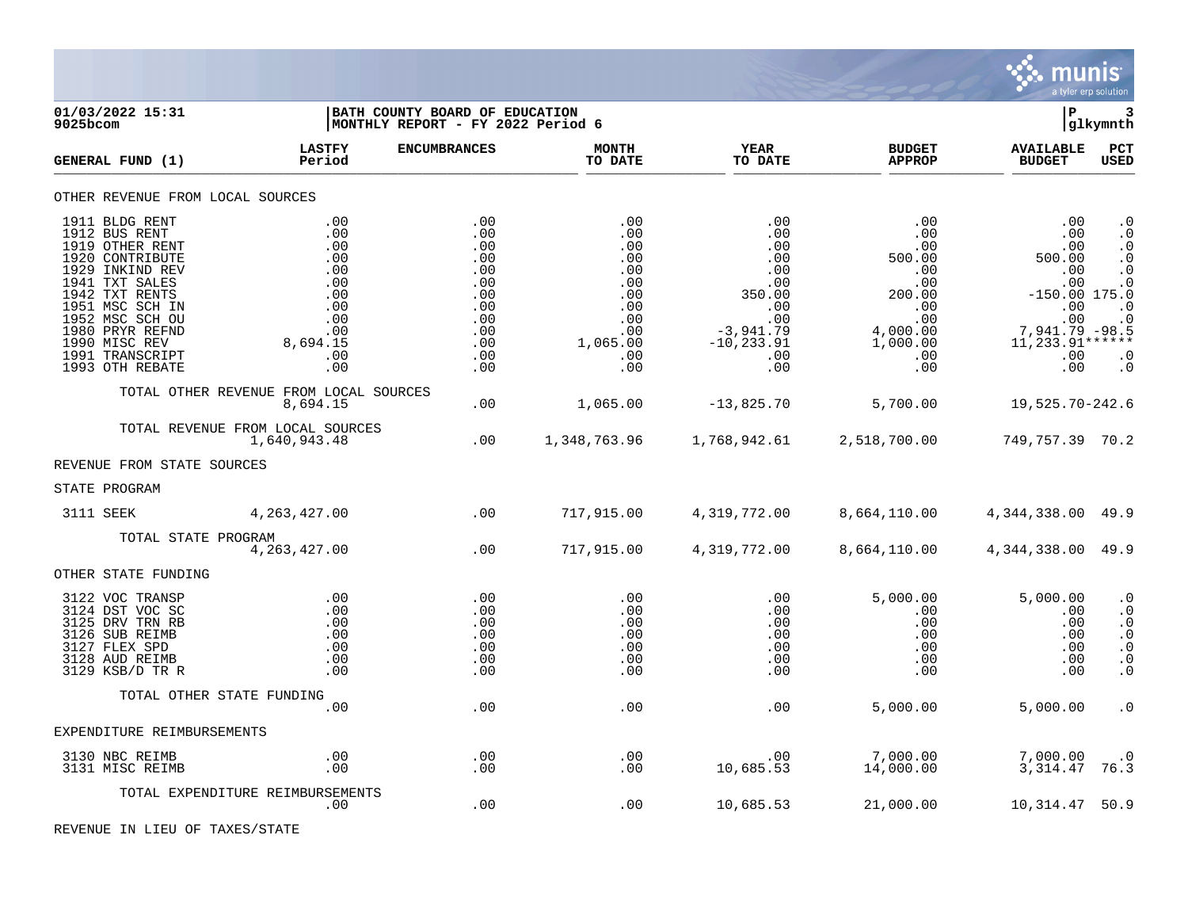

| 01/03/2022 15:31<br>$9025$ bcom                                                                                                                                                                                                              |                                                                                              | BATH COUNTY BOARD OF EDUCATION<br>MONTHLY REPORT - FY 2022 Period 6                     |                                                                                              |                                                                                                                     |                                                                                                                        | lР                                                                                                                              | 3<br> glkymnth                                                                                                                              |
|----------------------------------------------------------------------------------------------------------------------------------------------------------------------------------------------------------------------------------------------|----------------------------------------------------------------------------------------------|-----------------------------------------------------------------------------------------|----------------------------------------------------------------------------------------------|---------------------------------------------------------------------------------------------------------------------|------------------------------------------------------------------------------------------------------------------------|---------------------------------------------------------------------------------------------------------------------------------|---------------------------------------------------------------------------------------------------------------------------------------------|
| GENERAL FUND (1)                                                                                                                                                                                                                             | <b>LASTFY</b><br>Period                                                                      | <b>ENCUMBRANCES</b>                                                                     | <b>MONTH</b><br>TO DATE                                                                      | <b>YEAR</b><br>TO DATE                                                                                              | <b>BUDGET</b><br><b>APPROP</b>                                                                                         | <b>AVAILABLE</b><br><b>BUDGET</b>                                                                                               | PCT<br><b>USED</b>                                                                                                                          |
| OTHER REVENUE FROM LOCAL SOURCES                                                                                                                                                                                                             |                                                                                              |                                                                                         |                                                                                              |                                                                                                                     |                                                                                                                        |                                                                                                                                 |                                                                                                                                             |
| 1911 BLDG RENT<br>1912 BUS RENT<br>1919 OTHER RENT<br>1920 CONTRIBUTE<br>1929 INKIND REV<br>1941 TXT SALES<br>1942 TXT RENTS<br>1951 MSC SCH IN<br>1952 MSC SCH OU<br>1980 PRYR REFND<br>1990 MISC REV<br>1991 TRANSCRIPT<br>1993 OTH REBATE | .00<br>.00<br>.00<br>.00<br>.00<br>.00<br>.00<br>.00<br>.00<br>.00<br>8,694.15<br>.00<br>.00 | .00<br>.00<br>.00<br>.00<br>.00<br>.00<br>.00<br>.00<br>.00<br>.00<br>.00<br>.00<br>.00 | .00<br>.00<br>.00<br>.00<br>.00<br>.00<br>.00<br>.00<br>.00<br>.00<br>1,065.00<br>.00<br>.00 | .00<br>.00<br>.00<br>.00<br>.00<br>.00<br>350.00<br>$.00 \ \,$<br>.00<br>$-3,941.79$<br>$-10, 233.91$<br>.00<br>.00 | .00<br>$.00 \,$<br>.00<br>500.00<br>.00<br>.00<br>200.00<br>$.00 \,$<br>.00<br>4,000.00<br>1,000.00<br>$.00 \,$<br>.00 | .00<br>.00<br>.00<br>500.00<br>.00<br>.00<br>$-150.00$ 175.0<br>.00<br>$000$<br>7,941.79 -98.5<br>$11, 233.91***$<br>.00<br>.00 | $\cdot$ 0<br>$\boldsymbol{\cdot}$ 0<br>$\cdot$ 0<br>$\cdot$ 0<br>$\cdot$ 0<br>$\cdot$ 0<br>$\cdot$ 0<br>$\cdot$ 0<br>$\cdot$ 0<br>$\cdot$ 0 |
|                                                                                                                                                                                                                                              | TOTAL OTHER REVENUE FROM LOCAL SOURCES<br>8,694.15                                           | .00                                                                                     | 1,065.00                                                                                     | $-13,825.70$                                                                                                        | 5,700.00                                                                                                               | 19,525.70-242.6                                                                                                                 |                                                                                                                                             |
|                                                                                                                                                                                                                                              | TOTAL REVENUE FROM LOCAL SOURCES<br>1,640,943.48                                             | .00                                                                                     | 1,348,763.96                                                                                 | 1,768,942.61                                                                                                        | 2,518,700.00                                                                                                           | 749, 757.39 70.2                                                                                                                |                                                                                                                                             |
| REVENUE FROM STATE SOURCES                                                                                                                                                                                                                   |                                                                                              |                                                                                         |                                                                                              |                                                                                                                     |                                                                                                                        |                                                                                                                                 |                                                                                                                                             |
| STATE PROGRAM                                                                                                                                                                                                                                |                                                                                              |                                                                                         |                                                                                              |                                                                                                                     |                                                                                                                        |                                                                                                                                 |                                                                                                                                             |
| 3111 SEEK                                                                                                                                                                                                                                    | 4, 263, 427.00                                                                               | $\sim$ 00                                                                               | 717,915.00                                                                                   | 4,319,772.00                                                                                                        | 8,664,110.00                                                                                                           | 4,344,338.00 49.9                                                                                                               |                                                                                                                                             |
| TOTAL STATE PROGRAM                                                                                                                                                                                                                          | 4, 263, 427.00                                                                               | .00                                                                                     | 717,915.00                                                                                   | 4,319,772.00                                                                                                        | 8,664,110.00                                                                                                           | 4, 344, 338.00 49.9                                                                                                             |                                                                                                                                             |
| OTHER STATE FUNDING                                                                                                                                                                                                                          |                                                                                              |                                                                                         |                                                                                              |                                                                                                                     |                                                                                                                        |                                                                                                                                 |                                                                                                                                             |
| 3122 VOC TRANSP<br>3124 DST VOC SC<br>3125 DRV TRN RB<br>3126 SUB REIMB<br>3127 FLEX SPD<br>3128 AUD REIMB<br>3129 KSB/D TR R                                                                                                                | .00<br>.00<br>.00<br>.00<br>.00<br>.00<br>.00                                                | .00<br>.00<br>.00<br>.00<br>.00<br>.00<br>.00                                           | .00<br>.00<br>.00<br>.00<br>.00<br>.00<br>.00                                                | .00<br>.00<br>.00<br>.00<br>.00<br>.00<br>.00                                                                       | 5,000.00<br>.00<br>.00<br>$.00 \ \rm$<br>.00<br>$.00 \ \rm$<br>.00                                                     | 5,000.00<br>.00<br>.00<br>.00<br>.00<br>.00<br>.00                                                                              | $\cdot$ 0<br>$\cdot$ 0<br>$\cdot$ 0<br>$\cdot$ 0<br>$\cdot$ 0<br>. $\boldsymbol{0}$<br>$\cdot$ 0                                            |
|                                                                                                                                                                                                                                              | TOTAL OTHER STATE FUNDING<br>.00                                                             | .00                                                                                     |                                                                                              |                                                                                                                     |                                                                                                                        |                                                                                                                                 |                                                                                                                                             |
| EXPENDITURE REIMBURSEMENTS                                                                                                                                                                                                                   |                                                                                              |                                                                                         | .00                                                                                          | .00                                                                                                                 | 5,000.00                                                                                                               | 5,000.00                                                                                                                        | $\cdot$ 0                                                                                                                                   |
| 3130 NBC REIMB                                                                                                                                                                                                                               | .00                                                                                          | .00                                                                                     | .00                                                                                          | .00                                                                                                                 | 7,000.00                                                                                                               | 7,000.00                                                                                                                        | $\cdot$ 0                                                                                                                                   |
| 3131 MISC REIMB                                                                                                                                                                                                                              | .00                                                                                          | .00                                                                                     | .00                                                                                          | 10,685.53                                                                                                           | 14,000.00                                                                                                              | 3,314.47                                                                                                                        | 76.3                                                                                                                                        |
|                                                                                                                                                                                                                                              | TOTAL EXPENDITURE REIMBURSEMENTS<br>$.00 \,$                                                 | .00                                                                                     | .00                                                                                          | 10,685.53                                                                                                           | 21,000.00                                                                                                              | 10,314.47                                                                                                                       | 50.9                                                                                                                                        |

REVENUE IN LIEU OF TAXES/STATE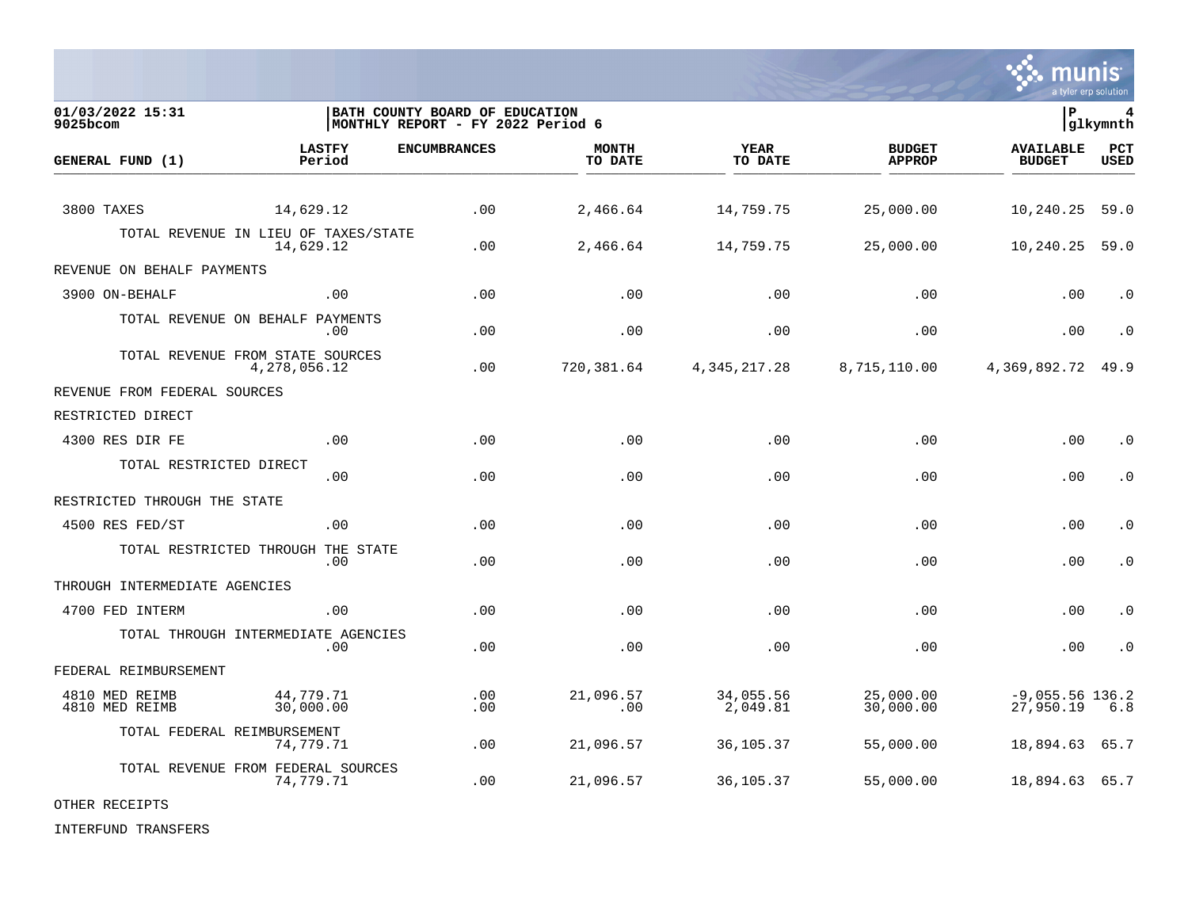

01/03/2022 15:31 **| BATH COUNTY BOARD OF EDUCATION**<br>9025bcom **| BATH COUNTY BOARD OF EDUCATION 6**<br>9025bcom | MONTHLY REPORT - FY 2022 Period 6 MONTHLY REPORT - FY 2022 Period 6 **LASTFY ENCUMBRANCES MONTH YEAR BUDGET AVAILABLE PCT GENERAL FUND (1)** TO DATE THE RELIGION CONDUCT TO DATE THE RELIGION CONDUCT TO DATE THE RELIGION OF THE RELIGION OF THE RELIGION OF THE RELIGION OF THE RELIGION OF THE RELIGION OF THE RELIGION OF THE RELIGION OF THE RELIGION OF THE RELIGION 3800 TAXES 14,629.12 .00 2,466.64 14,759.75 25,000.00 10,240.25 59.0 TOTAL REVENUE IN LIEU OF TAXES/STATE<br>14.629.12 14,629.12 .00 2,466.64 14,759.75 25,000.00 10,240.25 59.0 REVENUE ON BEHALF PAYMENTS 3900 ON-BEHALF .00 .00 .00 .00 .00 .00 .0 TOTAL REVENUE ON BEHALF PAYMENTS .00 .00 .00 .00 .00 .00 .0 TOTAL REVENUE FROM STATE SOURCES 4,278,056.12 .00 720,381.64 4,345,217.28 8,715,110.00 4,369,892.72 49.9 REVENUE FROM FEDERAL SOURCES RESTRICTED DIRECT 4300 RES DIR FE .00 .00 .00 .00 .00 .00 .0 TOTAL RESTRICTED DIRECT .00 .00 .00 .00 .00 .00 .0 RESTRICTED THROUGH THE STATE 4500 RES FED/ST .00 .00 .00 .00 .00 .00 .0 TOTAL RESTRICTED THROUGH THE STATE .00 .00 .00 .00 .00 .00 .0 THROUGH INTERMEDIATE AGENCIES 4700 FED INTERM .00 .00 .00 .00 .00 .00 .0 TOTAL THROUGH INTERMEDIATE AGENCIES .00 .00 .00 .00 .00 .00 .0 FEDERAL REIMBURSEMENT 4810 MED REIMB 44,779.71 .00 21,096.57 34,055.56 25,000.00 -9,055.56 136.2 4810 MED REIMB 30,000.00 .00 .00 2,049.81 30,000.00 27,950.19 6.8 TOTAL FEDERAL REIMBURSEMENT 74,779.71 .00 21,096.57 36,105.37 55,000.00 18,894.63 65.7 TOTAL REVENUE FROM FEDERAL SOURCES 74,779.71 .00 21,096.57 36,105.37 55,000.00 18,894.63 65.7

OTHER RECEIPTS

INTERFUND TRANSFERS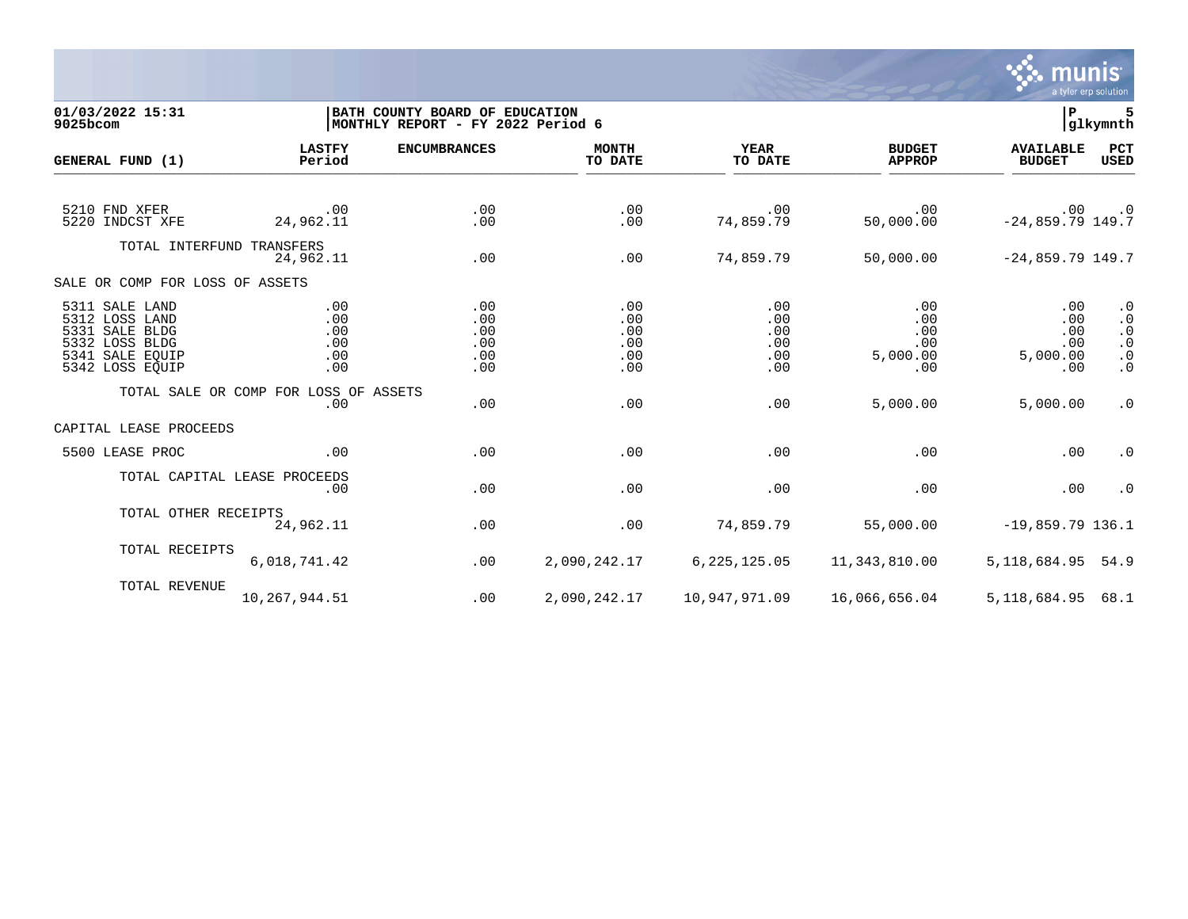

## **01/03/2022 15:31 |BATH COUNTY BOARD OF EDUCATION |P 5 9025bcom |MONTHLY REPORT - FY 2022 Period 6 |glkymnth**

| GENERAL FUND (1)                                                                                           | <b>LASTFY</b><br>Period                      | <b>ENCUMBRANCES</b>                    | <b>MONTH</b><br>TO DATE                | <b>YEAR</b><br>TO DATE                 | <b>BUDGET</b><br><b>APPROP</b>              | <b>AVAILABLE</b><br><b>BUDGET</b>           | PCT<br><b>USED</b>                                                         |
|------------------------------------------------------------------------------------------------------------|----------------------------------------------|----------------------------------------|----------------------------------------|----------------------------------------|---------------------------------------------|---------------------------------------------|----------------------------------------------------------------------------|
| 5210 FND XFER<br>5220 INDCST XFE                                                                           | .00<br>24,962.11                             | .00<br>.00                             | .00<br>.00                             | .00<br>74,859.79                       | .00<br>50,000.00                            | .00<br>$-24,859.79$ 149.7                   | $\cdot$ 0                                                                  |
| TOTAL INTERFUND TRANSFERS                                                                                  | 24,962.11                                    | .00                                    | .00                                    | 74,859.79                              | 50,000.00                                   | $-24,859.79$ 149.7                          |                                                                            |
| SALE OR COMP FOR LOSS OF ASSETS                                                                            |                                              |                                        |                                        |                                        |                                             |                                             |                                                                            |
| 5311 SALE LAND<br>5312 LOSS LAND<br>5331 SALE BLDG<br>5332 LOSS BLDG<br>5341 SALE EQUIP<br>5342 LOSS EQUIP | .00<br>.00<br>.00<br>.00<br>.00<br>.00       | .00<br>.00<br>.00<br>.00<br>.00<br>.00 | .00<br>.00<br>.00<br>.00<br>.00<br>.00 | .00<br>.00<br>.00<br>.00<br>.00<br>.00 | .00<br>.00<br>.00<br>.00<br>5,000.00<br>.00 | .00<br>.00<br>.00<br>.00<br>5,000.00<br>.00 | $\cdot$ 0<br>$\cdot$ 0<br>$\cdot$ 0<br>$\cdot$ 0<br>$\cdot$ 0<br>$\cdot$ 0 |
|                                                                                                            | TOTAL SALE OR COMP FOR LOSS OF ASSETS<br>.00 | .00                                    | .00                                    | .00                                    | 5,000.00                                    | 5,000.00                                    | $\cdot$ 0                                                                  |
| CAPITAL LEASE PROCEEDS                                                                                     |                                              |                                        |                                        |                                        |                                             |                                             |                                                                            |
| 5500 LEASE PROC                                                                                            | .00                                          | .00                                    | .00                                    | .00                                    | .00                                         | .00                                         | $\cdot$ 0                                                                  |
|                                                                                                            | TOTAL CAPITAL LEASE PROCEEDS<br>.00          | .00                                    | .00                                    | .00                                    | .00                                         | .00                                         | $\cdot$ 0                                                                  |
| TOTAL OTHER RECEIPTS                                                                                       | 24,962.11                                    | .00                                    | .00                                    | 74,859.79                              | 55,000.00                                   | $-19,859.79$ 136.1                          |                                                                            |
| TOTAL RECEIPTS                                                                                             | 6,018,741.42                                 | .00                                    | 2,090,242.17                           | 6, 225, 125.05                         | 11,343,810.00                               | 5, 118, 684. 95 54. 9                       |                                                                            |
| TOTAL REVENUE                                                                                              | 10,267,944.51                                | .00                                    | 2,090,242.17                           | 10,947,971.09                          | 16,066,656.04                               | 5,118,684.95                                | 68.1                                                                       |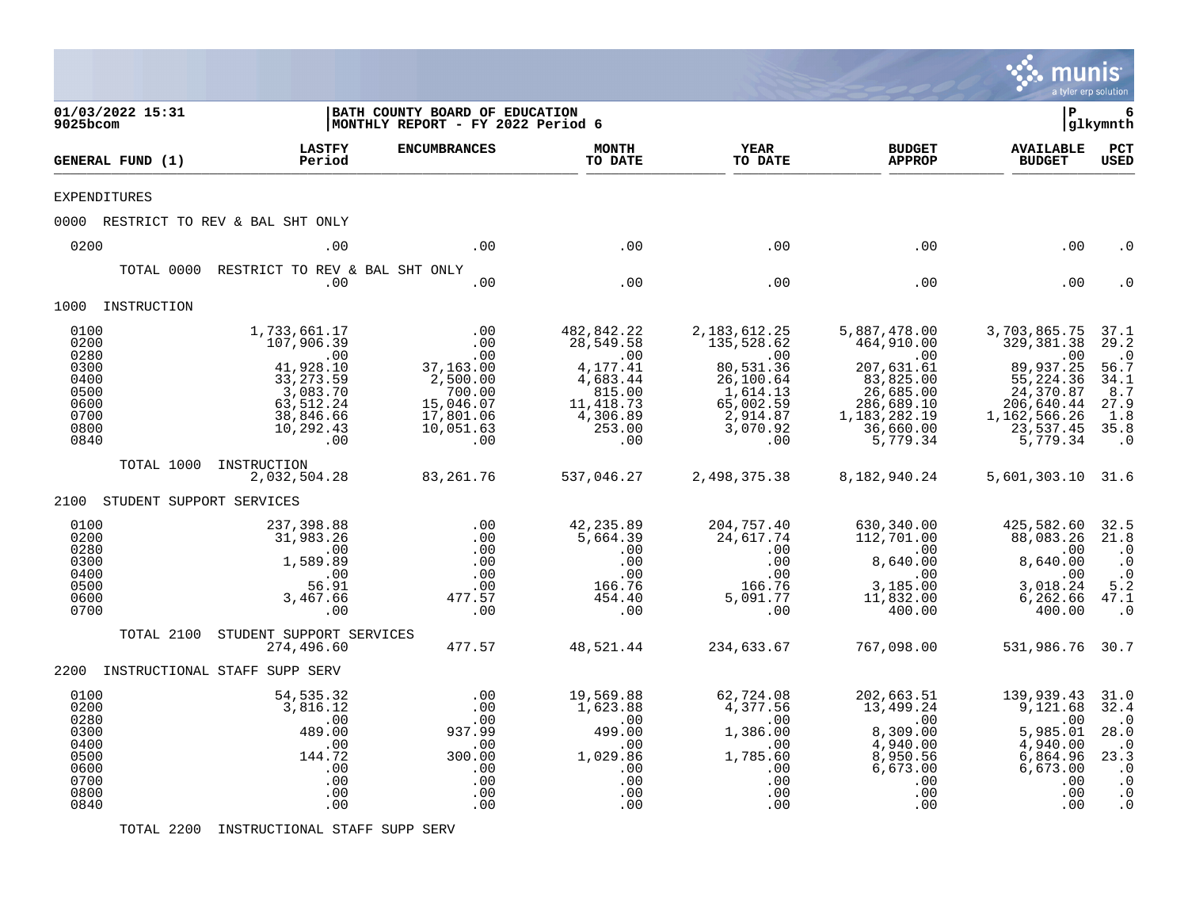|                                                                              |                               |                                                                                                                           |                                                                                                    |                                                                                                                   |                                                                                                                               |                                                                                                                                                  | munis<br>a tyler erp solution                                                                                                              |                                                                                                                         |
|------------------------------------------------------------------------------|-------------------------------|---------------------------------------------------------------------------------------------------------------------------|----------------------------------------------------------------------------------------------------|-------------------------------------------------------------------------------------------------------------------|-------------------------------------------------------------------------------------------------------------------------------|--------------------------------------------------------------------------------------------------------------------------------------------------|--------------------------------------------------------------------------------------------------------------------------------------------|-------------------------------------------------------------------------------------------------------------------------|
| 9025bcom                                                                     | 01/03/2022 15:31              |                                                                                                                           | BATH COUNTY BOARD OF EDUCATION<br>MONTHLY REPORT - FY 2022 Period 6                                |                                                                                                                   |                                                                                                                               |                                                                                                                                                  | l P                                                                                                                                        | 6<br> glkymnth                                                                                                          |
|                                                                              | GENERAL FUND (1)              | <b>LASTFY</b><br>Period                                                                                                   | <b>ENCUMBRANCES</b>                                                                                | <b>MONTH</b><br>TO DATE                                                                                           | <b>YEAR</b><br>TO DATE                                                                                                        | <b>BUDGET</b><br><b>APPROP</b>                                                                                                                   | <b>AVAILABLE</b><br><b>BUDGET</b>                                                                                                          | $_{\rm PCT}$<br><b>USED</b>                                                                                             |
|                                                                              | <b>EXPENDITURES</b>           |                                                                                                                           |                                                                                                    |                                                                                                                   |                                                                                                                               |                                                                                                                                                  |                                                                                                                                            |                                                                                                                         |
|                                                                              |                               | 0000 RESTRICT TO REV & BAL SHT ONLY                                                                                       |                                                                                                    |                                                                                                                   |                                                                                                                               |                                                                                                                                                  |                                                                                                                                            |                                                                                                                         |
| 0200                                                                         |                               | .00                                                                                                                       | .00                                                                                                | .00                                                                                                               | .00                                                                                                                           | .00                                                                                                                                              | .00                                                                                                                                        | . 0                                                                                                                     |
|                                                                              | TOTAL 0000                    | RESTRICT TO REV & BAL SHT ONLY<br>.00                                                                                     | .00                                                                                                | .00                                                                                                               | .00                                                                                                                           | .00                                                                                                                                              | .00                                                                                                                                        |                                                                                                                         |
|                                                                              | 1000 INSTRUCTION              |                                                                                                                           |                                                                                                    |                                                                                                                   |                                                                                                                               |                                                                                                                                                  |                                                                                                                                            |                                                                                                                         |
| 0100<br>0200<br>0280<br>0300<br>0400<br>0500<br>0600<br>0700<br>0800<br>0840 |                               | 1,733,661.17<br>107,906.39<br>.00<br>41,928.10<br>33, 273.59<br>3, 083.70<br>63, 512. 24<br>38,846.66<br>10,292.43<br>.00 | .00<br>.00<br>.00<br>37,163.00<br>2,500.00<br>700.00<br>15,046.07<br>17,801.06<br>10,051.63<br>.00 | 482,842.22<br>28,549.58<br>$\sim 00$<br>4,177.41<br>4,683.44<br>815.00<br>11, 418.73<br>4,306.89<br>253.00<br>.00 | 2, 183, 612. 25<br>135,528.62<br>$\sim 00$<br>80,531.36<br>26, 100.64<br>1,614.13<br>65,002.59<br>2,914.87<br>3,070.92<br>.00 | 5,887,478.00<br>464,910.00<br>$\overline{0}$ .<br>207,631.61<br>83,825.00<br>26,685.00<br>286,689.10<br>1, 183, 282. 19<br>36,660.00<br>5,779.34 | 3,703,865.75<br>329, 381.38<br>$\sim 00$<br>89,937.25<br>55, 224.36<br>24, 370.87<br>206,640.44<br>1, 162, 566.26<br>23,537.45<br>5,779.34 | 37.1<br>29.2<br>$\cdot$ 0<br>56.7<br>34.1<br>8.7<br>27.9<br>1.8<br>35.8<br>$\cdot$ 0                                    |
|                                                                              | TOTAL 1000                    | INSTRUCTION<br>2,032,504.28                                                                                               | 83,261.76                                                                                          | 537,046.27                                                                                                        | 2,498,375.38                                                                                                                  | 8,182,940.24                                                                                                                                     | 5,601,303.10 31.6                                                                                                                          |                                                                                                                         |
|                                                                              | 2100 STUDENT SUPPORT SERVICES |                                                                                                                           |                                                                                                    |                                                                                                                   |                                                                                                                               |                                                                                                                                                  |                                                                                                                                            |                                                                                                                         |
| 0100<br>0200<br>0280<br>0300<br>0400<br>0500<br>0600<br>0700                 |                               | 237,398.88<br>31,983.26<br>.00<br>1,589.89<br>.00<br>56.91<br>3,467.66<br>.00                                             | .00<br>.00<br>.00<br>.00<br>.00<br>.00<br>477.57<br>.00                                            | 42,235.89<br>5,664.39<br>.00<br>.00<br>.00<br>166.76<br>454.40<br>.00                                             | 204,757.40<br>24,617.74<br>.00<br>.00<br>.00<br>166.76<br>5,091.77<br>.00                                                     | 630,340.00<br>112,701.00<br>.00<br>8,640.00<br>.00<br>3,185.00<br>11,832.00<br>400.00                                                            | 425,582.60<br>88,083.26<br>.00<br>8,640.00<br>.00<br>3,018.24<br>6, 262.66<br>400.00                                                       | 32.5<br>21.8<br>$\cdot$ 0<br>$\cdot$ 0<br>$\cdot$ 0<br>5.2<br>47.1<br>$\cdot$ 0                                         |
|                                                                              | TOTAL 2100                    | STUDENT SUPPORT SERVICES<br>274,496.60                                                                                    | 477.57                                                                                             | 48,521.44                                                                                                         | 234,633.67                                                                                                                    | 767,098.00                                                                                                                                       | 531,986.76 30.7                                                                                                                            |                                                                                                                         |
|                                                                              |                               | 2200 INSTRUCTIONAL STAFF SUPP SERV                                                                                        |                                                                                                    |                                                                                                                   |                                                                                                                               |                                                                                                                                                  |                                                                                                                                            |                                                                                                                         |
| 0100<br>0200<br>0280<br>0300<br>0400<br>0500<br>0600<br>0700<br>0800<br>0840 |                               | 54, 535.32<br>3,816.12<br>.00<br>489.00<br>.00<br>144.72<br>.00<br>.00<br>.00<br>.00                                      | .00<br>.00<br>.00<br>937.99<br>.00<br>300.00<br>.00<br>.00<br>.00<br>.00                           | 19,569.88<br>1,623.88<br>$\sim 00$<br>499.00<br>.00<br>1,029.86<br>.00<br>.00<br>.00<br>.00                       | 62,724.08<br>4,377.56<br>.00<br>1,386.00<br>.00<br>1,785.60<br>.00<br>.00<br>.00<br>.00                                       | 202,663.51<br>13,499.24<br>.00<br>8,309.00<br>4,940.00<br>8,950.56<br>6,673.00<br>.00<br>.00<br>.00                                              | 139,939.43<br>9,121.68<br>.00<br>5,985.01<br>4,940.00<br>6,864.96<br>6,673.00<br>.00<br>.00<br>.00                                         | 31.0<br>32.4<br>$\cdot$ 0<br>28.0<br>$\cdot$ 0<br>23.3<br>$\cdot$ 0<br>$\boldsymbol{\cdot}$ 0<br>$\cdot$ 0<br>$\cdot$ 0 |

TOTAL 2200 INSTRUCTIONAL STAFF SUPP SERV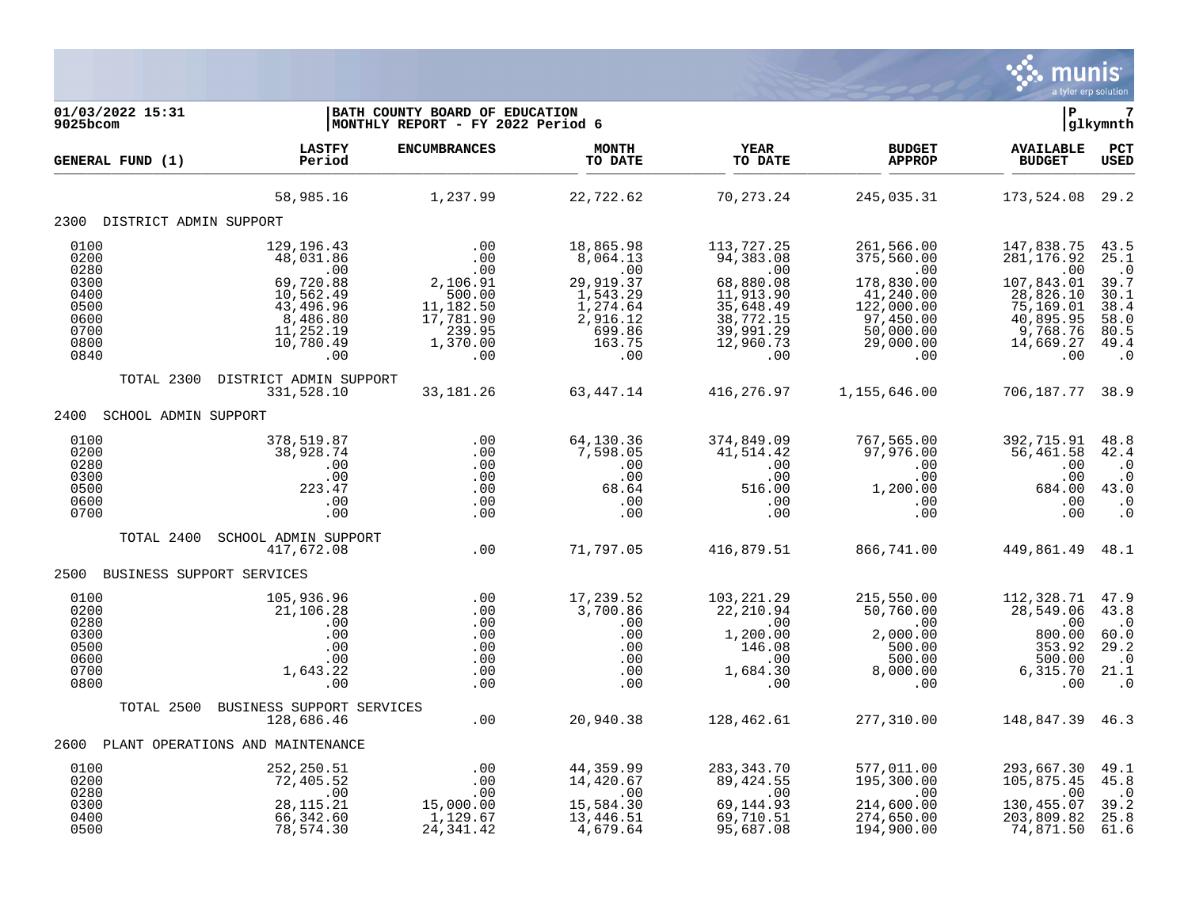

| 01/03/2022 15:31<br>$9025$ bcom                              |                                                                                                    | BATH COUNTY BOARD OF EDUCATION<br>MONTHLY REPORT - FY 2022 Period 6 |                                                                               |                                                                                    |                                                                                            | l P                                                                                   | 7<br> glkymnth                                                                        |
|--------------------------------------------------------------|----------------------------------------------------------------------------------------------------|---------------------------------------------------------------------|-------------------------------------------------------------------------------|------------------------------------------------------------------------------------|--------------------------------------------------------------------------------------------|---------------------------------------------------------------------------------------|---------------------------------------------------------------------------------------|
| GENERAL FUND (1)                                             | <b>LASTFY</b><br>Period                                                                            | <b>ENCUMBRANCES</b>                                                 | <b>MONTH</b><br>TO DATE                                                       | YEAR<br>TO DATE                                                                    | <b>BUDGET</b><br><b>APPROP</b>                                                             | <b>AVAILABLE</b><br><b>BUDGET</b>                                                     | PCT<br><b>USED</b>                                                                    |
|                                                              | 58,985.16                                                                                          | 1,237.99                                                            | 22,722.62                                                                     | 70,273.24                                                                          | 245,035.31                                                                                 | 173,524.08 29.2                                                                       |                                                                                       |
| 2300 DISTRICT ADMIN SUPPORT                                  |                                                                                                    |                                                                     |                                                                               |                                                                                    |                                                                                            |                                                                                       |                                                                                       |
| 0100<br>0200<br>0280<br>0300<br>0400<br>0500<br>0600         | 129, 196. 43<br>48,031.86<br>.00<br>69,720.88<br>10,562.49<br>43,496.96<br>$8,486.80$<br>11,252.19 | .00<br>.00<br>.00<br>2,106.91<br>500.00<br>11,182.50<br>17,781.90   | 18,865.98<br>8,064.13<br>.00<br>29,919.37<br>1,543.29<br>1,274.64<br>2,916.12 | 113,727.25<br>94,383.08<br>.00<br>68,880.08<br>11,913.90<br>35,648.49<br>38,772.15 | 261,566.00<br>375,560.00<br>$.00 \,$<br>178,830.00<br>41,240.00<br>122,000.00<br>97,450.00 | 147,838.75<br>281, 176.92<br>.00<br>107,843.01<br>28,826.10<br>75,169.01<br>40,895.95 | 43.5<br>25.1<br>$\cdot$ 0<br>39.7<br>30.1<br>38.4<br>58.0                             |
| 0700<br>0800<br>0840                                         | 10,780.49<br>.00                                                                                   | 239.95<br>1,370.00<br>.00                                           | 699.86<br>163.75<br>.00                                                       | 39,991.29<br>12,960.73<br>$.00 \,$                                                 | 50,000.00<br>29,000.00<br>.00                                                              | 9,768.76<br>14,669.27<br>.00                                                          | 80.5<br>49.4<br>$\cdot$ 0                                                             |
| TOTAL 2300                                                   | DISTRICT ADMIN SUPPORT<br>331,528.10                                                               | 33, 181. 26                                                         | 63,447.14                                                                     | 416,276.97                                                                         | 1,155,646.00                                                                               | 706,187.77 38.9                                                                       |                                                                                       |
| SCHOOL ADMIN SUPPORT<br>2400                                 |                                                                                                    |                                                                     |                                                                               |                                                                                    |                                                                                            |                                                                                       |                                                                                       |
| 0100<br>0200<br>0280<br>0300<br>0500<br>0600<br>0700         | 378,519.87<br>38,928.74<br>.00<br>.00<br>223.47<br>.00<br>.00                                      | .00<br>.00<br>.00<br>.00<br>.00<br>.00<br>.00                       | 64,130.36<br>7,598.05<br>.00<br>.00<br>68.64<br>.00<br>.00                    | 374,849.09<br>41,514.42<br>.00<br>.00<br>516.00<br>.00<br>.00                      | 767,565.00<br>97,976.00<br>.00<br>.00<br>1,200.00<br>.00<br>.00                            | 392,715.91<br>56,461.58<br>.00<br>.00<br>684.00<br>.00<br>.00                         | 48.8<br>42.4<br>$\cdot$ 0<br>$\boldsymbol{\cdot}$ 0<br>43.0<br>$\cdot$ 0<br>$\cdot$ 0 |
| TOTAL 2400                                                   | SCHOOL ADMIN SUPPORT<br>417,672.08                                                                 | .00                                                                 | 71,797.05                                                                     | 416,879.51                                                                         | 866,741.00                                                                                 | 449,861.49 48.1                                                                       |                                                                                       |
| 2500<br>BUSINESS SUPPORT SERVICES                            |                                                                                                    |                                                                     |                                                                               |                                                                                    |                                                                                            |                                                                                       |                                                                                       |
| 0100<br>0200<br>0280<br>0300<br>0500<br>0600<br>0700<br>0800 | 105,936.96<br>21,106.28<br>.00<br>.00<br>.00<br>.00<br>1,643.22<br>.00                             | .00<br>.00<br>.00<br>.00<br>.00<br>.00<br>.00<br>.00                | 17,239.52<br>3,700.86<br>.00<br>.00<br>.00<br>.00<br>.00<br>.00               | 103,221.29<br>22,210.94<br>.00<br>1,200.00<br>146.08<br>.00<br>1,684.30<br>.00     | 215,550.00<br>50,760.00<br>.00<br>2,000.00<br>500.00<br>500.00<br>8,000.00<br>.00          | 112,328.71<br>28,549.06<br>.00<br>800.00<br>353.92<br>500.00<br>6,315.70<br>.00       | 47.9<br>43.8<br>. 0<br>60.0<br>29.2<br>$\cdot$ 0<br>21.1<br>$\cdot$ 0                 |
| TOTAL 2500                                                   | BUSINESS SUPPORT SERVICES<br>128,686.46                                                            | .00                                                                 | 20,940.38                                                                     | 128,462.61                                                                         | 277,310.00                                                                                 | 148,847.39 46.3                                                                       |                                                                                       |
| 2600                                                         | PLANT OPERATIONS AND MAINTENANCE                                                                   |                                                                     |                                                                               |                                                                                    |                                                                                            |                                                                                       |                                                                                       |
| 0100<br>0200<br>0280<br>0300<br>0400                         | 252,250.51<br>72,405.52<br>.00<br>28, 115. 21                                                      | .00<br>.00<br>.00<br>15,000.00<br>1,129.67                          | 44,359.99<br>14,420.67<br>$\overline{00}$<br>15,584.30<br>13,446.51           | 283, 343. 70<br>89,424.55<br>$\overline{00}$<br>69,144.93<br>69,710.51             | 577,011.00<br>195,300.00<br>.00<br>214,600.00<br>274,650.00                                | 293,667.30<br>105,875.45<br>.00<br>130,455.07<br>203,809.82                           | 49.1<br>45.8<br>$\cdot$ 0<br>39.2<br>25.8                                             |
| 0500                                                         | 66,342.60<br>78,574.30                                                                             | 24, 341.42                                                          | 4,679.64                                                                      | 95,687.08                                                                          | 194,900.00                                                                                 | 74,871.50                                                                             | 61.6                                                                                  |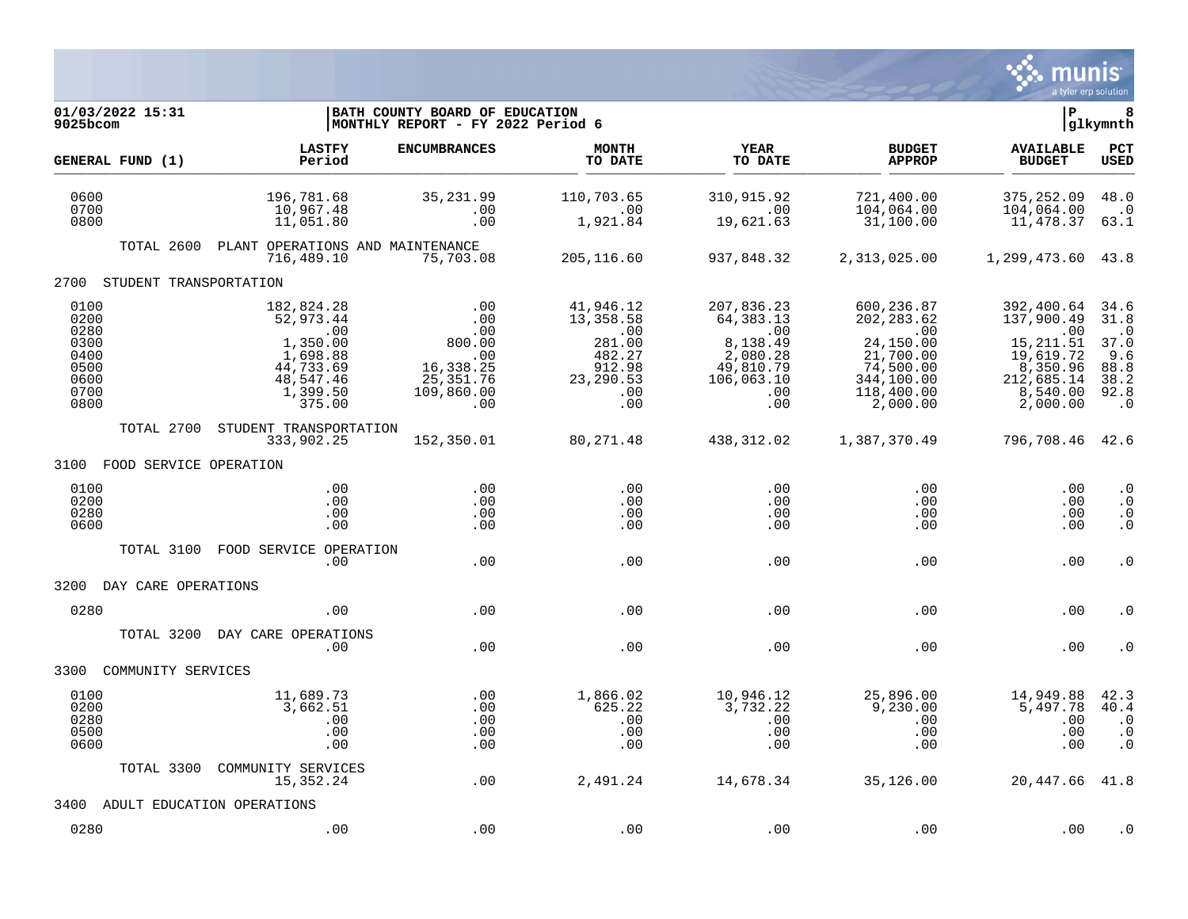

| 01/03/2022 15:31<br>9025bcom                                         |                                                                                                        | BATH COUNTY BOARD OF EDUCATION<br>MONTHLY REPORT - FY 2022 Period 6                           |                                                                                               |                                                                                                                          |                                                                                                                 |                                                                                                              |                                                                                |  |  |
|----------------------------------------------------------------------|--------------------------------------------------------------------------------------------------------|-----------------------------------------------------------------------------------------------|-----------------------------------------------------------------------------------------------|--------------------------------------------------------------------------------------------------------------------------|-----------------------------------------------------------------------------------------------------------------|--------------------------------------------------------------------------------------------------------------|--------------------------------------------------------------------------------|--|--|
| GENERAL FUND (1)                                                     | <b>LASTFY</b><br>Period                                                                                | <b>ENCUMBRANCES</b>                                                                           | <b>MONTH</b><br>TO DATE                                                                       | <b>YEAR</b><br>TO DATE                                                                                                   | <b>BUDGET</b><br><b>APPROP</b>                                                                                  | <b>AVAILABLE</b><br><b>BUDGET</b>                                                                            | <b>PCT</b><br>USED                                                             |  |  |
| 0600<br>0700<br>0800                                                 | 196,781.68<br>10,967.48<br>11,051.80                                                                   | 35, 231.99<br>.00<br>.00                                                                      | 110,703.65<br>$\overline{\phantom{0}}$ .00<br>1,921.84                                        | 310,915.92<br>.00<br>19,621.63                                                                                           | 721,400.00<br>104,064.00<br>31,100.00                                                                           | 375, 252.09<br>104,064.00<br>11,478.37                                                                       | 48.0<br>$\cdot$ 0<br>63.1                                                      |  |  |
| TOTAL 2600                                                           | PLANT OPERATIONS AND MAINTENANCE<br>716,489.10                                                         | 75,703.08                                                                                     | 205,116.60                                                                                    | 937,848.32                                                                                                               | 2,313,025.00                                                                                                    | 1,299,473.60 43.8                                                                                            |                                                                                |  |  |
| 2700 STUDENT TRANSPORTATION                                          |                                                                                                        |                                                                                               |                                                                                               |                                                                                                                          |                                                                                                                 |                                                                                                              |                                                                                |  |  |
| 0100<br>0200<br>0280<br>0300<br>0400<br>0500<br>0600<br>0700<br>0800 | 182,824.28<br>52,973.44<br>.00<br>1,350.00<br>1,698.88<br>44,733.69<br>48,547.46<br>1,399.50<br>375.00 | .00<br>.00<br>.00<br>00.00<br>$\sim 00$<br>16,338.25<br>25, 351.76<br>109,860.00<br>$\sim$ 00 | 41,946.12<br>13,358.58<br>$\,.\,00$<br>281.00<br>482.27<br>912.98<br>23, 290.53<br>.00<br>.00 | 207,836.23<br>64,383.13<br>$\overline{\phantom{0}}$ .00<br>8,138.49<br>2,080.28<br>49,810.79<br>106,063.10<br>.00<br>.00 | 600,236.87<br>202, 283.62<br>.00<br>24,150.00<br>21,700.00<br>74,500.00<br>344,100.00<br>118,400.00<br>2,000.00 | 392,400.64<br>137,900.49<br>.00<br>15, 211.51<br>19,619.72<br>8,350.96<br>212,685.14<br>8,540.00<br>2,000.00 | 34.6<br>31.8<br>$\cdot$ 0<br>37.0<br>9.6<br>88.8<br>38.2<br>92.8<br>$\cdot$ .0 |  |  |
| TOTAL 2700                                                           | STUDENT TRANSPORTATION<br>333,902.25                                                                   | 152,350.01                                                                                    | 80,271.48                                                                                     | 438,312.02                                                                                                               | 1,387,370.49                                                                                                    | 796,708.46 42.6                                                                                              |                                                                                |  |  |
| 3100 FOOD SERVICE OPERATION                                          |                                                                                                        |                                                                                               |                                                                                               |                                                                                                                          |                                                                                                                 |                                                                                                              |                                                                                |  |  |
| 0100<br>0200<br>0280<br>0600                                         | .00<br>.00<br>.00<br>.00                                                                               | .00<br>.00<br>.00<br>.00                                                                      | .00<br>.00<br>.00<br>.00                                                                      | $.00 \,$<br>$.00 \,$<br>.00<br>.00                                                                                       | .00<br>$.00 \,$<br>.00<br>.00                                                                                   | .00<br>.00<br>.00<br>.00                                                                                     | $\cdot$ 0<br>$\cdot$ 0<br>$\cdot$ 0<br>$\cdot$ 0                               |  |  |
| TOTAL 3100                                                           | FOOD SERVICE OPERATION<br>.00                                                                          | .00                                                                                           | .00                                                                                           | .00                                                                                                                      | .00                                                                                                             | .00                                                                                                          | $\cdot$ 0                                                                      |  |  |
| 3200<br>DAY CARE OPERATIONS                                          |                                                                                                        |                                                                                               |                                                                                               |                                                                                                                          |                                                                                                                 |                                                                                                              |                                                                                |  |  |
| 0280                                                                 | .00                                                                                                    | .00                                                                                           | .00                                                                                           | .00                                                                                                                      | .00                                                                                                             | .00                                                                                                          | . 0                                                                            |  |  |
|                                                                      | TOTAL 3200 DAY CARE OPERATIONS<br>.00                                                                  | .00                                                                                           | .00                                                                                           | .00                                                                                                                      | .00                                                                                                             | .00                                                                                                          | . 0                                                                            |  |  |
| 3300<br>COMMUNITY SERVICES                                           |                                                                                                        |                                                                                               |                                                                                               |                                                                                                                          |                                                                                                                 |                                                                                                              |                                                                                |  |  |
| 0100<br>0200<br>0280<br>0500<br>0600                                 | 11,689.73<br>3,662.51<br>.00<br>.00<br>.00                                                             | .00<br>.00<br>.00<br>.00<br>.00                                                               | 1,866.02<br>625.22<br>.00<br>.00<br>.00                                                       | 10,946.12<br>3,732.22<br>.00<br>.00<br>.00                                                                               | 25,896.00<br>9,230.00<br>.00<br>.00<br>.00                                                                      | 14,949.88<br>5,497.78<br>.00<br>.00<br>.00                                                                   | 42.3<br>40.4<br>$\cdot$ 0<br>$\cdot$ 0<br>$\cdot$ 0                            |  |  |
| TOTAL 3300                                                           | COMMUNITY SERVICES<br>15,352.24                                                                        | .00                                                                                           | 2,491.24                                                                                      | 14,678.34                                                                                                                | 35,126.00                                                                                                       | 20,447.66 41.8                                                                                               |                                                                                |  |  |
| 3400                                                                 | ADULT EDUCATION OPERATIONS                                                                             |                                                                                               |                                                                                               |                                                                                                                          |                                                                                                                 |                                                                                                              |                                                                                |  |  |
| 0280                                                                 | .00                                                                                                    | .00                                                                                           | .00                                                                                           | .00                                                                                                                      | .00                                                                                                             | .00                                                                                                          | $\cdot$ 0                                                                      |  |  |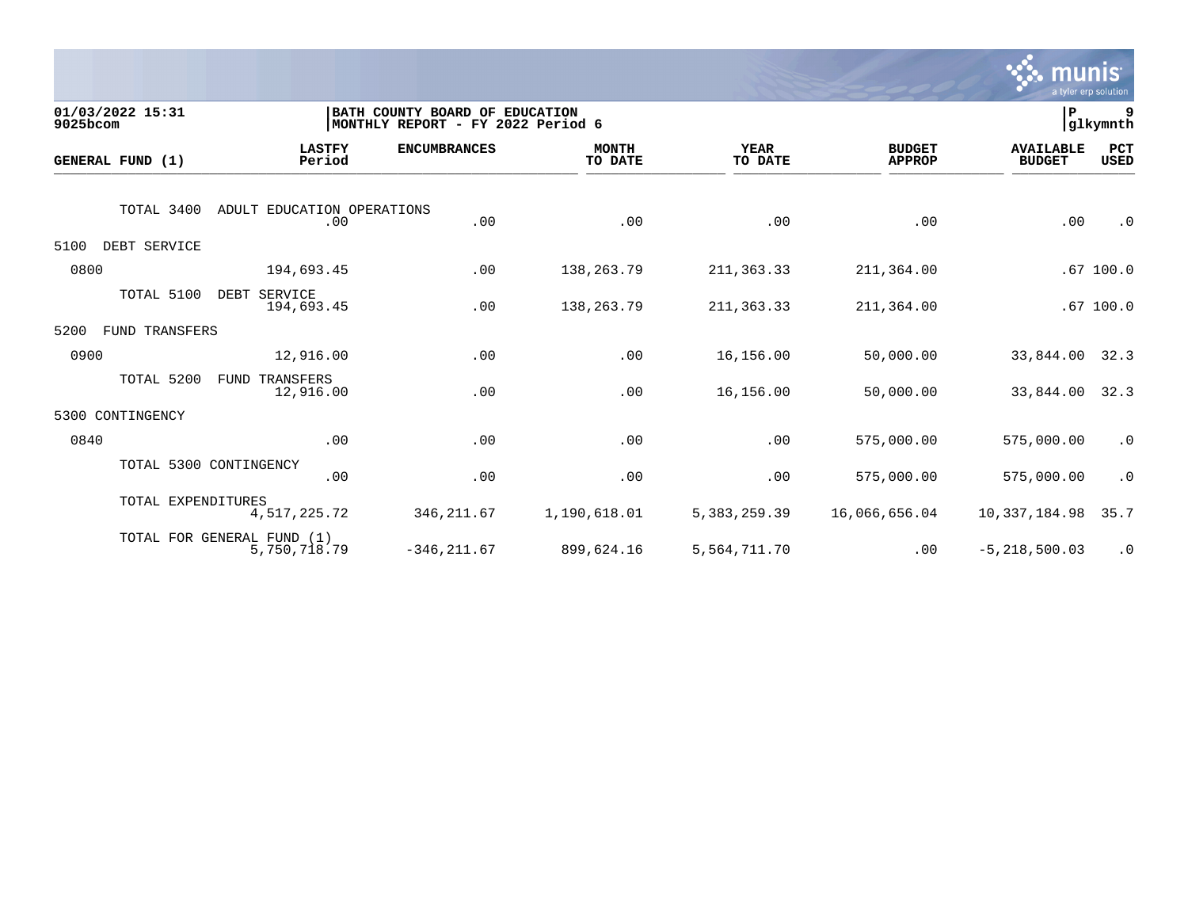

| 01/03/2022 15:31<br>9025bcom |                                            | BATH COUNTY BOARD OF<br>MONTHLY REPORT - FY 2022 Period 6 | <b>EDUCATION</b>        |                        |                                | ∣P                                | 9<br>glkymnth |
|------------------------------|--------------------------------------------|-----------------------------------------------------------|-------------------------|------------------------|--------------------------------|-----------------------------------|---------------|
| GENERAL FUND (1)             | <b>LASTFY</b><br>Period                    | <b>ENCUMBRANCES</b>                                       | <b>MONTH</b><br>TO DATE | <b>YEAR</b><br>TO DATE | <b>BUDGET</b><br><b>APPROP</b> | <b>AVAILABLE</b><br><b>BUDGET</b> | PCT<br>USED   |
| TOTAL 3400                   | ADULT EDUCATION OPERATIONS<br>.00          | .00                                                       | .00                     | .00                    | .00                            | .00                               | $\cdot$ 0     |
| 5100<br>DEBT SERVICE         |                                            |                                                           |                         |                        |                                |                                   |               |
| 0800                         | 194,693.45                                 | .00                                                       | 138,263.79              | 211,363.33             | 211,364.00                     |                                   | .67100.0      |
| TOTAL 5100                   | DEBT SERVICE<br>194,693.45                 | .00                                                       | 138,263.79              | 211,363.33             | 211,364.00                     |                                   | .67100.0      |
| 5200<br>FUND TRANSFERS       |                                            |                                                           |                         |                        |                                |                                   |               |
| 0900                         | 12,916.00                                  | .00                                                       | .00                     | 16,156.00              | 50,000.00                      | 33,844.00                         | 32.3          |
| TOTAL 5200                   | FUND<br>TRANSFERS<br>12,916.00             | .00                                                       | .00                     | 16,156.00              | 50,000.00                      | 33,844.00                         | 32.3          |
| CONTINGENCY<br>5300          |                                            |                                                           |                         |                        |                                |                                   |               |
| 0840                         | .00                                        | .00                                                       | .00                     | .00                    | 575,000.00                     | 575,000.00                        | $\cdot$ 0     |
|                              | TOTAL 5300 CONTINGENCY<br>.00              | .00                                                       | .00                     | .00                    | 575,000.00                     | 575,000.00                        | $\cdot$ 0     |
|                              | TOTAL EXPENDITURES<br>4,517,225.72         | 346, 211.67                                               | 1,190,618.01            | 5, 383, 259.39         | 16,066,656.04                  | 10,337,184.98                     | 35.7          |
|                              | TOTAL FOR GENERAL FUND (1)<br>5,750,718.79 | $-346, 211.67$                                            | 899,624.16              | 5,564,711.70           | .00                            | $-5, 218, 500.03$                 | $\cdot$ 0     |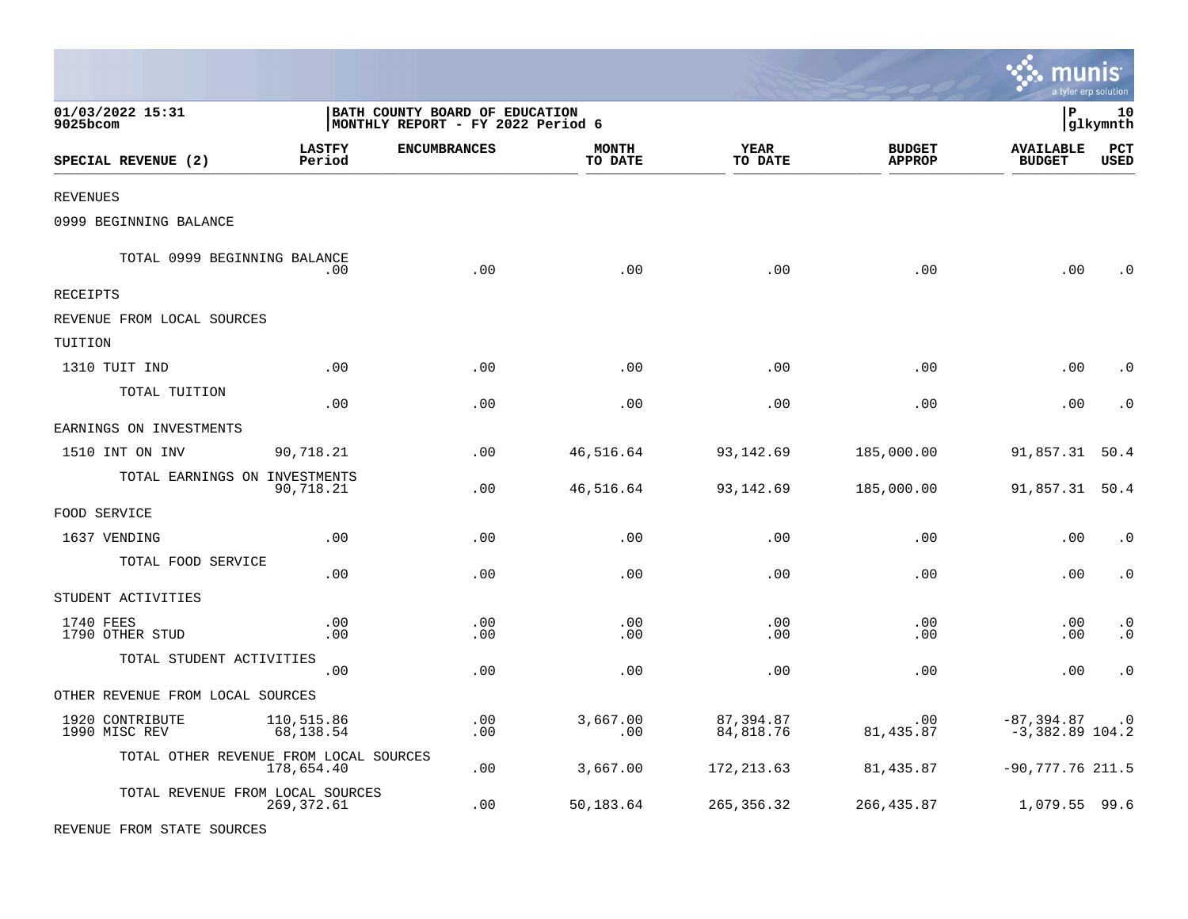|                                        |                         |                                                                     |                         |                        |                                | munis                             | a tyler erp solution |
|----------------------------------------|-------------------------|---------------------------------------------------------------------|-------------------------|------------------------|--------------------------------|-----------------------------------|----------------------|
| 01/03/2022 15:31<br>9025bcom           |                         | BATH COUNTY BOARD OF EDUCATION<br>MONTHLY REPORT - FY 2022 Period 6 |                         |                        |                                | l P                               | 10<br> glkymnth      |
| SPECIAL REVENUE (2)                    | <b>LASTFY</b><br>Period | <b>ENCUMBRANCES</b>                                                 | <b>MONTH</b><br>TO DATE | <b>YEAR</b><br>TO DATE | <b>BUDGET</b><br><b>APPROP</b> | <b>AVAILABLE</b><br><b>BUDGET</b> | PCT<br><b>USED</b>   |
| REVENUES                               |                         |                                                                     |                         |                        |                                |                                   |                      |
| 0999 BEGINNING BALANCE                 |                         |                                                                     |                         |                        |                                |                                   |                      |
| TOTAL 0999 BEGINNING BALANCE           | .00.                    | .00                                                                 | .00                     | .00                    | .00                            | .00                               | $\Omega$             |
| RECEIPTS                               |                         |                                                                     |                         |                        |                                |                                   |                      |
| REVENUE FROM LOCAL SOURCES             |                         |                                                                     |                         |                        |                                |                                   |                      |
| TUITION                                |                         |                                                                     |                         |                        |                                |                                   |                      |
| 1310 TUIT IND                          | .00                     | .00                                                                 | .00                     | .00                    | .00                            | .00                               | . 0                  |
| TOTAL TUITION                          | .00                     | .00                                                                 | .00                     | .00                    | .00                            | .00                               | $\cdot$ 0            |
| EARNINGS ON INVESTMENTS                |                         |                                                                     |                         |                        |                                |                                   |                      |
| 1510 INT ON INV                        | 90,718.21               | .00                                                                 | 46,516.64               | 93,142.69              | 185,000.00                     | 91,857.31 50.4                    |                      |
| TOTAL EARNINGS ON INVESTMENTS          | 90,718.21               | .00                                                                 | 46,516.64               | 93,142.69              | 185,000.00                     | 91,857.31 50.4                    |                      |
| FOOD SERVICE                           |                         |                                                                     |                         |                        |                                |                                   |                      |
| 1637 VENDING                           | .00                     | .00                                                                 | .00                     | .00                    | .00                            | .00                               | $\cdot$ 0            |
| TOTAL FOOD SERVICE                     | .00                     | .00                                                                 | .00                     | .00                    | .00                            | .00                               | $\cdot$ 0            |
| STUDENT ACTIVITIES                     |                         |                                                                     |                         |                        |                                |                                   |                      |
| 1740 FEES<br>1790 OTHER STUD           | .00<br>.00              | .00<br>.00                                                          | .00<br>.00              | .00<br>.00             | .00<br>.00                     | .00<br>.00                        | $\cdot$ 0<br>. 0     |
| TOTAL STUDENT ACTIVITIES               | .00                     | .00                                                                 | .00                     | .00                    | .00                            | .00                               | $\cdot$ 0            |
| OTHER REVENUE FROM LOCAL SOURCES       |                         |                                                                     |                         |                        |                                |                                   |                      |
| 1920 CONTRIBUTE<br>1990 MISC REV       | 110,515.86<br>68,138.54 | .00<br>.00                                                          | 3,667.00<br>.00         | 87,394.87<br>84,818.76 | .00<br>81, 435.87              | $-87,394.87$<br>$-3,382.89$ 104.2 | $\cdot$ 0            |
| TOTAL OTHER REVENUE FROM LOCAL SOURCES | 178,654.40              | .00                                                                 | 3,667.00                | 172, 213.63            | 81,435.87                      | $-90,777.76$ 211.5                |                      |
| TOTAL REVENUE FROM LOCAL SOURCES       | 269, 372.61             | .00                                                                 | 50,183.64               | 265, 356. 32           | 266,435.87                     | 1,079.55 99.6                     |                      |
| REVENUE FROM STATE SOURCES             |                         |                                                                     |                         |                        |                                |                                   |                      |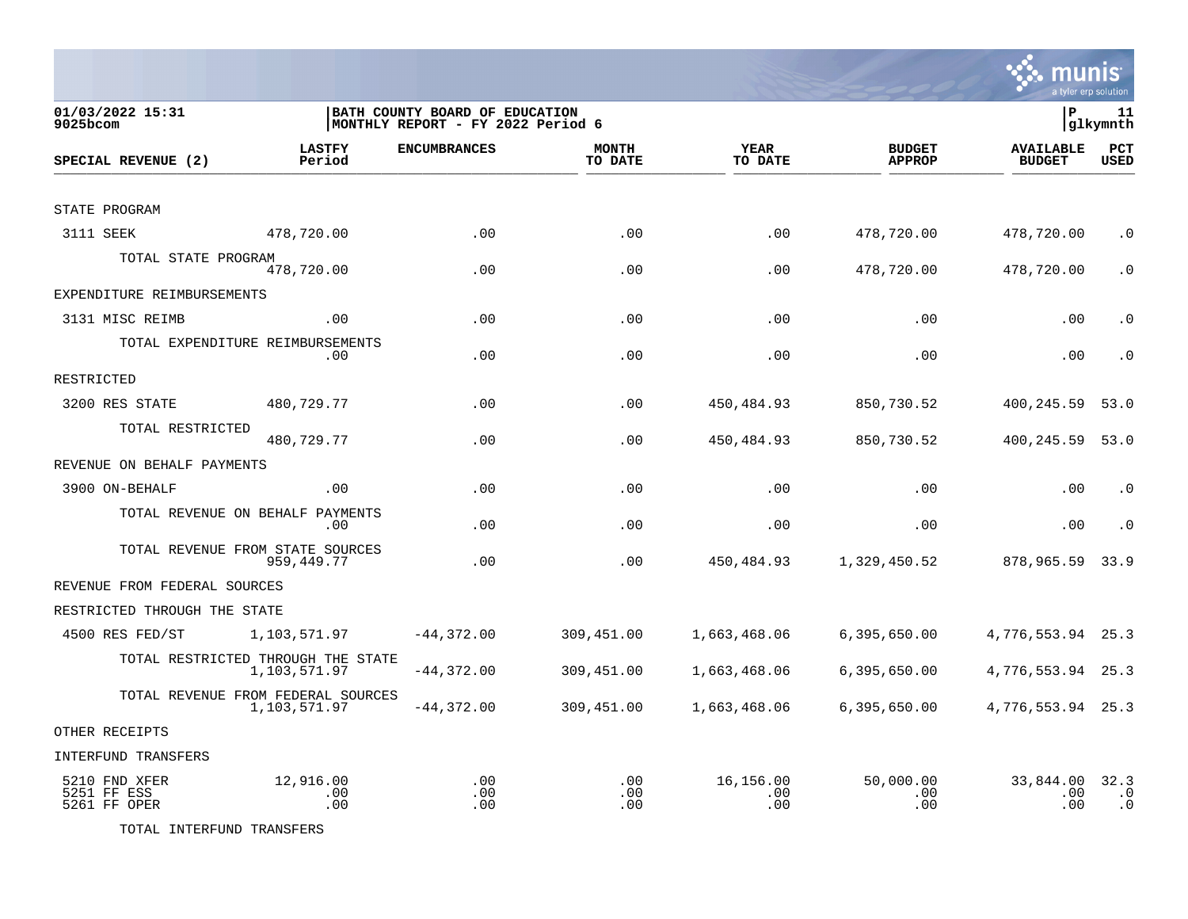

munis

TOTAL INTERFUND TRANSFERS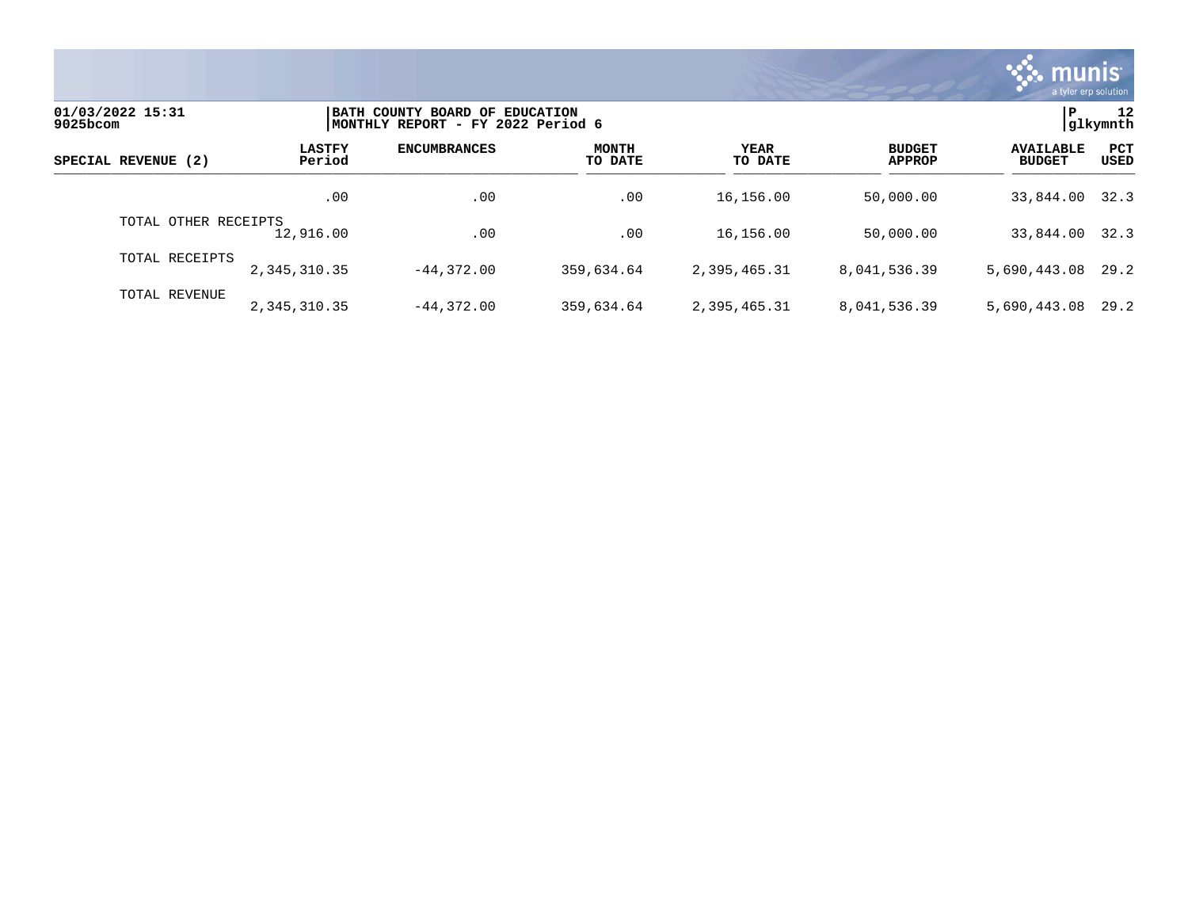

| 01/03/2022 15:31<br>9025bcom |                         | BATH COUNTY BOARD OF EDUCATION<br> MONTHLY REPORT - FY 2022 Period 6 |                         |                 |                                |                                   |                    |  |
|------------------------------|-------------------------|----------------------------------------------------------------------|-------------------------|-----------------|--------------------------------|-----------------------------------|--------------------|--|
| SPECIAL REVENUE (2)          | <b>LASTFY</b><br>Period | <b>ENCUMBRANCES</b>                                                  | <b>MONTH</b><br>TO DATE | YEAR<br>TO DATE | <b>BUDGET</b><br><b>APPROP</b> | <b>AVAILABLE</b><br><b>BUDGET</b> | PCT<br><b>USED</b> |  |
|                              | .00                     | .00                                                                  | .00                     | 16,156.00       | 50,000.00                      | 33,844.00 32.3                    |                    |  |
| TOTAL OTHER RECEIPTS         | 12,916.00               | .00                                                                  | .00                     | 16,156.00       | 50,000.00                      | 33,844.00                         | 32.3               |  |
| TOTAL RECEIPTS               | 2,345,310.35            | $-44.372.00$                                                         | 359,634.64              | 2,395,465.31    | 8,041,536.39                   | 5,690,443.08                      | 29.2               |  |
| TOTAL REVENUE                | 2,345,310.35            | $-44.372.00$                                                         | 359,634.64              | 2,395,465.31    | 8,041,536.39                   | 5,690,443.08                      | 29.2               |  |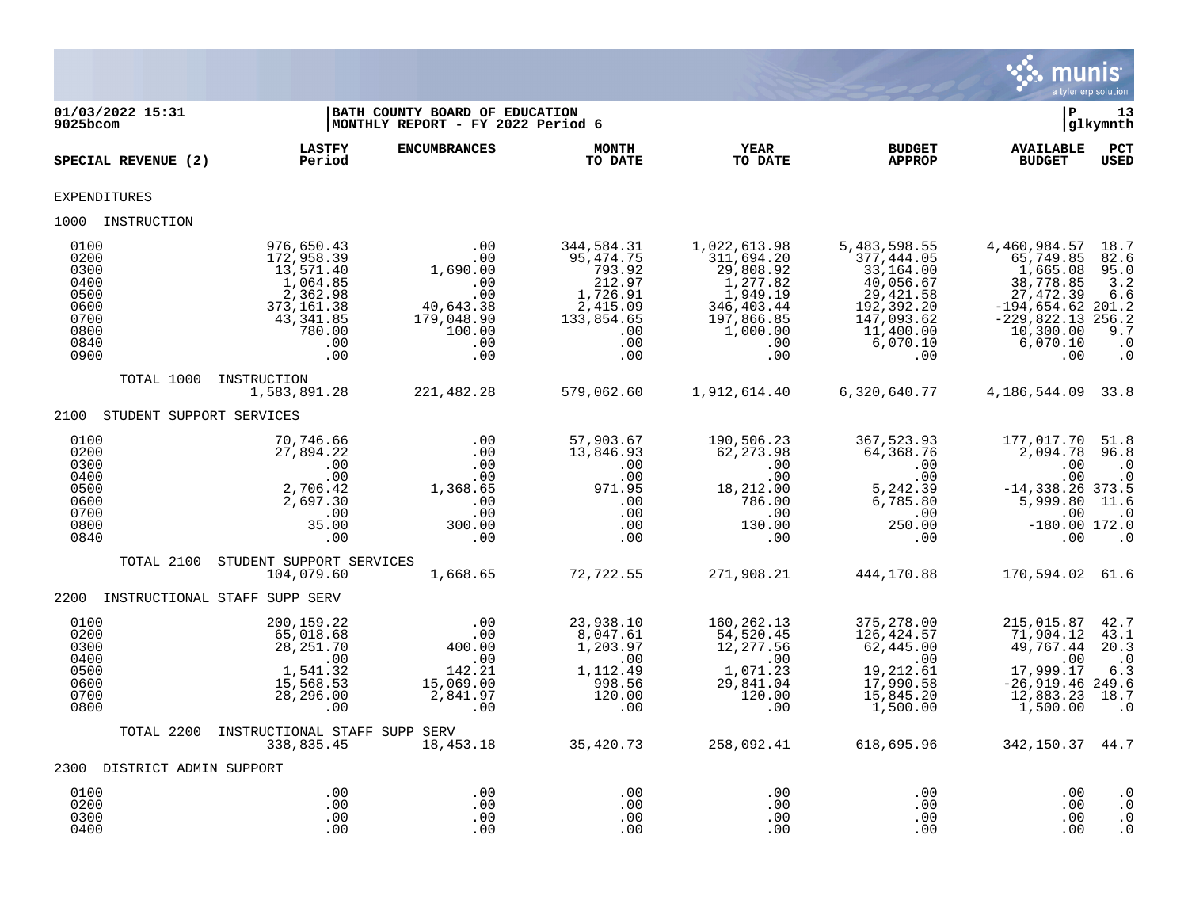

| 01/03/2022 15:31<br>9025bcom                                                 |                                                                                                                  | BATH COUNTY BOARD OF EDUCATION<br>MONTHLY REPORT - FY 2022 Period 6                     |                                                                                                          |                                                                                                                       |                                                                                                                                | l P                                                                                                                                            | 13<br> glkymnth                                                          |
|------------------------------------------------------------------------------|------------------------------------------------------------------------------------------------------------------|-----------------------------------------------------------------------------------------|----------------------------------------------------------------------------------------------------------|-----------------------------------------------------------------------------------------------------------------------|--------------------------------------------------------------------------------------------------------------------------------|------------------------------------------------------------------------------------------------------------------------------------------------|--------------------------------------------------------------------------|
| SPECIAL REVENUE (2)                                                          | <b>LASTFY</b><br>Period                                                                                          | <b>ENCUMBRANCES</b>                                                                     | <b>MONTH</b><br>TO DATE                                                                                  | YEAR<br>TO DATE                                                                                                       | <b>BUDGET</b><br><b>APPROP</b>                                                                                                 | <b>AVAILABLE</b><br><b>BUDGET</b>                                                                                                              | PCT<br><b>USED</b>                                                       |
| <b>EXPENDITURES</b>                                                          |                                                                                                                  |                                                                                         |                                                                                                          |                                                                                                                       |                                                                                                                                |                                                                                                                                                |                                                                          |
| 1000 INSTRUCTION                                                             |                                                                                                                  |                                                                                         |                                                                                                          |                                                                                                                       |                                                                                                                                |                                                                                                                                                |                                                                          |
| 0100<br>0200<br>0300<br>0400<br>0500<br>0600<br>0700<br>0800<br>0840<br>0900 | 976,650.43<br>172,958.39<br>13,571.40<br>1,064.85<br>2,362.98<br>373,161.38<br>43,341.85<br>780.00<br>.00<br>.00 | .00<br>.00<br>1,690.00<br>.00<br>.00<br>40,643.38<br>179,048.90<br>100.00<br>.00<br>.00 | 344,584.31<br>95, 474. 75<br>793.92<br>212.97<br>1,726.91<br>2,415.09<br>133,854.65<br>.00<br>.00<br>.00 | 1,022,613.98<br>311,694.20<br>29,808.92<br>1,277.82<br>1,949.19<br>346,403.44<br>197,866.85<br>1,000.00<br>.00<br>.00 | 5,483,598.55<br>377,444.05<br>33,164.00<br>40,056.67<br>29, 421.58<br>192,392.20<br>147,093.62<br>11,400.00<br>6,070.10<br>.00 | 4,460,984.57<br>65,749.85<br>1,665.08<br>38,778.85<br>27, 472.39<br>$-194,654.62$ 201.2<br>$-229,822.13$ 256.2<br>10,300.00<br>6,070.10<br>.00 | 18.7<br>82.6<br>95.0<br>3.2<br>6.6<br>9.7<br>$\cdot$ 0<br>$\cdot$ 0      |
| TOTAL 1000                                                                   | INSTRUCTION<br>1,583,891.28                                                                                      | 221,482.28                                                                              | 579,062.60                                                                                               | 1,912,614.40                                                                                                          | 6,320,640.77                                                                                                                   | 4, 186, 544.09 33.8                                                                                                                            |                                                                          |
| STUDENT SUPPORT SERVICES<br>2100                                             |                                                                                                                  |                                                                                         |                                                                                                          |                                                                                                                       |                                                                                                                                |                                                                                                                                                |                                                                          |
| 0100<br>0200<br>0300<br>0400<br>0500<br>0600<br>0700<br>0800<br>0840         | 70,746.66<br>27,894.22<br>.00<br>.00<br>2,706.42<br>2,697.30<br>.00<br>35.00<br>.00                              | $\overline{00}$<br>.00<br>.00<br>.00<br>1,368.65<br>.00<br>.00<br>300.00<br>.00         | 57,903.67<br>13,846.93<br>.00<br>.00<br>971.95<br>.00<br>.00<br>.00<br>.00                               | 190,506.23<br>62, 273.98<br>.00<br>.00<br>18,212.00<br>786.00<br>.00<br>130.00<br>.00                                 | 367,523.93<br>64,368.76<br>.00<br>.00<br>5,242.39<br>6,785.80<br>.00<br>250.00<br>.00                                          | 177,017.70<br>2,094.78<br>.00<br>.00<br>$-14, 338.26$ 373.5<br>5,999.80<br>.00<br>$-180.00$ 172.0<br>.00                                       | 51.8<br>96.8<br>$\cdot$ 0<br>$\cdot$ 0<br>11.6<br>$\cdot$ 0<br>$\cdot$ 0 |
| TOTAL 2100                                                                   | STUDENT SUPPORT SERVICES<br>104,079.60                                                                           | 1,668.65                                                                                | 72,722.55                                                                                                | 271,908.21                                                                                                            | 444,170.88                                                                                                                     | 170,594.02 61.6                                                                                                                                |                                                                          |
| 2200                                                                         | INSTRUCTIONAL STAFF SUPP SERV                                                                                    |                                                                                         |                                                                                                          |                                                                                                                       |                                                                                                                                |                                                                                                                                                |                                                                          |
| 0100<br>0200<br>0300<br>0400<br>0500<br>0600<br>0700<br>0800                 | 200,159.22<br>65,018.68<br>28,251.70<br>.00<br>1,541.32<br>15,568.53<br>28, 296.00<br>.00                        | .00<br>.00<br>400.00<br>.00<br>142.21<br>15,069.00<br>2,841.97<br>.00                   | 23,938.10<br>8,047.61<br>1,203.97<br>$\cdot$ 00<br>1,112.49<br>998.56<br>120.00<br>.00                   | 160, 262. 13<br>54,520.45<br>12,277.56<br>.00<br>1,071.23<br>29,841.04<br>120.00<br>.00                               | 375,278.00<br>126,424.57<br>62,445.00<br>$\overline{00}$<br>19,212.61<br>17,990.58<br>15,845.20<br>1,500.00                    | 215,015.87<br>71,904.12<br>49,767.44<br>.00<br>17,999.17<br>$-26,919.46$ 249.6<br>12,883.23<br>1,500.00                                        | 42.7<br>43.1<br>20.3<br>$\cdot$ 0<br>6.3<br>18.7<br>$\cdot$ 0            |
| TOTAL 2200                                                                   | INSTRUCTIONAL STAFF SUPP SERV<br>338,835.45                                                                      | 18,453.18                                                                               | 35,420.73                                                                                                | 258,092.41                                                                                                            | 618,695.96                                                                                                                     | 342, 150. 37 44. 7                                                                                                                             |                                                                          |
| 2300 DISTRICT ADMIN SUPPORT                                                  |                                                                                                                  |                                                                                         |                                                                                                          |                                                                                                                       |                                                                                                                                |                                                                                                                                                |                                                                          |
| 0100<br>0200<br>0300<br>0400                                                 | .00<br>.00<br>.00<br>.00                                                                                         | .00<br>.00<br>.00<br>.00                                                                | .00<br>.00<br>.00<br>.00                                                                                 | .00<br>.00<br>.00<br>.00                                                                                              | .00<br>.00<br>.00<br>.00                                                                                                       | .00<br>.00<br>.00<br>.00                                                                                                                       | $\cdot$ 0<br>$\cdot$ 0<br>$\cdot$ 0<br>$\cdot$ 0                         |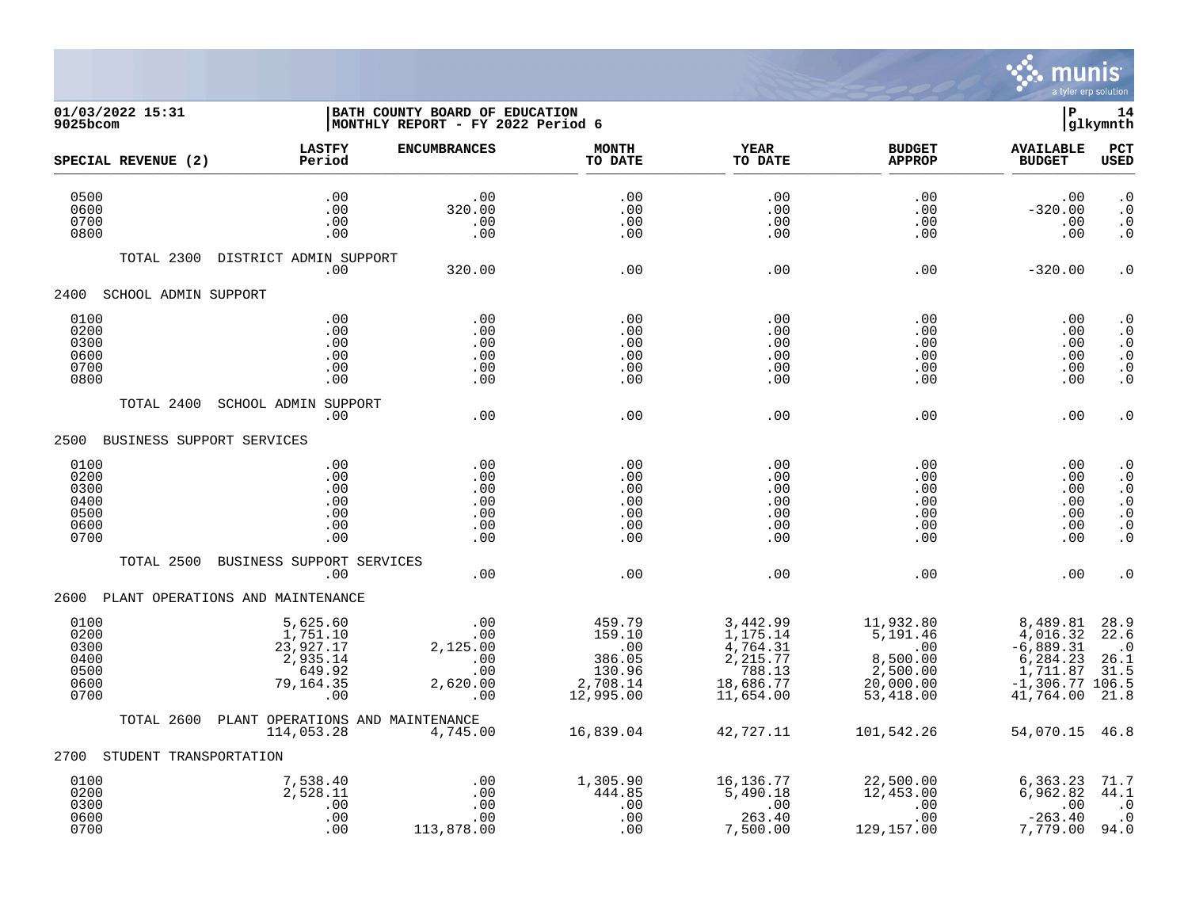

## **01/03/2022 15:31 |BATH COUNTY BOARD OF EDUCATION |P 14 9025bcom |MONTHLY REPORT - FY 2022 Period 6 |glkymnth**

|                                                      | SPECIAL REVENUE (2)    | <b>LASTFY</b><br>Period                                                     | <b>ENCUMBRANCES</b>                                     | <b>MONTH</b><br>TO DATE                                                | <b>YEAR</b><br>TO DATE                                                                          | <b>BUDGET</b><br><b>APPROP</b>                                                         | <b>AVAILABLE</b><br><b>BUDGET</b>                                                             | <b>PCT</b><br><b>USED</b>                                                                                   |
|------------------------------------------------------|------------------------|-----------------------------------------------------------------------------|---------------------------------------------------------|------------------------------------------------------------------------|-------------------------------------------------------------------------------------------------|----------------------------------------------------------------------------------------|-----------------------------------------------------------------------------------------------|-------------------------------------------------------------------------------------------------------------|
| 0500<br>0600<br>0700<br>0800                         |                        | .00<br>.00<br>.00<br>.00                                                    | .00<br>320.00<br>.00<br>.00                             | .00<br>.00<br>.00<br>.00                                               | .00<br>.00<br>.00<br>.00                                                                        | .00<br>.00<br>.00<br>.00                                                               | .00<br>$-320.00$<br>.00<br>.00                                                                | $\cdot$ 0<br>$\cdot$ 0<br>. 0<br>$\cdot$ 0                                                                  |
|                                                      | TOTAL 2300             | DISTRICT ADMIN SUPPORT<br>.00                                               | 320.00                                                  | .00                                                                    | .00                                                                                             | .00                                                                                    | $-320.00$                                                                                     | $\cdot$ 0                                                                                                   |
| 2400                                                 | SCHOOL ADMIN SUPPORT   |                                                                             |                                                         |                                                                        |                                                                                                 |                                                                                        |                                                                                               |                                                                                                             |
| 0100<br>0200<br>0300<br>0600<br>0700<br>0800         |                        | .00<br>.00<br>.00<br>.00<br>.00<br>.00                                      | .00<br>.00<br>.00<br>.00<br>.00<br>.00                  | .00<br>.00<br>.00<br>.00<br>.00<br>.00                                 | .00<br>.00<br>.00<br>.00<br>.00<br>.00                                                          | .00<br>$.00 \,$<br>.00<br>.00<br>.00<br>.00                                            | .00<br>.00<br>.00<br>.00<br>.00<br>.00                                                        | $\boldsymbol{\cdot}$ 0<br>$\cdot$ 0<br>$\cdot$ 0<br>$\cdot$ 0<br>. $\boldsymbol{0}$<br>$\cdot$ 0            |
|                                                      | TOTAL 2400             | SCHOOL ADMIN SUPPORT<br>.00                                                 | .00                                                     | .00                                                                    | .00                                                                                             | .00                                                                                    | .00                                                                                           | $\cdot$ 0                                                                                                   |
|                                                      |                        | 2500 BUSINESS SUPPORT SERVICES                                              |                                                         |                                                                        |                                                                                                 |                                                                                        |                                                                                               |                                                                                                             |
| 0100<br>0200<br>0300<br>0400<br>0500<br>0600<br>0700 |                        | .00<br>.00<br>.00<br>.00<br>.00<br>.00<br>.00                               | .00<br>.00<br>.00<br>.00<br>.00<br>.00<br>.00           | .00<br>.00<br>.00<br>.00<br>.00<br>.00<br>.00                          | .00<br>.00<br>.00<br>.00<br>.00<br>.00<br>.00                                                   | .00<br>.00<br>.00<br>.00<br>.00<br>.00<br>.00                                          | .00<br>.00<br>.00<br>.00<br>.00<br>.00<br>.00                                                 | $\boldsymbol{\cdot}$ 0<br>$\cdot$ 0<br>$\cdot$ 0<br>. 0<br>$\cdot$ 0<br>$\boldsymbol{\cdot}$ 0<br>$\cdot$ 0 |
|                                                      | TOTAL 2500             | BUSINESS SUPPORT SERVICES<br>.00                                            | .00                                                     | .00                                                                    | .00.                                                                                            | .00                                                                                    | .00                                                                                           | $\cdot$ 0                                                                                                   |
|                                                      |                        | 2600 PLANT OPERATIONS AND MAINTENANCE                                       |                                                         |                                                                        |                                                                                                 |                                                                                        |                                                                                               |                                                                                                             |
| 0100<br>0200<br>0300<br>0400<br>0500<br>0600<br>0700 |                        | 5,625.60<br>1,751.10<br>23,927.17<br>2,935.14<br>649.92<br>79,164.35<br>.00 | .00<br>.00<br>2,125.00<br>.00<br>.00<br>2,620.00<br>.00 | 459.79<br>159.10<br>$.00$<br>386.05<br>130.96<br>2,708.14<br>12,995.00 | 3,442.99<br>1,175.14<br>$\frac{4}{2}$ , 764.31<br>2, 215.77<br>788.13<br>18,686.77<br>11,654.00 | 11,932.80<br>5,191.46<br>$\sim$ 00<br>8,500.00<br>$2,500.00$<br>20,000.00<br>53,418.00 | 8,489.81<br>4,016.32<br>$-6,889.31$<br>6,284.23<br>1,711.87<br>$-1,306.77$ 106.5<br>41,764.00 | 28.9<br>22.6<br>$\ddots$<br>26.1<br>31.5<br>21.8                                                            |
|                                                      | TOTAL 2600             | PLANT OPERATIONS AND MAINTENANCE<br>114,053.28                              | 4,745.00                                                | 16,839.04                                                              | 42,727.11                                                                                       | 101,542.26                                                                             | 54,070.15 46.8                                                                                |                                                                                                             |
| 2700                                                 | STUDENT TRANSPORTATION |                                                                             |                                                         |                                                                        |                                                                                                 |                                                                                        |                                                                                               |                                                                                                             |
| 0100<br>0200<br>0300<br>0600<br>0700                 |                        | 7,538.40<br>2,528.11<br>.00<br>.00<br>.00                                   | .00<br>.00<br>.00<br>.00<br>113,878.00                  | 1,305.90<br>444.85<br>.00<br>.00<br>.00                                | 16,136.77<br>5,490.18<br>.00<br>263.40<br>7,500.00                                              | 22,500.00<br>12,453.00<br>.00<br>.00<br>129,157.00                                     | 6,363.23<br>6,962.82<br>.00<br>$-263.40$<br>7,779.00                                          | 71.7<br>44.1<br>$\cdot$ 0<br>$\cdot$ 0<br>94.0                                                              |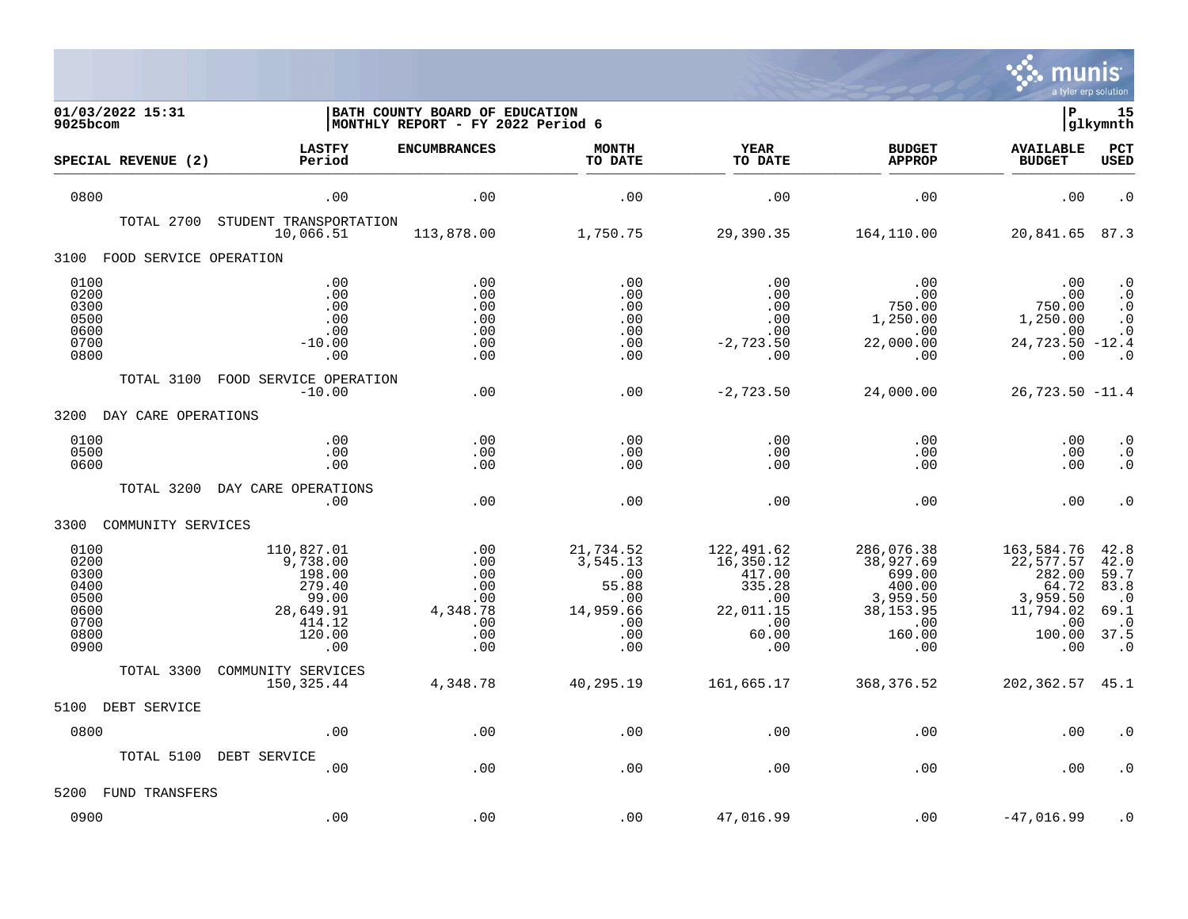

| 01/03/2022 15:31<br>9025bcom                                         |                                                                                             | BATH COUNTY BOARD OF EDUCATION<br>MONTHLY REPORT - FY 2022 Period 6 |                                                                                      |                                                                                        |                                                                                               | ΙP                                                                                          | 15<br> glkymnth                                                                                 |
|----------------------------------------------------------------------|---------------------------------------------------------------------------------------------|---------------------------------------------------------------------|--------------------------------------------------------------------------------------|----------------------------------------------------------------------------------------|-----------------------------------------------------------------------------------------------|---------------------------------------------------------------------------------------------|-------------------------------------------------------------------------------------------------|
| SPECIAL REVENUE (2)                                                  | <b>LASTFY</b><br>Period                                                                     | <b>ENCUMBRANCES</b>                                                 | <b>MONTH</b><br>TO DATE                                                              | <b>YEAR</b><br>TO DATE                                                                 | <b>BUDGET</b><br><b>APPROP</b>                                                                | <b>AVAILABLE</b><br><b>BUDGET</b>                                                           | PCT<br><b>USED</b>                                                                              |
| 0800                                                                 | .00                                                                                         | .00                                                                 | .00                                                                                  | .00                                                                                    | .00                                                                                           | .00                                                                                         | $\cdot$ 0                                                                                       |
| TOTAL 2700                                                           | STUDENT TRANSPORTATION<br>10,066.51                                                         | 113,878.00                                                          | 1,750.75                                                                             | 29,390.35                                                                              | 164,110.00                                                                                    | 20,841.65 87.3                                                                              |                                                                                                 |
| 3100 FOOD SERVICE OPERATION                                          |                                                                                             |                                                                     |                                                                                      |                                                                                        |                                                                                               |                                                                                             |                                                                                                 |
| 0100<br>0200<br>0300<br>0500<br>0600<br>0700<br>0800                 | .00<br>.00<br>.00<br>.00<br>.00<br>$-10.00$<br>.00                                          | .00<br>.00<br>.00<br>.00<br>.00<br>.00<br>.00                       | .00<br>.00<br>.00<br>.00<br>.00<br>.00<br>.00                                        | .00<br>$.00 \,$<br>.00<br>.00<br>.00<br>$-2,723.50$<br>$.00 \,$                        | .00<br>.00<br>750.00<br>1,250.00<br>.00<br>22,000.00<br>.00                                   | .00<br>$750.00$<br>$750.00$<br>1,250.00<br>.00<br>24,723.50 -12.4<br>.00                    | $\cdot$ 0<br>$\boldsymbol{\cdot}$ 0<br>$\cdot$ 0<br>$\cdot$ 0<br>$\cdot$ 0<br>$\cdot$ 0         |
| TOTAL 3100                                                           | FOOD SERVICE OPERATION<br>$-10.00$                                                          | .00                                                                 | .00                                                                                  | $-2,723.50$                                                                            | 24,000.00                                                                                     | $26,723.50 -11.4$                                                                           |                                                                                                 |
| 3200<br>DAY CARE OPERATIONS                                          |                                                                                             |                                                                     |                                                                                      |                                                                                        |                                                                                               |                                                                                             |                                                                                                 |
| 0100<br>0500<br>0600                                                 | .00<br>.00<br>.00                                                                           | .00<br>.00<br>.00                                                   | .00<br>.00<br>.00                                                                    | .00<br>.00<br>.00                                                                      | .00<br>.00<br>.00                                                                             | .00<br>.00<br>.00                                                                           | $\cdot$ 0<br>$\cdot$ 0<br>$\cdot$ 0                                                             |
| TOTAL 3200                                                           | DAY CARE OPERATIONS<br>.00                                                                  | .00                                                                 | .00                                                                                  | .00                                                                                    | .00                                                                                           | .00                                                                                         | $\cdot$ 0                                                                                       |
| 3300<br>COMMUNITY SERVICES                                           |                                                                                             |                                                                     |                                                                                      |                                                                                        |                                                                                               |                                                                                             |                                                                                                 |
| 0100<br>0200<br>0300<br>0400<br>0500<br>0600<br>0700<br>0800<br>0900 | 110,827.01<br>9,738.00<br>198.00<br>279.40<br>99.00<br>28,649.91<br>414.12<br>120.00<br>.00 | .00<br>.00<br>.00<br>.00<br>.00<br>4,348.78<br>.00<br>.00<br>.00    | 21,734.52<br>3,545.13<br>.00<br>55.88<br>$\,.\,00$<br>14,959.66<br>.00<br>.00<br>.00 | 122,491.62<br>16,350.12<br>417.00<br>335.28<br>.00<br>22,011.15<br>.00<br>60.00<br>.00 | 286,076.38<br>38,927.69<br>699.00<br>400.00<br>3,959.50<br>38, 153.95<br>.00<br>160.00<br>.00 | 163,584.76<br>22,577.57<br>282.00<br>64.72<br>3,959.50<br>11,794.02<br>.00<br>100.00<br>.00 | 42.8<br>42.0<br>59.7<br>83.8<br>$\ldots$ <sup>0</sup><br>69.1<br>$\cdot$ 0<br>37.5<br>$\cdot$ 0 |
| TOTAL 3300                                                           | COMMUNITY SERVICES<br>150,325.44                                                            | 4,348.78                                                            | 40,295.19                                                                            | 161,665.17                                                                             | 368,376.52                                                                                    | 202, 362. 57 45. 1                                                                          |                                                                                                 |
| 5100<br>DEBT SERVICE                                                 |                                                                                             |                                                                     |                                                                                      |                                                                                        |                                                                                               |                                                                                             |                                                                                                 |
| 0800                                                                 | .00                                                                                         | .00                                                                 | .00                                                                                  | .00                                                                                    | .00                                                                                           | .00                                                                                         | . 0                                                                                             |
|                                                                      | TOTAL 5100 DEBT SERVICE<br>.00                                                              | .00                                                                 | .00                                                                                  | .00                                                                                    | .00                                                                                           | .00                                                                                         | . 0                                                                                             |
| 5200<br>FUND TRANSFERS                                               |                                                                                             |                                                                     |                                                                                      |                                                                                        |                                                                                               |                                                                                             |                                                                                                 |
| 0900                                                                 | .00                                                                                         | .00                                                                 | .00                                                                                  | 47,016.99                                                                              | .00                                                                                           | $-47,016.99$                                                                                | $\cdot$ 0                                                                                       |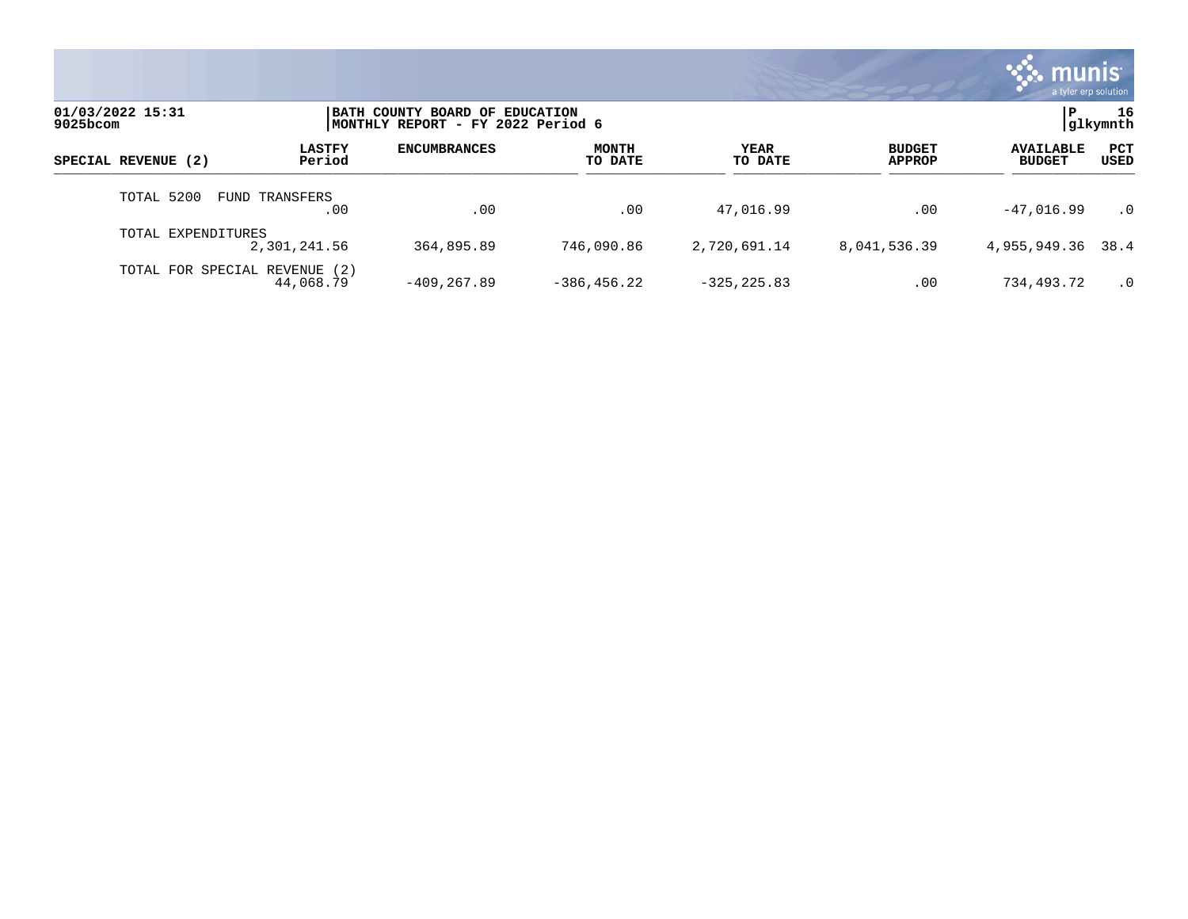

| 01/03/2022 15:31<br>$9025$ bcom | BATH COUNTY BOARD OF EDUCATION<br>MONTHLY REPORT - FY 2022 Period 6 |                     |                         |                 |                                |                                   | 16<br> glkymnth      |
|---------------------------------|---------------------------------------------------------------------|---------------------|-------------------------|-----------------|--------------------------------|-----------------------------------|----------------------|
| SPECIAL REVENUE (2)             | <b>LASTFY</b><br>Period                                             | <b>ENCUMBRANCES</b> | <b>MONTH</b><br>TO DATE | YEAR<br>TO DATE | <b>BUDGET</b><br><b>APPROP</b> | <b>AVAILABLE</b><br><b>BUDGET</b> | <b>PCT</b><br>USED   |
| TOTAL 5200                      | FUND TRANSFERS<br>.00                                               | .00                 | .00                     | 47,016.99       | .00                            | $-47,016.99$                      | $\cdot$ <sup>0</sup> |
| TOTAL EXPENDITURES              | 2,301,241.56                                                        | 364,895.89          | 746,090.86              | 2,720,691.14    | 8,041,536.39                   | 4,955,949.36 38.4                 |                      |
| TOTAL FOR SPECIAL REVENUE       | (2)<br>44,068.79                                                    | $-409.267.89$       | $-386, 456.22$          | $-325, 225.83$  | .00                            | 734,493.72                        | $\cdot$ 0            |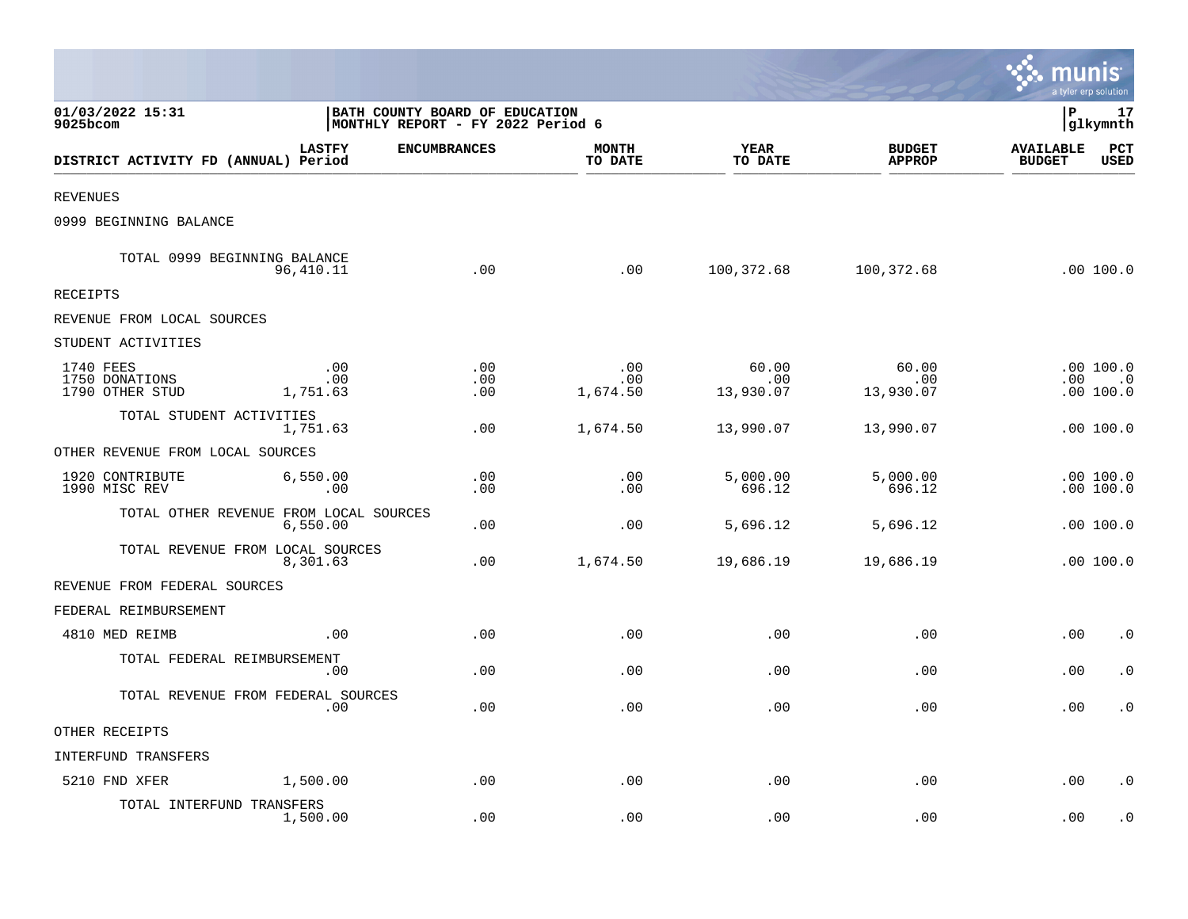|                                                |                                                                     |                     |                         |                           |                                | munis                             | a tyler erp solution                |
|------------------------------------------------|---------------------------------------------------------------------|---------------------|-------------------------|---------------------------|--------------------------------|-----------------------------------|-------------------------------------|
| 01/03/2022 15:31<br>9025bcom                   | BATH COUNTY BOARD OF EDUCATION<br>MONTHLY REPORT - FY 2022 Period 6 |                     |                         |                           |                                | lР                                | 17<br> glkymnth                     |
| DISTRICT ACTIVITY FD (ANNUAL) Period           | <b>LASTFY</b>                                                       | <b>ENCUMBRANCES</b> | <b>MONTH</b><br>TO DATE | <b>YEAR</b><br>TO DATE    | <b>BUDGET</b><br><b>APPROP</b> | <b>AVAILABLE</b><br><b>BUDGET</b> | PCT<br><b>USED</b>                  |
| <b>REVENUES</b>                                |                                                                     |                     |                         |                           |                                |                                   |                                     |
| 0999 BEGINNING BALANCE                         |                                                                     |                     |                         |                           |                                |                                   |                                     |
| TOTAL 0999 BEGINNING BALANCE                   | 96,410.11                                                           | .00                 | .00                     | 100,372.68                | 100,372.68                     |                                   | .00 100.0                           |
| <b>RECEIPTS</b>                                |                                                                     |                     |                         |                           |                                |                                   |                                     |
| REVENUE FROM LOCAL SOURCES                     |                                                                     |                     |                         |                           |                                |                                   |                                     |
| STUDENT ACTIVITIES                             |                                                                     |                     |                         |                           |                                |                                   |                                     |
| 1740 FEES<br>1750 DONATIONS<br>1790 OTHER STUD | .00<br>.00<br>1,751.63                                              | .00<br>.00<br>.00   | .00<br>.00<br>1,674.50  | 60.00<br>.00<br>13,930.07 | 60.00<br>.00<br>13,930.07      |                                   | .00100.0<br>$.00$ $.0$<br>.00 100.0 |
| TOTAL STUDENT ACTIVITIES                       | 1,751.63                                                            | .00                 | 1,674.50                | 13,990.07                 | 13,990.07                      |                                   | .00100.0                            |
| OTHER REVENUE FROM LOCAL SOURCES               |                                                                     |                     |                         |                           |                                |                                   |                                     |
| 1920 CONTRIBUTE<br>1990 MISC REV               | 6,550.00<br>.00                                                     | .00<br>.00          | .00<br>.00              | 5,000.00<br>696.12        | 5,000.00<br>696.12             |                                   | .00 100.0<br>.00 100.0              |
| TOTAL OTHER REVENUE FROM LOCAL SOURCES         | 6,550.00                                                            | .00                 | .00                     | 5,696.12                  | 5,696.12                       |                                   | .00 100.0                           |
| TOTAL REVENUE FROM LOCAL SOURCES               | 8,301.63                                                            | .00                 | 1,674.50                | 19,686.19                 | 19,686.19                      |                                   | .00 100.0                           |
| REVENUE FROM FEDERAL SOURCES                   |                                                                     |                     |                         |                           |                                |                                   |                                     |
| FEDERAL REIMBURSEMENT                          |                                                                     |                     |                         |                           |                                |                                   |                                     |
| 4810 MED REIMB                                 | .00                                                                 | .00                 | .00                     | .00                       | .00                            | .00                               | $\cdot$ 0                           |
| TOTAL FEDERAL REIMBURSEMENT                    | .00                                                                 | .00                 | .00                     | .00                       | .00                            | .00                               | $\cdot$ 0                           |
| TOTAL REVENUE FROM FEDERAL SOURCES             | .00                                                                 | .00                 | .00                     | .00                       | .00                            | .00                               | . 0                                 |
| OTHER RECEIPTS                                 |                                                                     |                     |                         |                           |                                |                                   |                                     |
| INTERFUND TRANSFERS                            |                                                                     |                     |                         |                           |                                |                                   |                                     |
| 5210 FND XFER                                  | 1,500.00                                                            | .00                 | .00                     | .00                       | .00                            | .00                               | $\cdot$ 0                           |
| TOTAL INTERFUND TRANSFERS                      | 1,500.00                                                            | .00                 | .00                     | .00                       | .00                            | .00                               | $\cdot$ 0                           |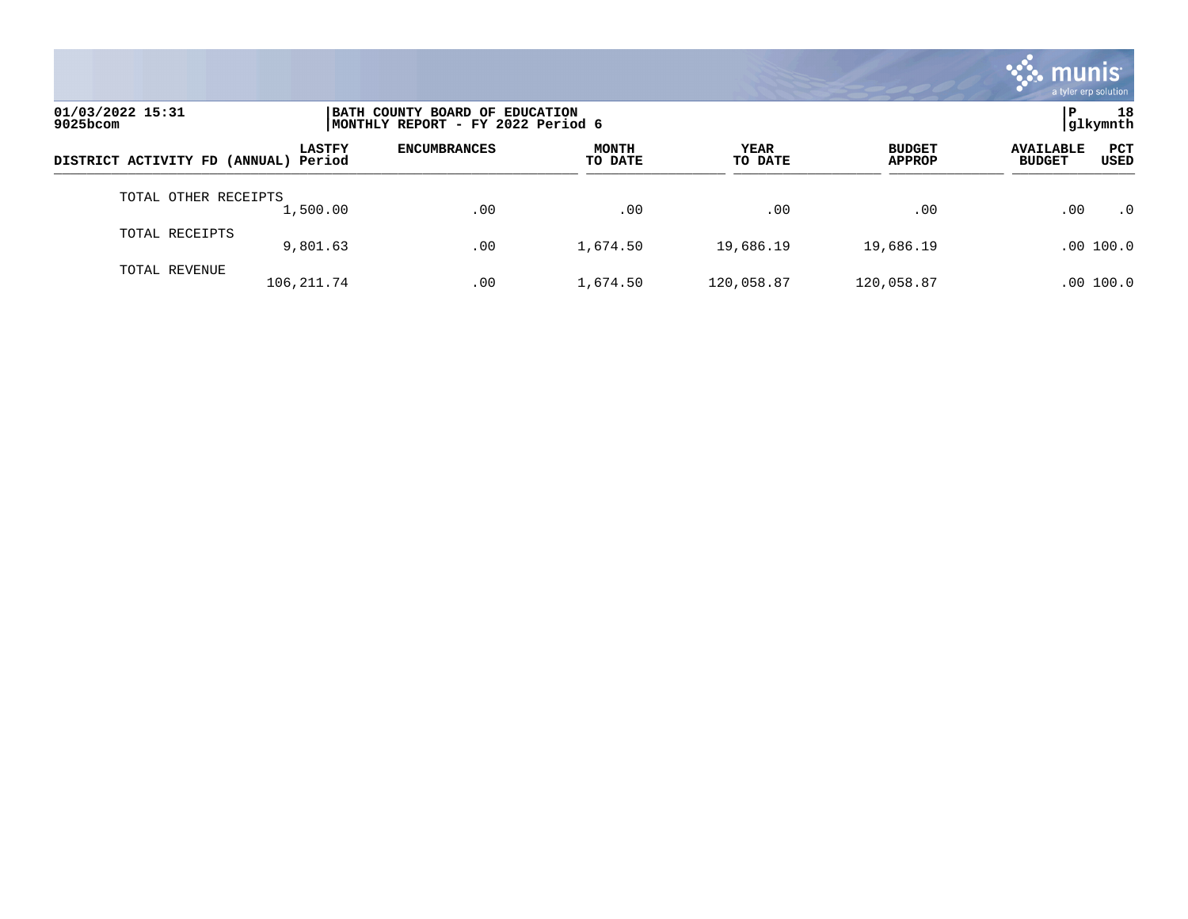

| 01/03/2022 15:31<br>$9025$ bcom |                         | BATH COUNTY BOARD OF EDUCATION<br>MONTHLY REPORT - FY 2022 Period 6 |                         |                 |                                |                                                         |  |  |
|---------------------------------|-------------------------|---------------------------------------------------------------------|-------------------------|-----------------|--------------------------------|---------------------------------------------------------|--|--|
| DISTRICT ACTIVITY FD (ANNUAL)   | <b>LASTFY</b><br>Period | <b>ENCUMBRANCES</b>                                                 | <b>MONTH</b><br>TO DATE | YEAR<br>TO DATE | <b>BUDGET</b><br><b>APPROP</b> | <b>PCT</b><br><b>AVAILABLE</b><br><b>BUDGET</b><br>USED |  |  |
| TOTAL OTHER RECEIPTS            | 1,500.00                | .00                                                                 | .00                     | .00             | .00                            | .00<br>$\cdot$ 0                                        |  |  |
| TOTAL RECEIPTS                  | 9,801.63                | .00                                                                 | 1,674.50                | 19,686.19       | 19,686.19                      | .00 100.0                                               |  |  |
| TOTAL REVENUE                   | 106, 211.74             | .00                                                                 | 1,674.50                | 120,058.87      | 120,058.87                     | .00 100.0                                               |  |  |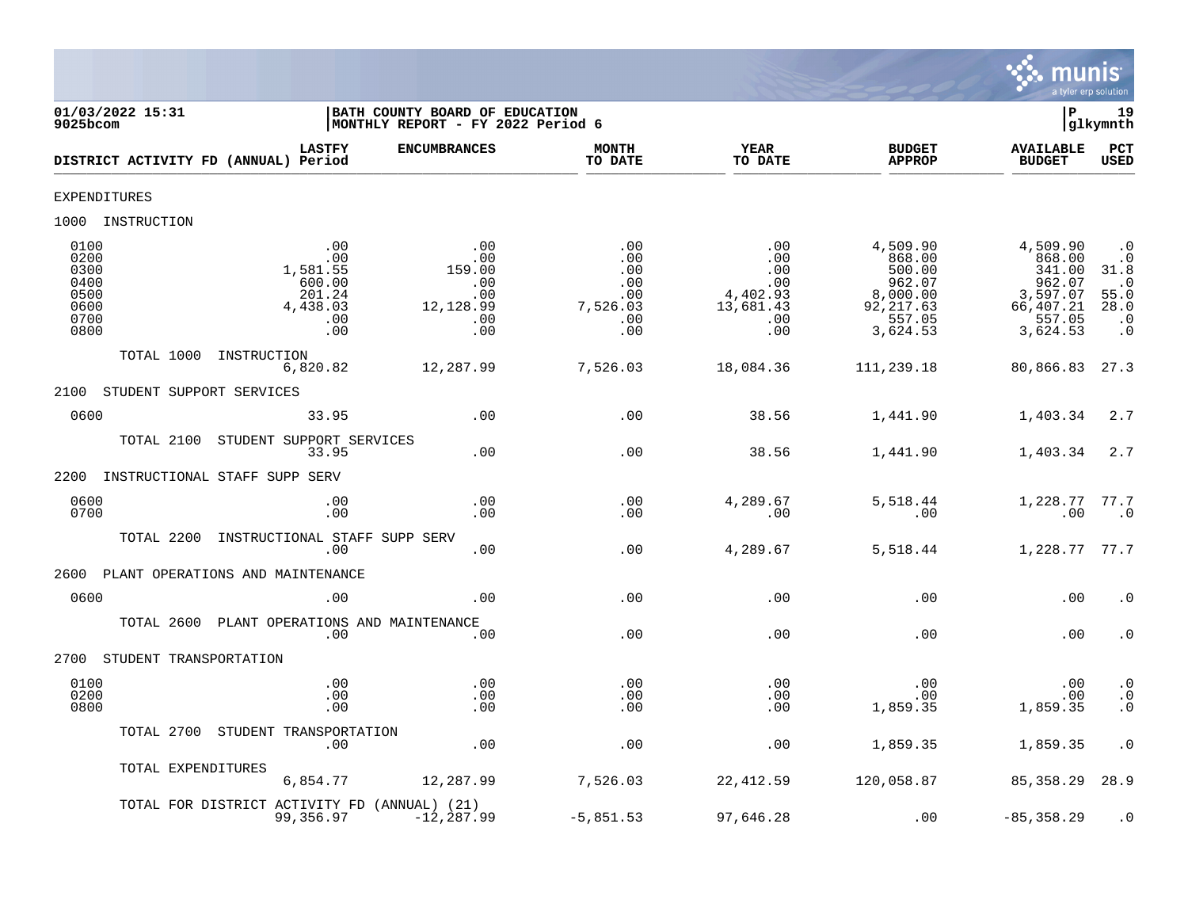

| 01/03/2022 15:31<br>$9025$ bcom                                                                                                      | BATH COUNTY BOARD OF EDUCATION<br>MONTHLY REPORT - FY 2022 Period 6 |                                                                |                                                                 |                                                                                        | Þ                                                                                     | 19<br>glkymnth                                                                        |
|--------------------------------------------------------------------------------------------------------------------------------------|---------------------------------------------------------------------|----------------------------------------------------------------|-----------------------------------------------------------------|----------------------------------------------------------------------------------------|---------------------------------------------------------------------------------------|---------------------------------------------------------------------------------------|
| <b>LASTFY</b><br>DISTRICT ACTIVITY FD (ANNUAL) Period                                                                                | <b>ENCUMBRANCES</b>                                                 | <b>MONTH</b><br>TO DATE                                        | <b>YEAR</b><br>TO DATE                                          | <b>BUDGET</b><br><b>APPROP</b>                                                         | <b>AVAILABLE</b><br><b>BUDGET</b>                                                     | <b>PCT</b><br>USED                                                                    |
| <b>EXPENDITURES</b>                                                                                                                  |                                                                     |                                                                |                                                                 |                                                                                        |                                                                                       |                                                                                       |
| 1000 INSTRUCTION                                                                                                                     |                                                                     |                                                                |                                                                 |                                                                                        |                                                                                       |                                                                                       |
| 0100<br>.00<br>0200<br>.00<br>1,581.55<br>0300<br>0400<br>600.00<br>0500<br>201.24<br>0600<br>4,438.03<br>0700<br>.00<br>0800<br>.00 | .00<br>.00<br>159.00<br>.00<br>.00<br>12,128.99<br>.00<br>.00       | .00<br>.00<br>.00<br>.00<br>.00<br>7,526.03<br>$.00 \,$<br>.00 | .00<br>.00<br>.00<br>.00<br>4,402.93<br>13,681.43<br>.00<br>.00 | 4,509.90<br>868.00<br>500.00<br>962.07<br>8,000.00<br>92, 217.63<br>557.05<br>3,624.53 | 4,509.90<br>868.00<br>341.00<br>962.07<br>3,597.07<br>66,407.21<br>557.05<br>3,624.53 | $\cdot$ 0<br>$\cdot$ 0<br>31.8<br>$\cdot$ 0<br>55.0<br>28.0<br>$\cdot$ 0<br>$\cdot$ 0 |
| TOTAL 1000<br>INSTRUCTION<br>6,820.82                                                                                                | 12,287.99                                                           | 7,526.03                                                       | 18,084.36                                                       | 111,239.18                                                                             | 80,866.83                                                                             | 27.3                                                                                  |
| STUDENT SUPPORT SERVICES<br>2100                                                                                                     |                                                                     |                                                                |                                                                 |                                                                                        |                                                                                       |                                                                                       |
| 0600<br>33.95                                                                                                                        | .00                                                                 | .00                                                            | 38.56                                                           | 1,441.90                                                                               | 1,403.34                                                                              | 2.7                                                                                   |
| TOTAL 2100<br>STUDENT SUPPORT SERVICES<br>33.95                                                                                      | .00                                                                 | .00                                                            | 38.56                                                           | 1,441.90                                                                               | 1,403.34                                                                              | 2.7                                                                                   |
| 2200<br>INSTRUCTIONAL STAFF SUPP SERV                                                                                                |                                                                     |                                                                |                                                                 |                                                                                        |                                                                                       |                                                                                       |
| 0600<br>.00<br>0700<br>.00                                                                                                           | .00<br>.00                                                          | .00<br>.00                                                     | 4,289.67<br>.00                                                 | 5,518.44<br>.00                                                                        | 1,228.77<br>.00                                                                       | 77.7<br>$\cdot$ 0                                                                     |
| TOTAL 2200<br>INSTRUCTIONAL STAFF SUPP SERV<br>.00                                                                                   | .00                                                                 | .00                                                            | 4,289.67                                                        | 5,518.44                                                                               | 1,228.77 77.7                                                                         |                                                                                       |
| PLANT OPERATIONS AND MAINTENANCE<br>2600                                                                                             |                                                                     |                                                                |                                                                 |                                                                                        |                                                                                       |                                                                                       |
| 0600<br>.00                                                                                                                          | .00                                                                 | .00                                                            | .00                                                             | .00                                                                                    | .00                                                                                   | $\cdot$ 0                                                                             |
| TOTAL 2600 PLANT OPERATIONS AND MAINTENANCE<br>.00                                                                                   | .00                                                                 | .00                                                            | .00                                                             | .00                                                                                    | .00                                                                                   | $\cdot$ 0                                                                             |
| 2700<br>STUDENT TRANSPORTATION                                                                                                       |                                                                     |                                                                |                                                                 |                                                                                        |                                                                                       |                                                                                       |
| 0100<br>.00<br>0200<br>.00<br>0800<br>.00                                                                                            | .00<br>.00<br>.00                                                   | .00<br>.00<br>.00                                              | .00<br>.00<br>.00                                               | .00<br>.00<br>1,859.35                                                                 | .00<br>.00<br>1,859.35                                                                | $\cdot$ 0<br>$\ddot{0}$<br>$\cdot$ 0                                                  |
| STUDENT TRANSPORTATION<br>TOTAL 2700<br>.00                                                                                          | .00                                                                 | .00                                                            | .00                                                             | 1,859.35                                                                               | 1,859.35                                                                              | $\cdot$ 0                                                                             |
| TOTAL EXPENDITURES<br>6,854.77                                                                                                       | 12,287.99                                                           | 7,526.03                                                       | 22,412.59                                                       | 120,058.87                                                                             | 85, 358.29                                                                            | 28.9                                                                                  |
| TOTAL FOR DISTRICT ACTIVITY FD (ANNUAL) (21)<br>99,356.97                                                                            | $-12, 287.99$                                                       | $-5,851.53$                                                    | 97,646.28                                                       | .00                                                                                    | $-85, 358.29$                                                                         | $\cdot$ 0                                                                             |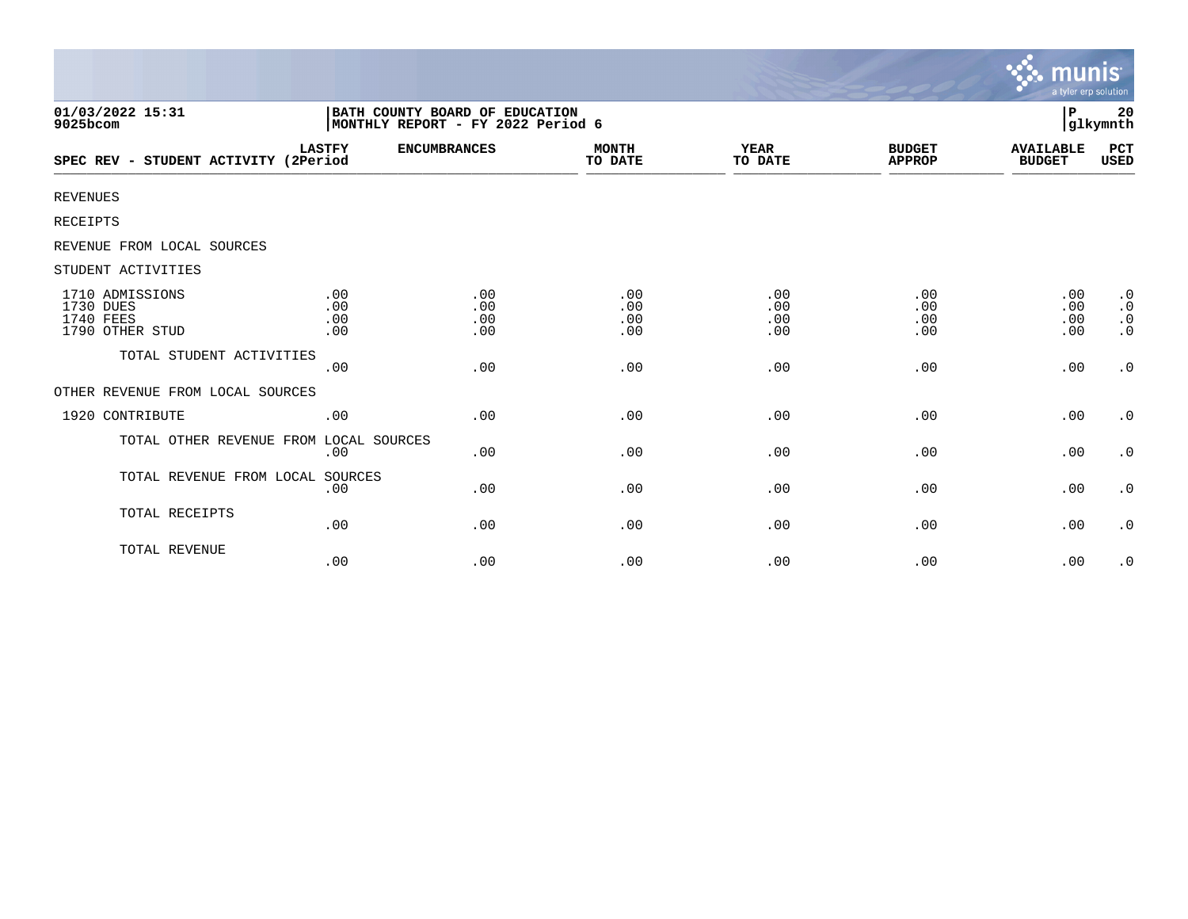|                                                              |                                                                     |                          |                          |                          |                                | <b>munis</b><br>a tyler erp solution |                                                  |
|--------------------------------------------------------------|---------------------------------------------------------------------|--------------------------|--------------------------|--------------------------|--------------------------------|--------------------------------------|--------------------------------------------------|
| 01/03/2022 15:31<br>9025bcom                                 | BATH COUNTY BOARD OF EDUCATION<br>MONTHLY REPORT - FY 2022 Period 6 |                          |                          |                          |                                | P                                    | 20<br>glkymnth                                   |
| SPEC REV - STUDENT ACTIVITY (2Period                         | <b>LASTFY</b>                                                       | <b>ENCUMBRANCES</b>      | <b>MONTH</b><br>TO DATE  | YEAR<br>TO DATE          | <b>BUDGET</b><br><b>APPROP</b> | <b>AVAILABLE</b><br><b>BUDGET</b>    | PCT<br>USED                                      |
| <b>REVENUES</b>                                              |                                                                     |                          |                          |                          |                                |                                      |                                                  |
| RECEIPTS                                                     |                                                                     |                          |                          |                          |                                |                                      |                                                  |
| REVENUE FROM LOCAL SOURCES                                   |                                                                     |                          |                          |                          |                                |                                      |                                                  |
| STUDENT ACTIVITIES                                           |                                                                     |                          |                          |                          |                                |                                      |                                                  |
| 1710 ADMISSIONS<br>1730 DUES<br>1740 FEES<br>1790 OTHER STUD | .00<br>.00<br>.00<br>.00                                            | .00<br>.00<br>.00<br>.00 | .00<br>.00<br>.00<br>.00 | .00<br>.00<br>.00<br>.00 | .00<br>.00<br>.00<br>.00       | .00<br>.00<br>.00<br>.00             | $\cdot$ 0<br>$\cdot$ 0<br>$\cdot$ 0<br>$\cdot$ 0 |
| TOTAL STUDENT ACTIVITIES                                     | .00                                                                 | .00                      | .00                      | .00                      | .00                            | .00                                  | $\boldsymbol{\cdot}$ 0                           |
| OTHER REVENUE FROM LOCAL SOURCES                             |                                                                     |                          |                          |                          |                                |                                      |                                                  |
| 1920 CONTRIBUTE                                              | .00                                                                 | .00                      | .00                      | .00                      | .00                            | .00                                  | $\cdot$ 0                                        |
| TOTAL OTHER REVENUE FROM LOCAL SOURCES                       | .00                                                                 | .00                      | .00                      | .00                      | .00                            | .00                                  | $\cdot$ 0                                        |
| TOTAL REVENUE FROM LOCAL SOURCES                             | .00                                                                 | .00                      | .00                      | .00                      | .00                            | .00                                  | $\cdot$ 0                                        |
| TOTAL RECEIPTS                                               | .00                                                                 | .00                      | .00                      | .00                      | .00                            | .00                                  | $\cdot$ 0                                        |
| TOTAL REVENUE                                                | .00                                                                 | .00                      | .00                      | .00                      | .00                            | .00                                  | $\cdot$ 0                                        |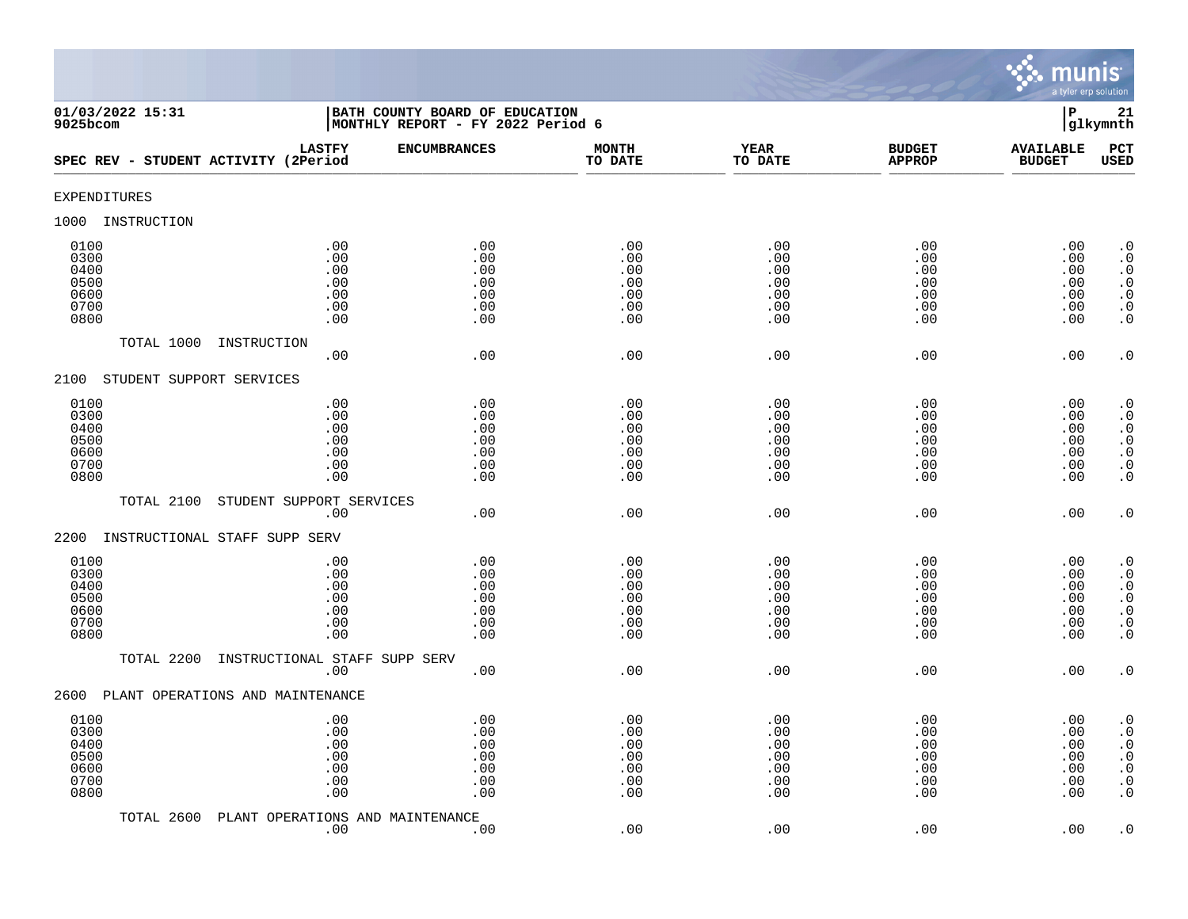

| 01/03/2022 15:31<br>9025bcom                         |                                               | BATH COUNTY BOARD OF EDUCATION<br>MONTHLY REPORT - FY 2022 Period 6 |                                               |                                               |                                               | $\, {\bf P}$                                  | 21<br>glkymnth                                                                                                                                |
|------------------------------------------------------|-----------------------------------------------|---------------------------------------------------------------------|-----------------------------------------------|-----------------------------------------------|-----------------------------------------------|-----------------------------------------------|-----------------------------------------------------------------------------------------------------------------------------------------------|
| SPEC REV - STUDENT ACTIVITY (2Period                 | <b>LASTFY</b>                                 | <b>ENCUMBRANCES</b>                                                 | <b>MONTH</b><br>TO DATE                       | <b>YEAR</b><br>TO DATE                        | <b>BUDGET</b><br><b>APPROP</b>                | <b>AVAILABLE</b><br><b>BUDGET</b>             | PCT<br><b>USED</b>                                                                                                                            |
| EXPENDITURES                                         |                                               |                                                                     |                                               |                                               |                                               |                                               |                                                                                                                                               |
| INSTRUCTION<br>1000                                  |                                               |                                                                     |                                               |                                               |                                               |                                               |                                                                                                                                               |
| 0100<br>0300<br>0400<br>0500<br>0600<br>0700<br>0800 | .00<br>.00<br>.00<br>.00<br>.00<br>.00<br>.00 | .00<br>.00<br>.00<br>.00<br>.00<br>.00<br>.00                       | .00<br>.00<br>.00<br>.00<br>.00<br>.00<br>.00 | .00<br>.00<br>.00<br>.00<br>.00<br>.00<br>.00 | .00<br>.00<br>.00<br>.00<br>.00<br>.00<br>.00 | .00<br>.00<br>.00<br>.00<br>.00<br>.00<br>.00 | $\cdot$ 0<br>$\boldsymbol{\cdot}$ 0<br>$\cdot$ 0<br>$\begin{smallmatrix} 0.1 \\ 0.1 \end{smallmatrix}$<br>$\boldsymbol{\cdot}$ 0<br>$\cdot$ 0 |
| TOTAL 1000                                           | INSTRUCTION<br>.00                            | .00                                                                 | .00                                           | .00                                           | .00                                           | .00                                           | $\cdot$ 0                                                                                                                                     |
| 2100<br>STUDENT SUPPORT SERVICES                     |                                               |                                                                     |                                               |                                               |                                               |                                               |                                                                                                                                               |
| 0100<br>0300<br>0400<br>0500<br>0600<br>0700<br>0800 | .00<br>.00<br>.00<br>.00<br>.00<br>.00<br>.00 | .00<br>.00<br>.00<br>.00<br>.00<br>.00<br>.00                       | .00<br>.00<br>.00<br>.00<br>.00<br>.00<br>.00 | .00<br>.00<br>.00<br>.00<br>.00<br>.00<br>.00 | .00<br>.00<br>.00<br>.00<br>.00<br>.00<br>.00 | .00<br>.00<br>.00<br>.00<br>.00<br>.00<br>.00 | $\begin{smallmatrix} 0.1 \\ 0.1 \end{smallmatrix}$<br>$\cdot$ 0<br>$\begin{array}{c} 0.0 \\ 0.0 \\ 0.0 \end{array}$<br>$\cdot$ 0              |
| TOTAL 2100                                           | STUDENT SUPPORT SERVICES<br>.00               | .00                                                                 | .00                                           | .00                                           | .00                                           | .00                                           | $\cdot$ 0                                                                                                                                     |
| INSTRUCTIONAL STAFF SUPP SERV<br>2200                |                                               |                                                                     |                                               |                                               |                                               |                                               |                                                                                                                                               |
| 0100<br>0300<br>0400<br>0500<br>0600<br>0700<br>0800 | .00<br>.00<br>.00<br>.00<br>.00<br>.00<br>.00 | .00<br>.00<br>.00<br>.00<br>.00<br>.00<br>.00                       | .00<br>.00<br>.00<br>.00<br>.00<br>.00<br>.00 | .00<br>.00<br>.00<br>.00<br>.00<br>.00<br>.00 | .00<br>.00<br>.00<br>.00<br>.00<br>.00<br>.00 | .00<br>.00<br>.00<br>.00<br>.00<br>.00<br>.00 | $\cdot$ 0<br>$\ddot{0}$<br>$\boldsymbol{\cdot}$ 0<br>$\overline{0}$<br>$\ddot{\theta}$<br>$\cdot$ 0<br>$\overline{0}$ .                       |
| TOTAL 2200                                           | INSTRUCTIONAL STAFF SUPP SERV<br>.00          | .00                                                                 | .00                                           | .00                                           | .00                                           | .00                                           | $\cdot$ 0                                                                                                                                     |
| 2600<br>PLANT OPERATIONS AND MAINTENANCE             |                                               |                                                                     |                                               |                                               |                                               |                                               |                                                                                                                                               |
| 0100<br>0300<br>0400<br>0500<br>0600<br>0700<br>0800 | .00<br>.00<br>.00<br>.00<br>.00<br>.00<br>.00 | .00<br>.00<br>.00<br>.00<br>.00<br>.00<br>.00                       | .00<br>.00<br>.00<br>.00<br>.00<br>.00<br>.00 | .00<br>.00<br>.00<br>.00<br>.00<br>.00<br>.00 | .00<br>.00<br>.00<br>.00<br>.00<br>.00<br>.00 | .00<br>.00<br>.00<br>.00<br>.00<br>.00<br>.00 | $\cdot$ 0<br>$\cdot$ 0<br>$\boldsymbol{\cdot}$ 0<br>$\ddot{0}$<br>$\boldsymbol{\cdot}$ 0<br>$\boldsymbol{\cdot}$ 0<br>$\cdot$ 0               |
| TOTAL 2600                                           | PLANT OPERATIONS AND MAINTENANCE<br>.00       | .00                                                                 | .00                                           | .00                                           | .00                                           | .00                                           | $\cdot$ 0                                                                                                                                     |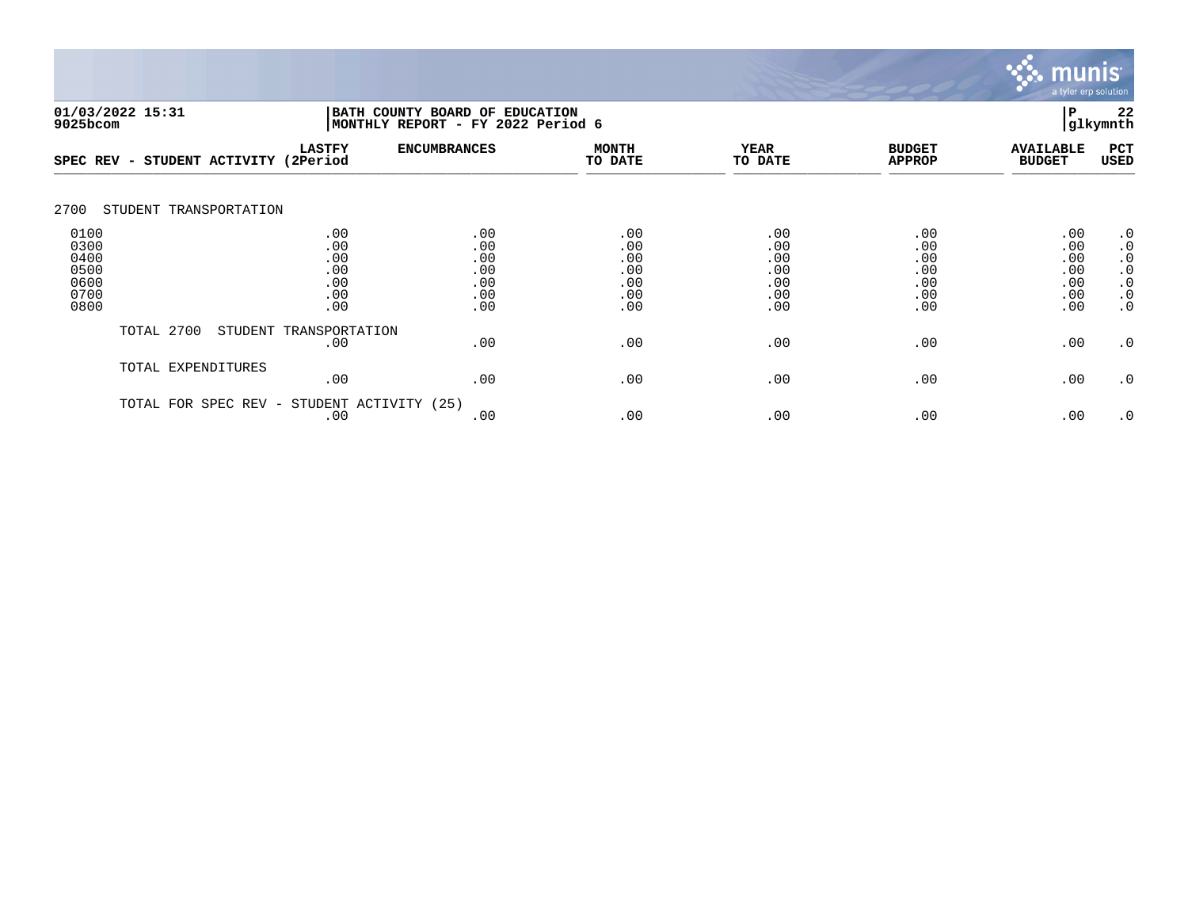

| 9025bcom                                             | 01/03/2022 15:31        |                                               | BATH COUNTY BOARD OF<br>P<br><b>EDUCATION</b><br>glkymnth<br>MONTHLY REPORT - FY 2022 Period 6 |                                               |                                               |                                               |                                               |                                                                                         |
|------------------------------------------------------|-------------------------|-----------------------------------------------|------------------------------------------------------------------------------------------------|-----------------------------------------------|-----------------------------------------------|-----------------------------------------------|-----------------------------------------------|-----------------------------------------------------------------------------------------|
| SPEC REV -                                           | STUDENT ACTIVITY        | <b>LASTFY</b><br>(2Period                     | <b>ENCUMBRANCES</b>                                                                            | <b>MONTH</b><br>TO DATE                       | <b>YEAR</b><br>TO DATE                        | <b>BUDGET</b><br><b>APPROP</b>                | <b>AVAILABLE</b><br><b>BUDGET</b>             | PCT<br>USED                                                                             |
| 2700                                                 | STUDENT TRANSPORTATION  |                                               |                                                                                                |                                               |                                               |                                               |                                               |                                                                                         |
| 0100<br>0300<br>0400<br>0500<br>0600<br>0700<br>0800 |                         | .00<br>.00<br>.00<br>.00<br>.00<br>.00<br>.00 | .00<br>.00<br>.00<br>.00<br>.00<br>.00<br>.00                                                  | .00<br>.00<br>.00<br>.00<br>.00<br>.00<br>.00 | .00<br>.00<br>.00<br>.00<br>.00<br>.00<br>.00 | .00<br>.00<br>.00<br>.00<br>.00<br>.00<br>.00 | .00<br>.00<br>.00<br>.00<br>.00<br>.00<br>.00 | $\cdot$ 0<br>$\cdot$ 0<br>$\cdot$ 0<br>$\cdot$ 0<br>$\cdot$ 0<br>$\cdot$ 0<br>$\cdot$ 0 |
|                                                      | TOTAL 2700<br>STUDENT   | TRANSPORTATION<br>.00                         | .00                                                                                            | .00                                           | .00                                           | .00                                           | .00                                           | .0                                                                                      |
|                                                      | TOTAL EXPENDITURES      | .00                                           | .00                                                                                            | .00                                           | .00                                           | .00                                           | .00                                           | $\cdot$ 0                                                                               |
|                                                      | SPEC REV -<br>TOTAL FOR | STUDENT ACTIVITY<br>.00                       | (25)<br>.00                                                                                    | .00                                           | .00                                           | .00                                           | .00                                           | $\cdot$ 0                                                                               |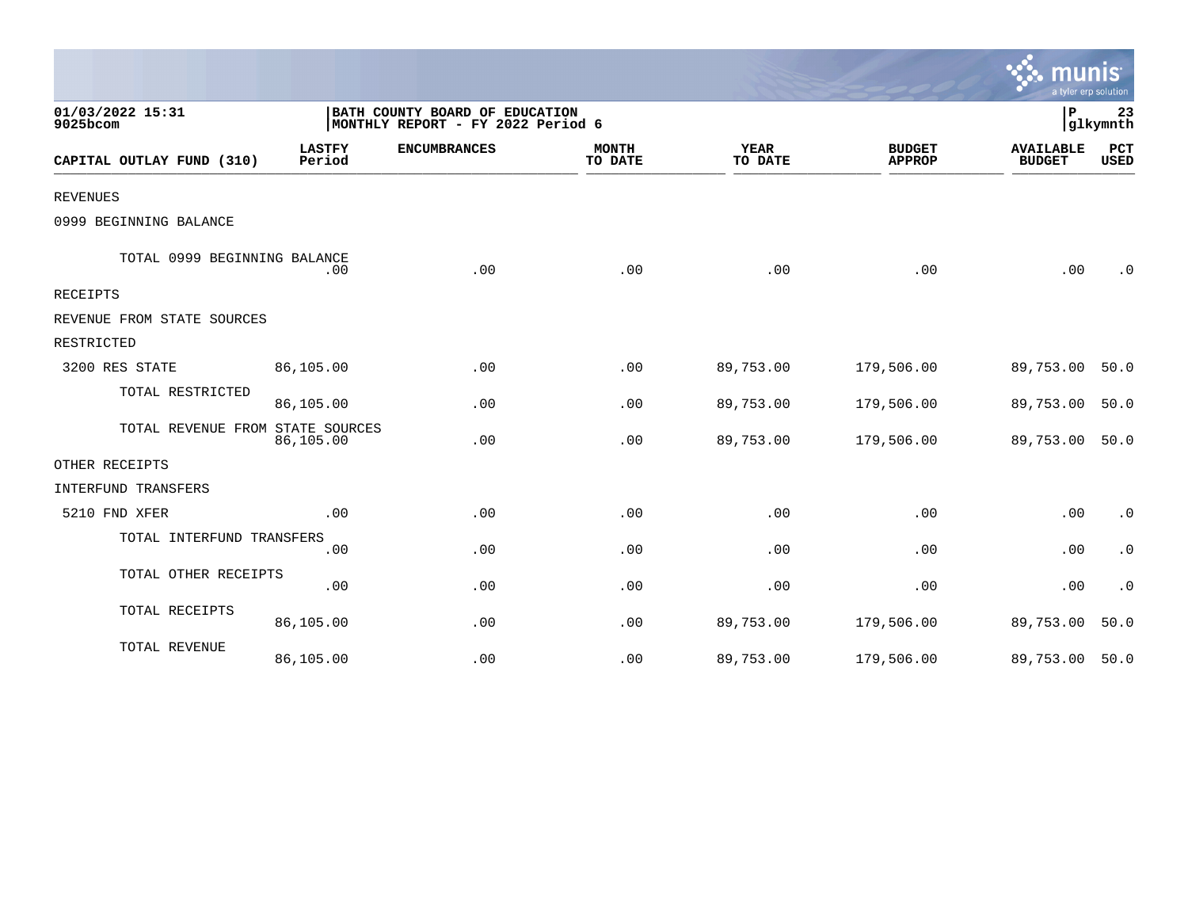|                                  |                                                                     |                     |                         |                 |                                | a tyler erp solution              |                        |
|----------------------------------|---------------------------------------------------------------------|---------------------|-------------------------|-----------------|--------------------------------|-----------------------------------|------------------------|
| 01/03/2022 15:31<br>9025bcom     | BATH COUNTY BOARD OF EDUCATION<br>MONTHLY REPORT - FY 2022 Period 6 |                     |                         |                 | P                              | 23<br>glkymnth                    |                        |
| CAPITAL OUTLAY FUND (310)        | <b>LASTFY</b><br>Period                                             | <b>ENCUMBRANCES</b> | <b>MONTH</b><br>TO DATE | YEAR<br>TO DATE | <b>BUDGET</b><br><b>APPROP</b> | <b>AVAILABLE</b><br><b>BUDGET</b> | PCT<br><b>USED</b>     |
| <b>REVENUES</b>                  |                                                                     |                     |                         |                 |                                |                                   |                        |
| 0999 BEGINNING BALANCE           |                                                                     |                     |                         |                 |                                |                                   |                        |
| TOTAL 0999 BEGINNING BALANCE     | .00                                                                 | .00                 | .00                     | .00             | .00                            | .00                               | $\cdot$ 0              |
| RECEIPTS                         |                                                                     |                     |                         |                 |                                |                                   |                        |
| REVENUE FROM STATE SOURCES       |                                                                     |                     |                         |                 |                                |                                   |                        |
| RESTRICTED                       |                                                                     |                     |                         |                 |                                |                                   |                        |
| 3200 RES STATE                   | 86,105.00                                                           | .00                 | .00                     | 89,753.00       | 179,506.00                     | 89,753.00                         | 50.0                   |
| TOTAL RESTRICTED                 | 86,105.00                                                           | .00                 | .00                     | 89,753.00       | 179,506.00                     | 89,753.00                         | 50.0                   |
| TOTAL REVENUE FROM STATE SOURCES | 86,105.00                                                           | .00                 | .00                     | 89,753.00       | 179,506.00                     | 89,753.00 50.0                    |                        |
| OTHER RECEIPTS                   |                                                                     |                     |                         |                 |                                |                                   |                        |
| INTERFUND TRANSFERS              |                                                                     |                     |                         |                 |                                |                                   |                        |
| 5210 FND XFER                    | .00                                                                 | .00                 | .00                     | .00             | .00                            | .00                               | $\cdot$ 0              |
| TOTAL INTERFUND TRANSFERS        | .00                                                                 | .00                 | .00                     | .00             | .00                            | .00                               | $\cdot$ 0              |
| TOTAL OTHER RECEIPTS             | .00                                                                 | .00                 | .00                     | .00             | .00                            | .00                               | $\boldsymbol{\cdot}$ 0 |
| TOTAL RECEIPTS                   | 86,105.00                                                           | .00                 | .00                     | 89,753.00       | 179,506.00                     | 89,753.00                         | 50.0                   |
| TOTAL REVENUE                    | 86,105.00                                                           | .00                 | .00                     | 89,753.00       | 179,506.00                     | 89,753.00 50.0                    |                        |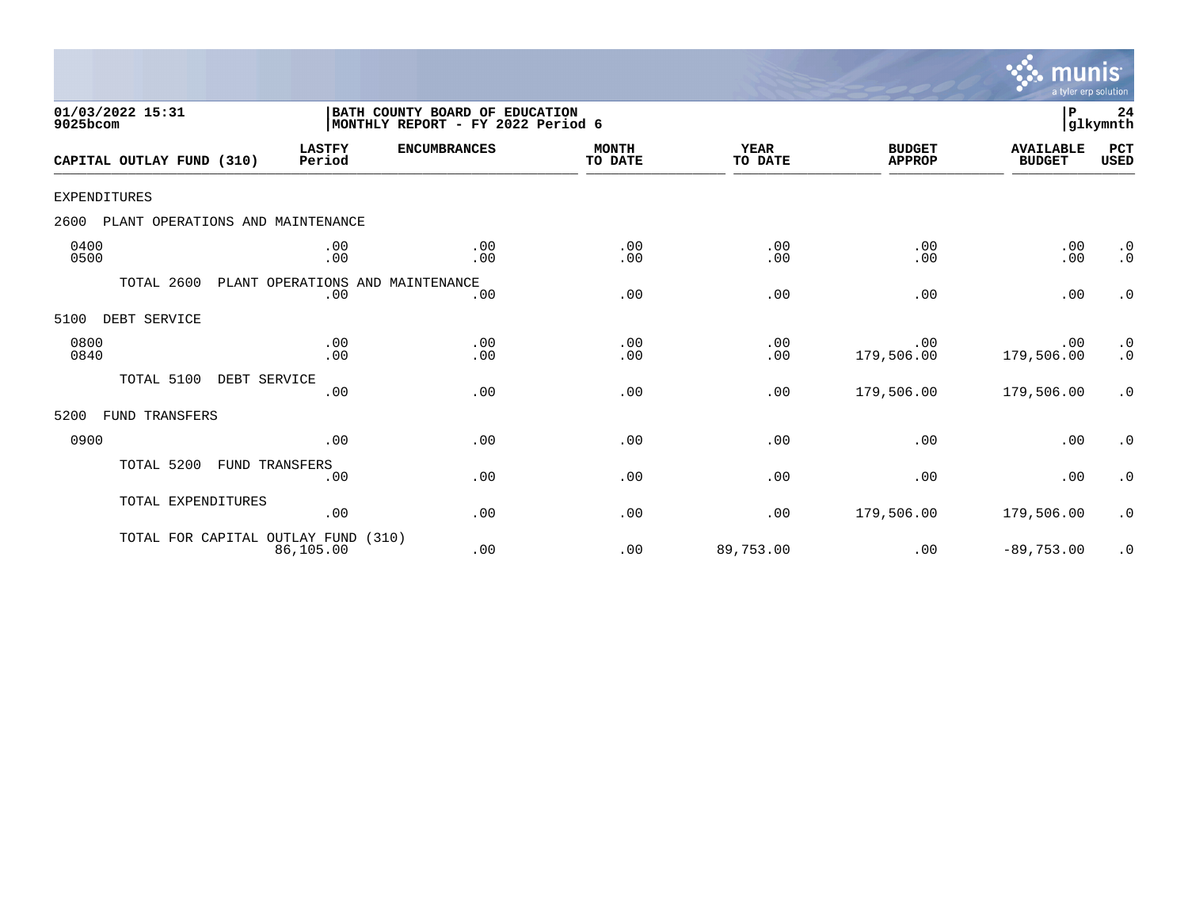

| 01/03/2022 15:31<br>9025bcom             |                                         | BATH COUNTY BOARD OF EDUCATION<br>MONTHLY REPORT - FY 2022 Period 6 |                         |                        |                                | P                                 | 24<br> glkymnth                                   |
|------------------------------------------|-----------------------------------------|---------------------------------------------------------------------|-------------------------|------------------------|--------------------------------|-----------------------------------|---------------------------------------------------|
| CAPITAL OUTLAY FUND (310)                | <b>LASTFY</b><br>Period                 | <b>ENCUMBRANCES</b>                                                 | <b>MONTH</b><br>TO DATE | <b>YEAR</b><br>TO DATE | <b>BUDGET</b><br><b>APPROP</b> | <b>AVAILABLE</b><br><b>BUDGET</b> | PCT<br><b>USED</b>                                |
| <b>EXPENDITURES</b>                      |                                         |                                                                     |                         |                        |                                |                                   |                                                   |
| 2600<br>PLANT OPERATIONS AND MAINTENANCE |                                         |                                                                     |                         |                        |                                |                                   |                                                   |
| 0400<br>0500                             | .00<br>.00                              | .00<br>.00                                                          | .00<br>.00              | .00<br>.00             | .00<br>.00                     | .00<br>.00                        | $\cdot$ 0<br>$\cdot$ 0                            |
| TOTAL 2600                               | PLANT OPERATIONS AND MAINTENANCE<br>.00 | .00                                                                 | .00                     | .00                    | .00                            | .00                               | $\cdot$ 0                                         |
| 5100<br>DEBT SERVICE                     |                                         |                                                                     |                         |                        |                                |                                   |                                                   |
| 0800<br>0840                             | .00<br>.00                              | .00<br>.00                                                          | .00<br>.00              | .00<br>.00             | .00<br>179,506.00              | .00<br>179,506.00                 | $\begin{smallmatrix} 0.1 \ 0.1 \end{smallmatrix}$ |
| TOTAL 5100                               | DEBT SERVICE<br>.00                     | .00                                                                 | .00                     | .00                    | 179,506.00                     | 179,506.00                        | $\cdot$ 0                                         |
| 5200<br>FUND TRANSFERS                   |                                         |                                                                     |                         |                        |                                |                                   |                                                   |
| 0900                                     | .00                                     | .00                                                                 | .00                     | .00                    | .00                            | .00                               | $\cdot$ 0                                         |
| TOTAL 5200                               | <b>FUND TRANSFERS</b><br>.00            | .00                                                                 | .00                     | .00                    | .00                            | .00                               | $\cdot$ 0                                         |
| TOTAL EXPENDITURES                       | .00                                     | .00                                                                 | .00                     | .00                    | 179,506.00                     | 179,506.00                        | $\cdot$ 0                                         |
| TOTAL FOR CAPITAL OUTLAY FUND (310)      | 86,105.00                               | .00                                                                 | .00                     | 89,753.00              | .00                            | $-89,753.00$                      | $\cdot$ 0                                         |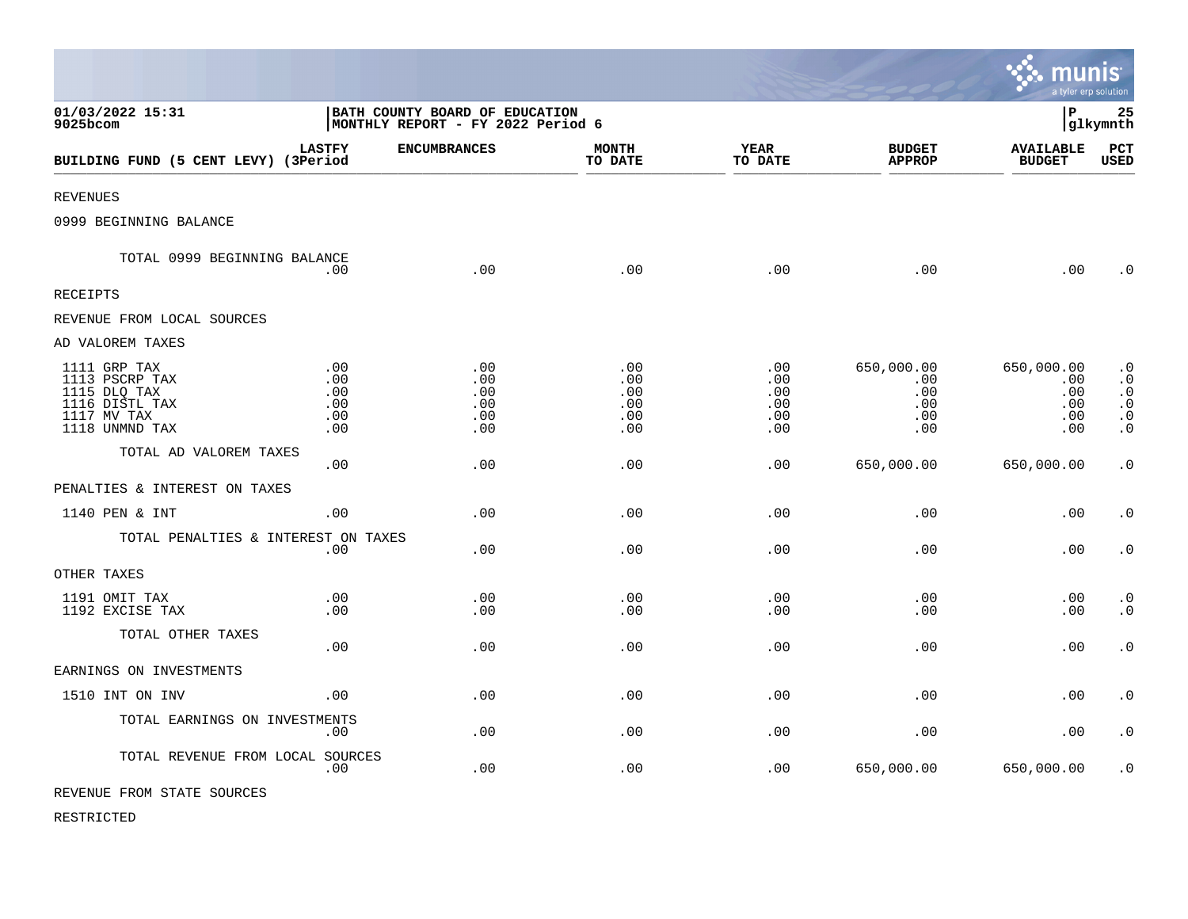|                                                                                                   |                                                                     |                                        |                                        |                                             |                                               | munis<br>a tyler erp solution                 |                                                                            |
|---------------------------------------------------------------------------------------------------|---------------------------------------------------------------------|----------------------------------------|----------------------------------------|---------------------------------------------|-----------------------------------------------|-----------------------------------------------|----------------------------------------------------------------------------|
| 01/03/2022 15:31<br>9025bcom                                                                      | BATH COUNTY BOARD OF EDUCATION<br>MONTHLY REPORT - FY 2022 Period 6 |                                        |                                        |                                             |                                               | l P                                           | 25<br> glkymnth                                                            |
| BUILDING FUND (5 CENT LEVY) (3Period                                                              | <b>LASTFY</b>                                                       | <b>ENCUMBRANCES</b>                    | <b>MONTH</b><br>TO DATE                | YEAR<br>TO DATE                             | <b>BUDGET</b><br><b>APPROP</b>                | <b>AVAILABLE</b><br><b>BUDGET</b>             | PCT<br>USED                                                                |
| <b>REVENUES</b>                                                                                   |                                                                     |                                        |                                        |                                             |                                               |                                               |                                                                            |
| 0999 BEGINNING BALANCE                                                                            |                                                                     |                                        |                                        |                                             |                                               |                                               |                                                                            |
| TOTAL 0999 BEGINNING BALANCE                                                                      | .00                                                                 | .00                                    | .00                                    | .00                                         | .00                                           | .00                                           | $\cdot$ 0                                                                  |
| <b>RECEIPTS</b>                                                                                   |                                                                     |                                        |                                        |                                             |                                               |                                               |                                                                            |
| REVENUE FROM LOCAL SOURCES                                                                        |                                                                     |                                        |                                        |                                             |                                               |                                               |                                                                            |
| AD VALOREM TAXES                                                                                  |                                                                     |                                        |                                        |                                             |                                               |                                               |                                                                            |
| 1111 GRP TAX<br>1113 PSCRP TAX<br>1115 DLQ TAX<br>1116 DISTL TAX<br>1117 MV TAX<br>1118 UNMND TAX | .00<br>.00<br>.00<br>.00<br>.00<br>.00                              | .00<br>.00<br>.00<br>.00<br>.00<br>.00 | .00<br>.00<br>.00<br>.00<br>.00<br>.00 | $.00 \,$<br>.00<br>.00<br>.00<br>.00<br>.00 | 650,000.00<br>.00<br>.00<br>.00<br>.00<br>.00 | 650,000.00<br>.00<br>.00<br>.00<br>.00<br>.00 | $\cdot$ 0<br>$\cdot$ 0<br>$\cdot$ 0<br>$\cdot$ 0<br>$\cdot$ 0<br>$\cdot$ 0 |
| TOTAL AD VALOREM TAXES                                                                            | .00                                                                 | .00                                    | .00                                    | .00                                         | 650,000.00                                    | 650,000.00                                    | $\cdot$ 0                                                                  |
| PENALTIES & INTEREST ON TAXES                                                                     |                                                                     |                                        |                                        |                                             |                                               |                                               |                                                                            |
| 1140 PEN & INT                                                                                    | .00                                                                 | .00                                    | .00                                    | .00                                         | .00                                           | .00                                           | $\cdot$ 0                                                                  |
| TOTAL PENALTIES & INTEREST ON TAXES                                                               | .00                                                                 | .00                                    | .00                                    | .00                                         | .00                                           | .00                                           | $\boldsymbol{\cdot}$ 0                                                     |
| OTHER TAXES                                                                                       |                                                                     |                                        |                                        |                                             |                                               |                                               |                                                                            |
| 1191 OMIT TAX<br>1192 EXCISE TAX                                                                  | .00<br>.00                                                          | .00<br>.00                             | .00<br>.00                             | .00<br>.00                                  | .00<br>.00                                    | .00<br>.00                                    | $\cdot$ 0<br>$\cdot$ 0                                                     |
| TOTAL OTHER TAXES                                                                                 | .00                                                                 | .00                                    | .00                                    | .00                                         | .00                                           | .00                                           | $\boldsymbol{\cdot}$ 0                                                     |
| EARNINGS ON INVESTMENTS                                                                           |                                                                     |                                        |                                        |                                             |                                               |                                               |                                                                            |
| 1510 INT ON INV                                                                                   | .00                                                                 | .00                                    | .00                                    | .00                                         | .00                                           | .00                                           | $\cdot$ 0                                                                  |
| TOTAL EARNINGS ON INVESTMENTS                                                                     | .00                                                                 | .00.                                   | .00                                    | .00                                         | .00                                           | .00                                           | $\cdot$ 0                                                                  |
| TOTAL REVENUE FROM LOCAL SOURCES                                                                  | .00                                                                 | .00                                    | .00                                    | .00                                         | 650,000.00                                    | 650,000.00                                    | $\cdot$ 0                                                                  |
| REVENUE FROM STATE SOURCES                                                                        |                                                                     |                                        |                                        |                                             |                                               |                                               |                                                                            |

 $\mathcal{L}$ 

RESTRICTED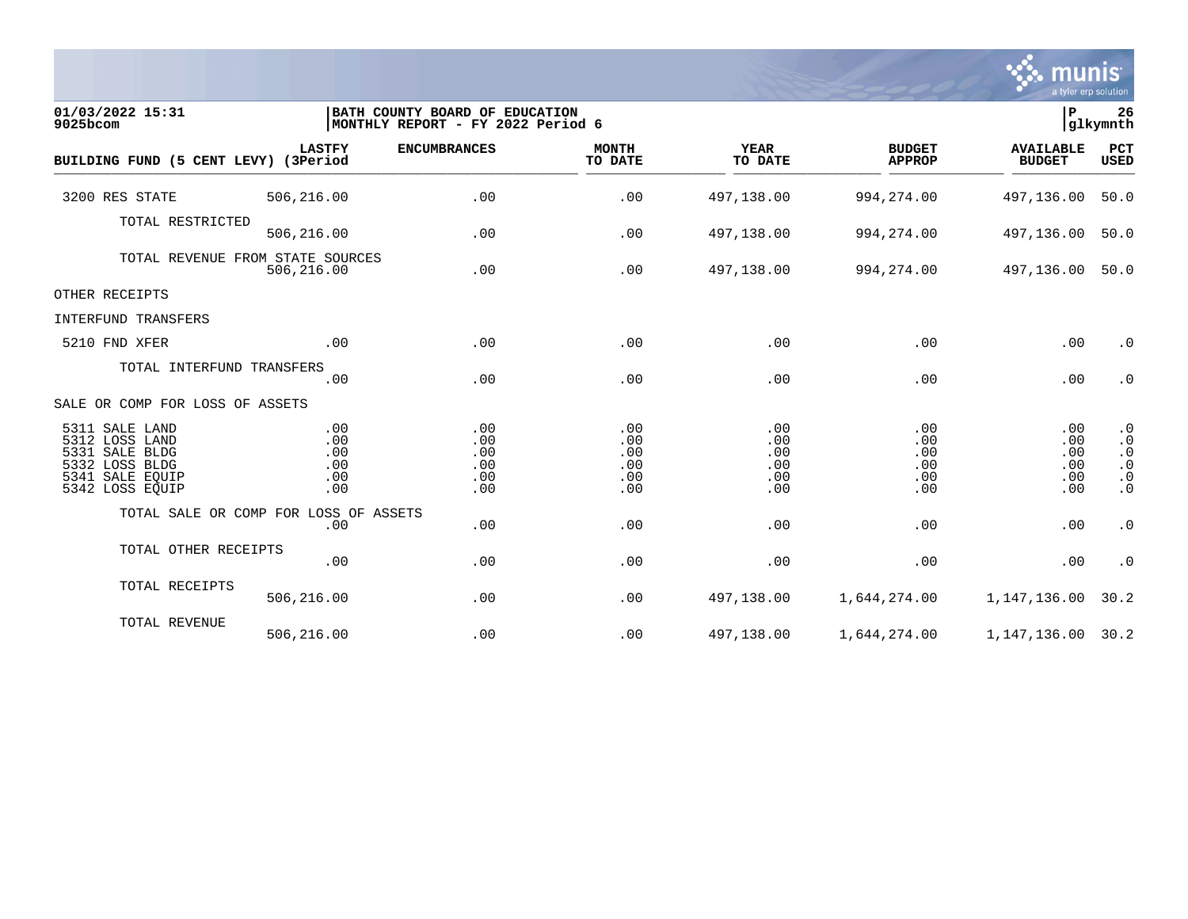

| 01/03/2022 15:31<br>9025bcom                                                                                  |                                                | BATH COUNTY BOARD OF EDUCATION<br>MONTHLY REPORT - FY 2022 Period 6 |                                        |                                        |                                        | P                                      | 26<br>glkymnth                                                             |
|---------------------------------------------------------------------------------------------------------------|------------------------------------------------|---------------------------------------------------------------------|----------------------------------------|----------------------------------------|----------------------------------------|----------------------------------------|----------------------------------------------------------------------------|
| BUILDING FUND (5 CENT LEVY) (3Period                                                                          | <b>LASTFY</b>                                  | <b>ENCUMBRANCES</b>                                                 | <b>MONTH</b><br>TO DATE                | <b>YEAR</b><br>TO DATE                 | <b>BUDGET</b><br><b>APPROP</b>         | <b>AVAILABLE</b><br><b>BUDGET</b>      | PCT<br><b>USED</b>                                                         |
| 3200 RES STATE                                                                                                | 506,216.00                                     | .00                                                                 | .00                                    | 497,138.00                             | 994, 274.00                            | 497,136.00                             | 50.0                                                                       |
| TOTAL RESTRICTED                                                                                              | 506,216.00                                     | .00                                                                 | .00                                    | 497,138.00                             | 994, 274.00                            | 497,136.00                             | 50.0                                                                       |
|                                                                                                               | TOTAL REVENUE FROM STATE SOURCES<br>506,216.00 | .00                                                                 | .00                                    | 497,138.00                             | 994, 274.00                            | 497,136.00                             | 50.0                                                                       |
| OTHER RECEIPTS                                                                                                |                                                |                                                                     |                                        |                                        |                                        |                                        |                                                                            |
| INTERFUND TRANSFERS                                                                                           |                                                |                                                                     |                                        |                                        |                                        |                                        |                                                                            |
| 5210 FND XFER                                                                                                 | .00                                            | .00                                                                 | .00                                    | .00                                    | .00                                    | .00                                    | $\cdot$ 0                                                                  |
| TOTAL INTERFUND TRANSFERS                                                                                     | .00                                            | .00                                                                 | .00                                    | .00                                    | .00                                    | .00                                    | $\cdot$ 0                                                                  |
| SALE OR COMP FOR LOSS OF ASSETS                                                                               |                                                |                                                                     |                                        |                                        |                                        |                                        |                                                                            |
| 5311 SALE LAND<br>5312 LOSS LAND<br>5331 SALE BLDG<br>5332 LOSS BLDG<br>5341<br>SALE EQUIP<br>5342 LOSS EQUIP | .00<br>.00<br>.00<br>.00<br>.00<br>.00         | .00<br>.00<br>.00<br>.00<br>.00<br>.00                              | .00<br>.00<br>.00<br>.00<br>.00<br>.00 | .00<br>.00<br>.00<br>.00<br>.00<br>.00 | .00<br>.00<br>.00<br>.00<br>.00<br>.00 | .00<br>.00<br>.00<br>.00<br>.00<br>.00 | $\cdot$ 0<br>$\cdot$ 0<br>$\cdot$ 0<br>$\cdot$ 0<br>$\cdot$ 0<br>$\cdot$ 0 |
|                                                                                                               | TOTAL SALE OR COMP FOR LOSS OF ASSETS<br>.00   | .00                                                                 | .00                                    | .00                                    | .00                                    | .00                                    | $\cdot$ 0                                                                  |
| TOTAL OTHER RECEIPTS                                                                                          | .00                                            | .00                                                                 | .00                                    | .00                                    | .00                                    | .00                                    | $\cdot$ 0                                                                  |
| TOTAL RECEIPTS                                                                                                | 506,216.00                                     | .00                                                                 | .00                                    | 497,138.00                             | 1,644,274.00                           | 1,147,136.00                           | 30.2                                                                       |
| TOTAL REVENUE                                                                                                 | 506,216.00                                     | .00                                                                 | .00                                    | 497,138.00                             | 1,644,274.00                           | 1, 147, 136.00 30.2                    |                                                                            |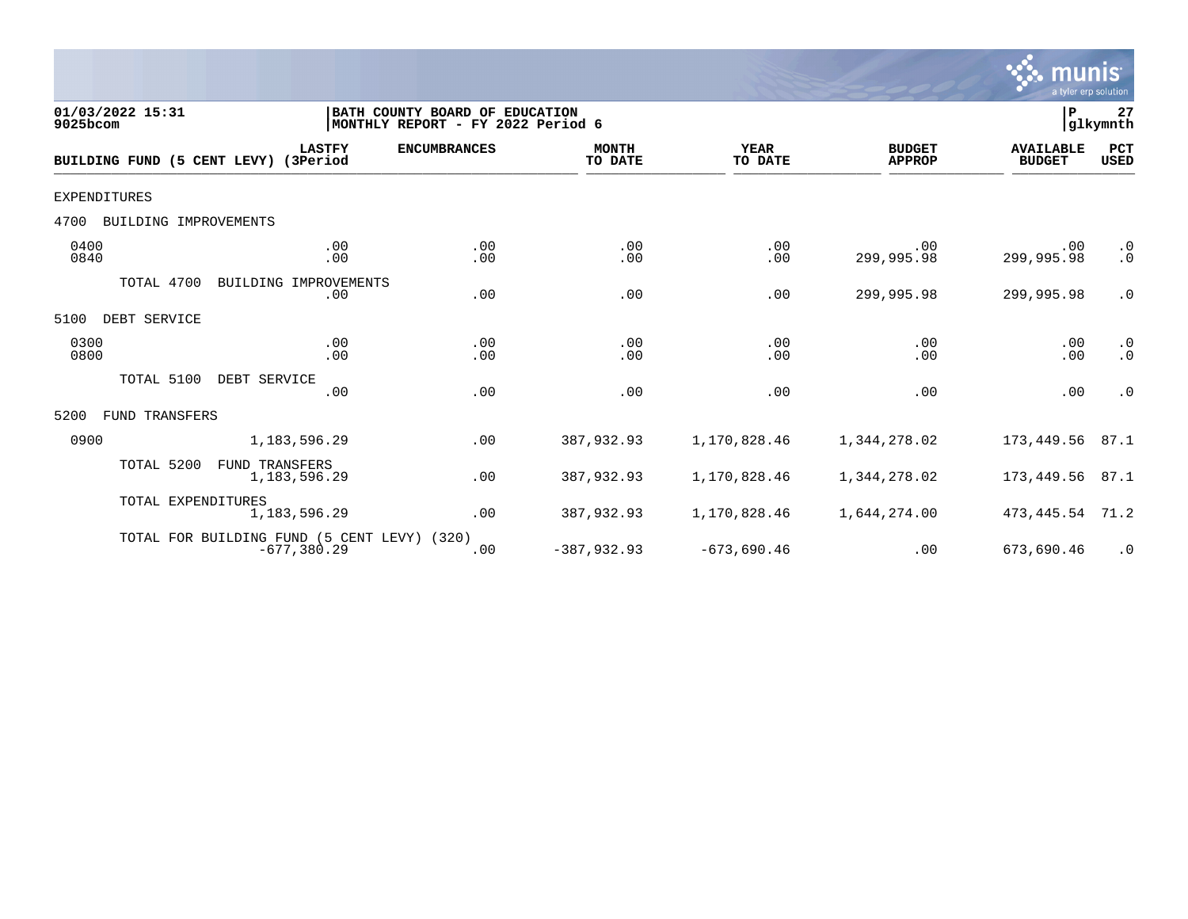

| 01/03/2022 15:31<br>9025bcom         |                                                               | BATH COUNTY BOARD OF EDUCATION<br>MONTHLY REPORT - FY 2022 Period 6 |                         |                        |                                | P                                 | 27<br>glkymnth         |
|--------------------------------------|---------------------------------------------------------------|---------------------------------------------------------------------|-------------------------|------------------------|--------------------------------|-----------------------------------|------------------------|
| BUILDING FUND (5 CENT LEVY) (3Period | <b>LASTFY</b>                                                 | <b>ENCUMBRANCES</b>                                                 | <b>MONTH</b><br>TO DATE | <b>YEAR</b><br>TO DATE | <b>BUDGET</b><br><b>APPROP</b> | <b>AVAILABLE</b><br><b>BUDGET</b> | PCT<br><b>USED</b>     |
| EXPENDITURES                         |                                                               |                                                                     |                         |                        |                                |                                   |                        |
| 4700<br>BUILDING IMPROVEMENTS        |                                                               |                                                                     |                         |                        |                                |                                   |                        |
| 0400<br>0840                         | .00<br>.00                                                    | .00<br>.00                                                          | .00<br>.00              | .00<br>.00             | .00<br>299,995.98              | .00<br>299,995.98                 | $\cdot$ 0<br>$\cdot$ 0 |
| TOTAL 4700                           | BUILDING IMPROVEMENTS<br>.00                                  | .00                                                                 | .00                     | .00                    | 299,995.98                     | 299,995.98                        | $\cdot$ 0              |
| DEBT SERVICE<br>5100                 |                                                               |                                                                     |                         |                        |                                |                                   |                        |
| 0300<br>0800                         | .00<br>.00                                                    | .00<br>.00                                                          | .00<br>.00              | .00<br>.00             | .00<br>.00                     | .00<br>.00                        | $\cdot$ 0<br>$\cdot$ 0 |
| TOTAL 5100                           | DEBT SERVICE<br>.00                                           | .00                                                                 | .00                     | .00                    | .00                            | .00                               | $\cdot$ 0              |
| 5200<br>FUND TRANSFERS               |                                                               |                                                                     |                         |                        |                                |                                   |                        |
| 0900                                 | 1,183,596.29                                                  | .00                                                                 | 387,932.93              | 1,170,828.46           | 1,344,278.02                   | 173,449.56                        | 87.1                   |
| TOTAL 5200                           | <b>FUND TRANSFERS</b><br>1,183,596.29                         | .00                                                                 | 387,932.93              | 1,170,828.46           | 1,344,278.02                   | 173,449.56                        | 87.1                   |
| TOTAL EXPENDITURES                   | 1,183,596.29                                                  | .00                                                                 | 387,932.93              | 1,170,828.46           | 1,644,274.00                   | 473,445.54                        | 71.2                   |
|                                      | TOTAL FOR BUILDING FUND (5 CENT LEVY) (320)<br>$-677, 380.29$ | .00                                                                 | $-387,932.93$           | $-673,690.46$          | .00                            | 673,690.46                        | $\cdot$ 0              |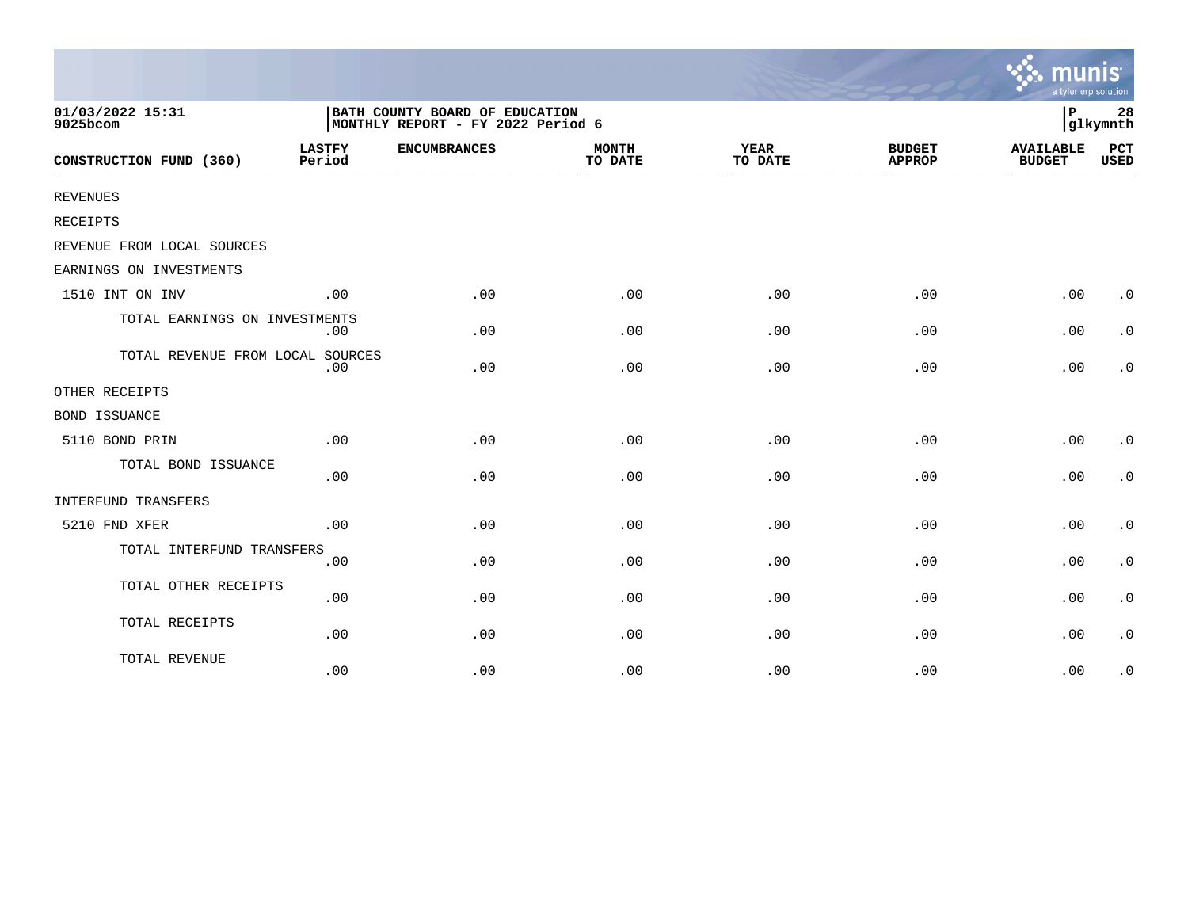|                                  |                         |                                                                     |                         |                        |                                | a tyler erp solution              |                        |
|----------------------------------|-------------------------|---------------------------------------------------------------------|-------------------------|------------------------|--------------------------------|-----------------------------------|------------------------|
| 01/03/2022 15:31<br>9025bcom     |                         | BATH COUNTY BOARD OF EDUCATION<br>MONTHLY REPORT - FY 2022 Period 6 |                         |                        |                                | ΙP                                | 28<br>glkymnth         |
| CONSTRUCTION FUND (360)          | <b>LASTFY</b><br>Period | <b>ENCUMBRANCES</b>                                                 | <b>MONTH</b><br>TO DATE | <b>YEAR</b><br>TO DATE | <b>BUDGET</b><br><b>APPROP</b> | <b>AVAILABLE</b><br><b>BUDGET</b> | PCT<br><b>USED</b>     |
| REVENUES                         |                         |                                                                     |                         |                        |                                |                                   |                        |
| RECEIPTS                         |                         |                                                                     |                         |                        |                                |                                   |                        |
| REVENUE FROM LOCAL SOURCES       |                         |                                                                     |                         |                        |                                |                                   |                        |
| EARNINGS ON INVESTMENTS          |                         |                                                                     |                         |                        |                                |                                   |                        |
| 1510 INT ON INV                  | .00                     | .00                                                                 | .00                     | .00                    | .00                            | .00                               | $\cdot$ 0              |
| TOTAL EARNINGS ON INVESTMENTS    | $.00 \,$                | .00                                                                 | .00                     | .00                    | .00                            | .00                               | $\cdot$ 0              |
| TOTAL REVENUE FROM LOCAL SOURCES | .00                     | .00                                                                 | .00                     | .00                    | .00                            | .00                               | $\cdot$ 0              |
| OTHER RECEIPTS                   |                         |                                                                     |                         |                        |                                |                                   |                        |
| <b>BOND ISSUANCE</b>             |                         |                                                                     |                         |                        |                                |                                   |                        |
| 5110 BOND PRIN                   | .00                     | .00                                                                 | .00                     | .00                    | .00                            | .00                               | $\cdot$ 0              |
| TOTAL BOND ISSUANCE              | .00                     | .00                                                                 | .00                     | .00                    | .00                            | .00                               | $\cdot$ 0              |
| INTERFUND TRANSFERS              |                         |                                                                     |                         |                        |                                |                                   |                        |
| 5210 FND XFER                    | .00                     | .00                                                                 | .00                     | .00                    | .00                            | .00                               | $\cdot$ 0              |
| TOTAL INTERFUND TRANSFERS        | .00                     | .00                                                                 | .00                     | .00                    | .00                            | .00                               | $\cdot$ 0              |
| TOTAL OTHER RECEIPTS             | .00                     | .00                                                                 | .00                     | .00                    | .00                            | .00                               | $\boldsymbol{\cdot}$ 0 |
| TOTAL RECEIPTS                   | .00                     | .00                                                                 | .00                     | .00                    | .00                            | .00                               | $\cdot$ 0              |
| TOTAL REVENUE                    | .00                     | .00                                                                 | .00                     | .00                    | .00                            | .00                               | $\cdot$ 0              |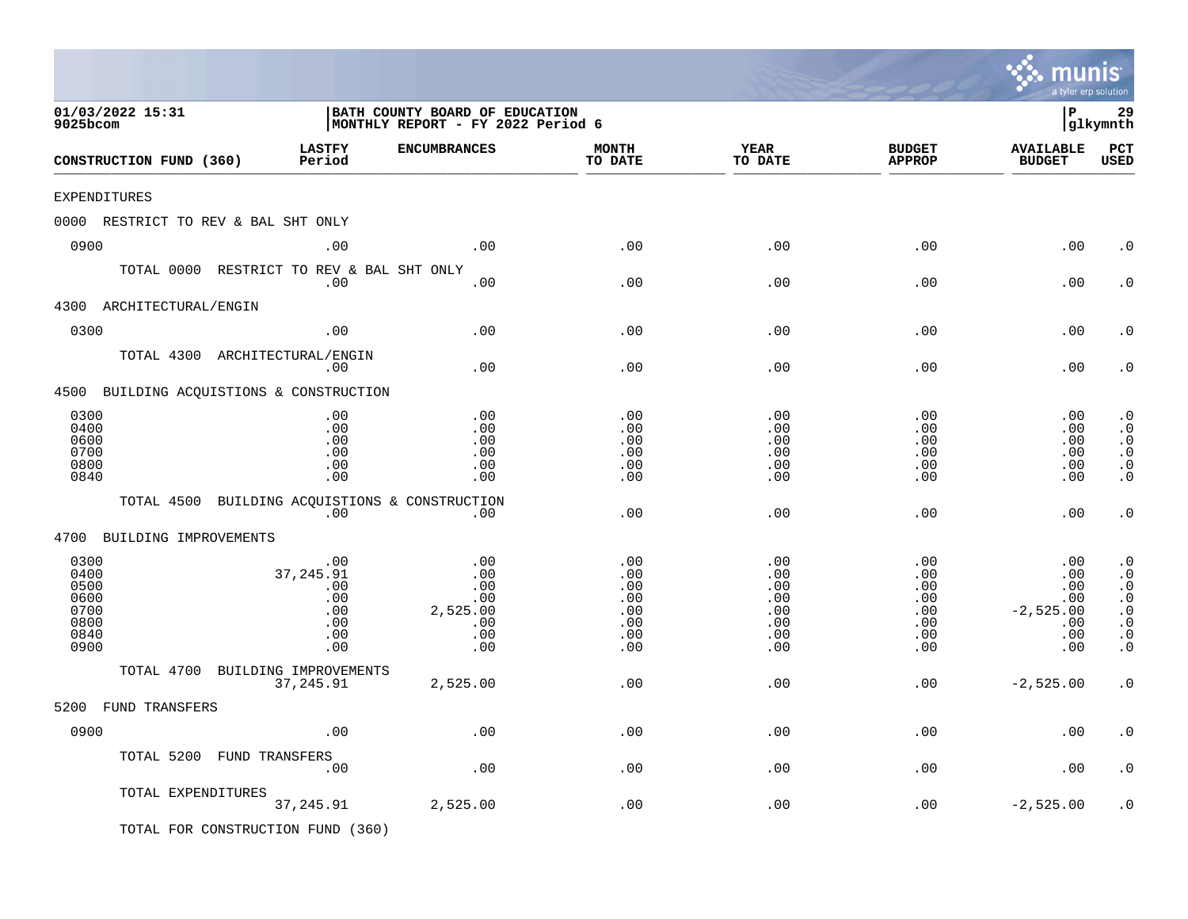|                                                              |                                                            |                                                                     |                                                      |                                                      |                                                                     | mu<br>a tyler erp solution                                   |                                                                                                      |
|--------------------------------------------------------------|------------------------------------------------------------|---------------------------------------------------------------------|------------------------------------------------------|------------------------------------------------------|---------------------------------------------------------------------|--------------------------------------------------------------|------------------------------------------------------------------------------------------------------|
| 01/03/2022 15:31<br>9025bcom                                 |                                                            | BATH COUNTY BOARD OF EDUCATION<br>MONTHLY REPORT - FY 2022 Period 6 |                                                      |                                                      |                                                                     | l P                                                          | 29<br> glkymnth                                                                                      |
| CONSTRUCTION FUND (360)                                      | <b>LASTFY</b><br>Period                                    | <b>ENCUMBRANCES</b>                                                 | <b>MONTH</b><br>TO DATE                              | <b>YEAR</b><br>TO DATE                               | <b>BUDGET</b><br><b>APPROP</b>                                      | <b>AVAILABLE</b><br><b>BUDGET</b>                            | PCT<br><b>USED</b>                                                                                   |
| EXPENDITURES                                                 |                                                            |                                                                     |                                                      |                                                      |                                                                     |                                                              |                                                                                                      |
| 0000 RESTRICT TO REV & BAL SHT ONLY                          |                                                            |                                                                     |                                                      |                                                      |                                                                     |                                                              |                                                                                                      |
| 0900                                                         | .00                                                        | .00                                                                 | .00                                                  | .00                                                  | .00                                                                 | .00                                                          | . 0                                                                                                  |
| TOTAL 0000 RESTRICT TO REV & BAL SHT ONLY                    | .00                                                        | .00                                                                 | .00                                                  | .00                                                  | .00                                                                 | .00                                                          | $\cdot$ 0                                                                                            |
| 4300 ARCHITECTURAL/ENGIN                                     |                                                            |                                                                     |                                                      |                                                      |                                                                     |                                                              |                                                                                                      |
| 0300                                                         | .00                                                        | .00                                                                 | .00                                                  | .00                                                  | .00                                                                 | .00                                                          | $\cdot$ 0                                                                                            |
| TOTAL 4300 ARCHITECTURAL/ENGIN                               | .00                                                        | .00                                                                 | .00                                                  | .00                                                  | .00                                                                 | .00                                                          | $\cdot$ 0                                                                                            |
| 4500 BUILDING ACQUISTIONS & CONSTRUCTION                     |                                                            |                                                                     |                                                      |                                                      |                                                                     |                                                              |                                                                                                      |
| 0300<br>0400<br>0600<br>0700<br>0800<br>0840                 | .00<br>.00<br>.00<br>.00<br>.00<br>.00                     | .00<br>.00<br>.00<br>.00<br>.00<br>.00                              | .00<br>.00<br>.00<br>.00<br>.00<br>.00               | .00<br>.00<br>.00<br>.00<br>.00<br>.00               | .00<br>.00<br>.00<br>.00<br>.00<br>.00                              | .00<br>.00<br>.00<br>.00<br>.00<br>.00                       | $\cdot$ 0<br>$\cdot$ 0<br>$\cdot$ 0<br>$\cdot$ 0<br>$\boldsymbol{\cdot}$ 0<br>$\cdot$ 0              |
| TOTAL 4500 BUILDING ACQUISTIONS & CONSTRUCTION               | .00                                                        | $.00 \,$                                                            | .00                                                  | .00                                                  | .00                                                                 | .00                                                          | $\cdot$ 0                                                                                            |
| 4700<br>BUILDING IMPROVEMENTS                                |                                                            |                                                                     |                                                      |                                                      |                                                                     |                                                              |                                                                                                      |
| 0300<br>0400<br>0500<br>0600<br>0700<br>0800<br>0840<br>0900 | .00<br>37,245.91<br>.00<br>.00<br>.00<br>.00<br>.00<br>.00 | .00<br>.00<br>.00<br>.00<br>2,525.00<br>.00<br>.00<br>.00           | .00<br>.00<br>.00<br>.00<br>.00<br>.00<br>.00<br>.00 | .00<br>.00<br>.00<br>.00<br>.00<br>.00<br>.00<br>.00 | .00<br>.00<br>.00<br>$.00 \,$<br>.00<br>$.00 \,$<br>$.00 \,$<br>.00 | .00<br>.00<br>.00<br>.00<br>$-2,525.00$<br>.00<br>.00<br>.00 | $\cdot$ 0<br>$\cdot$ 0<br>$\cdot$ 0<br>$\cdot$ 0<br>$\cdot$ 0<br>$\cdot$ 0<br>$\cdot$ 0<br>$\cdot$ 0 |
| TOTAL 4700 BUILDING IMPROVEMENTS                             |                                                            |                                                                     |                                                      |                                                      |                                                                     |                                                              |                                                                                                      |
|                                                              | 37, 245.91                                                 | 2,525.00                                                            | .00                                                  | .00                                                  | $.00 \,$                                                            | $-2,525.00$                                                  | $\cdot$ 0                                                                                            |
| 5200 FUND TRANSFERS                                          |                                                            |                                                                     |                                                      |                                                      |                                                                     |                                                              |                                                                                                      |
| 0900<br>TOTAL 5200 FUND TRANSFERS                            | .00<br>.00                                                 | .00<br>.00                                                          | .00<br>.00                                           | .00<br>.00                                           | .00<br>.00                                                          | .00<br>.00                                                   | . $\boldsymbol{0}$<br>$\cdot$ 0                                                                      |
| TOTAL EXPENDITURES                                           | 37, 245.91                                                 | 2,525.00                                                            | .00                                                  | .00                                                  | .00                                                                 | $-2,525.00$                                                  | $\cdot$ 0                                                                                            |
| TOTAL FOR CONSTRUCTION FUND (360)                            |                                                            |                                                                     |                                                      |                                                      |                                                                     |                                                              |                                                                                                      |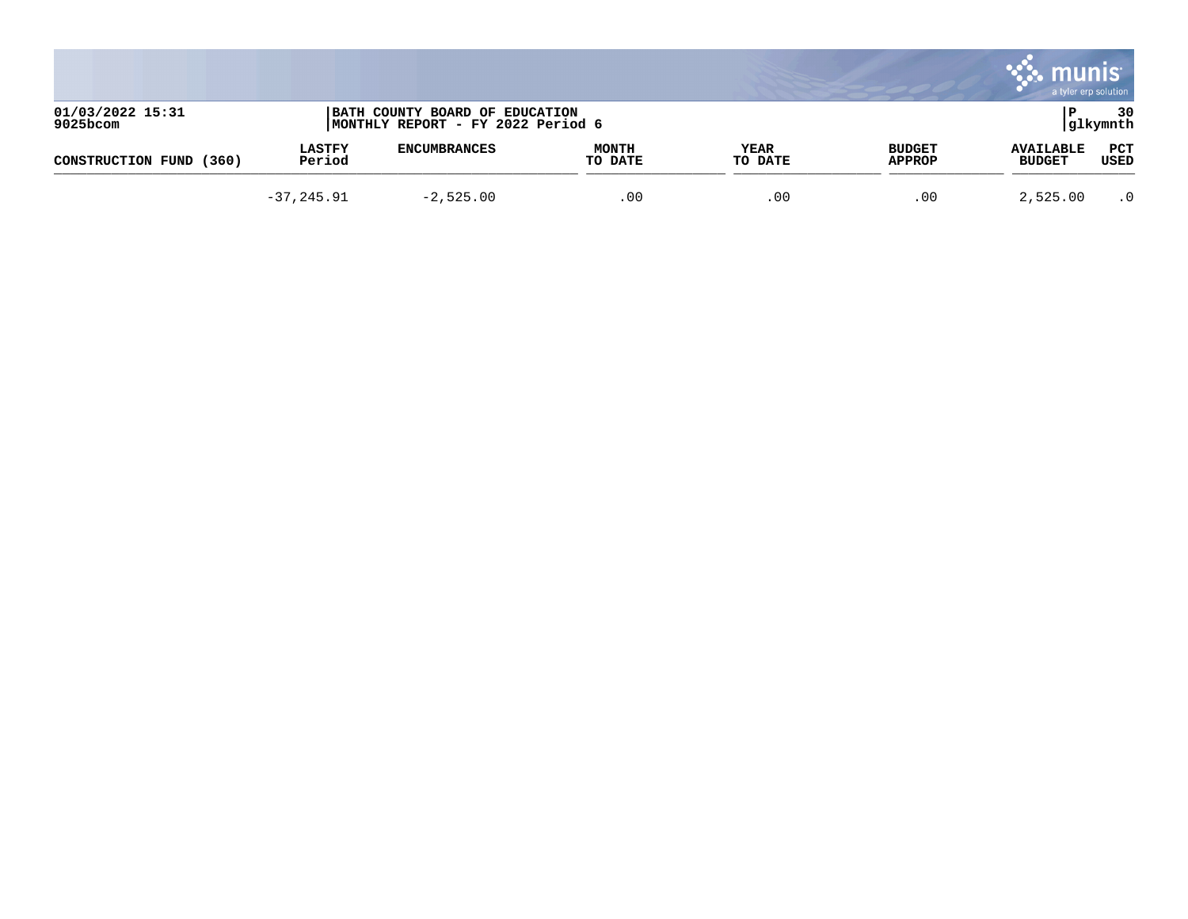|                                 |                         |                                                                      |                         |                 |                                | munis<br>a tyler erp solution     |                 |
|---------------------------------|-------------------------|----------------------------------------------------------------------|-------------------------|-----------------|--------------------------------|-----------------------------------|-----------------|
| 01/03/2022 15:31<br>$9025$ bcom |                         | BATH COUNTY BOARD OF EDUCATION<br> MONTHLY REPORT - FY 2022 Period 6 |                         |                 |                                |                                   | 30<br> glkymnth |
| (360)<br>CONSTRUCTION FUND      | <b>LASTFY</b><br>Period | <b>ENCUMBRANCES</b>                                                  | <b>MONTH</b><br>TO DATE | YEAR<br>TO DATE | <b>BUDGET</b><br><b>APPROP</b> | <b>AVAILABLE</b><br><b>BUDGET</b> | PCT<br>USED     |
|                                 | $-37, 245.91$           | $-2,525.00$                                                          | .00                     | .00             | .00                            | 2,525.00                          | $\cdot$ 0       |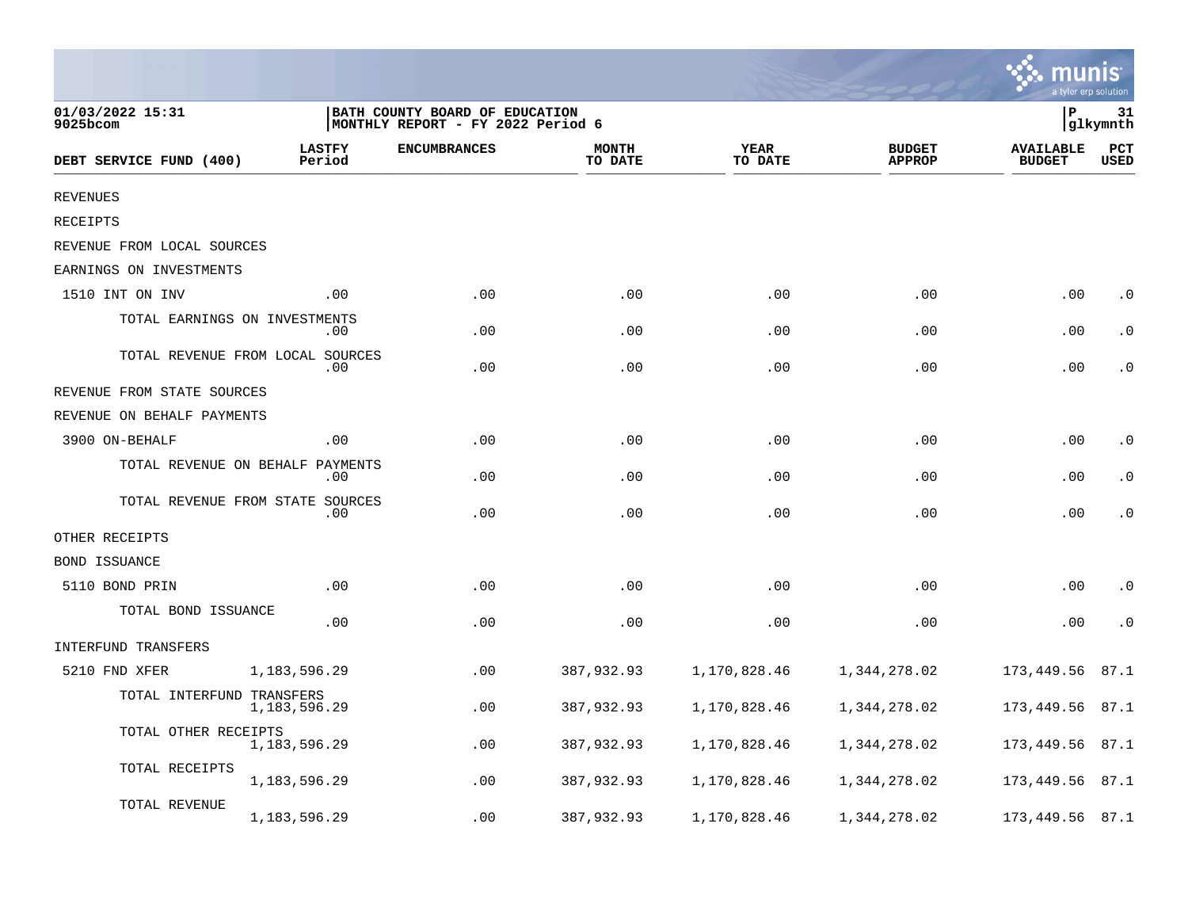|                                  |                         |                                                                      |                         |                        |                                |                                   | a tyler erp solution |
|----------------------------------|-------------------------|----------------------------------------------------------------------|-------------------------|------------------------|--------------------------------|-----------------------------------|----------------------|
| 01/03/2022 15:31<br>9025bcom     |                         | BATH COUNTY BOARD OF EDUCATION<br> MONTHLY REPORT - FY 2022 Period 6 |                         |                        |                                | P                                 | 31<br>glkymnth       |
| DEBT SERVICE FUND (400)          | <b>LASTFY</b><br>Period | <b>ENCUMBRANCES</b>                                                  | <b>MONTH</b><br>TO DATE | <b>YEAR</b><br>TO DATE | <b>BUDGET</b><br><b>APPROP</b> | <b>AVAILABLE</b><br><b>BUDGET</b> | PCT<br><b>USED</b>   |
| <b>REVENUES</b>                  |                         |                                                                      |                         |                        |                                |                                   |                      |
| <b>RECEIPTS</b>                  |                         |                                                                      |                         |                        |                                |                                   |                      |
| REVENUE FROM LOCAL SOURCES       |                         |                                                                      |                         |                        |                                |                                   |                      |
| EARNINGS ON INVESTMENTS          |                         |                                                                      |                         |                        |                                |                                   |                      |
| 1510 INT ON INV                  | .00                     | .00                                                                  | .00                     | .00                    | .00                            | .00                               | $\cdot$ 0            |
| TOTAL EARNINGS ON INVESTMENTS    | $.00 \,$                | .00                                                                  | .00                     | .00                    | .00                            | .00                               | $\cdot$ 0            |
| TOTAL REVENUE FROM LOCAL SOURCES | $.00 \,$                | .00                                                                  | .00                     | .00                    | .00                            | .00                               | $\cdot$ 0            |
| REVENUE FROM STATE SOURCES       |                         |                                                                      |                         |                        |                                |                                   |                      |
| REVENUE ON BEHALF PAYMENTS       |                         |                                                                      |                         |                        |                                |                                   |                      |
| 3900 ON-BEHALF                   | .00                     | .00                                                                  | .00                     | .00                    | .00                            | .00                               | $\cdot$ 0            |
| TOTAL REVENUE ON BEHALF PAYMENTS | $.00 \,$                | .00                                                                  | .00                     | .00                    | .00                            | .00                               | $\cdot$ 0            |
| TOTAL REVENUE FROM STATE SOURCES | .00                     | .00                                                                  | .00                     | .00                    | .00                            | .00                               | $\cdot$ 0            |
| OTHER RECEIPTS                   |                         |                                                                      |                         |                        |                                |                                   |                      |
| <b>BOND ISSUANCE</b>             |                         |                                                                      |                         |                        |                                |                                   |                      |
| 5110 BOND PRIN                   | .00                     | .00                                                                  | .00                     | .00                    | .00                            | .00                               | $\cdot$ 0            |
| TOTAL BOND ISSUANCE              | .00                     | .00                                                                  | .00                     | .00                    | .00                            | .00                               | $\cdot$ 0            |
| INTERFUND TRANSFERS              |                         |                                                                      |                         |                        |                                |                                   |                      |
| 5210 FND XFER                    | 1,183,596.29            | .00                                                                  | 387,932.93              | 1,170,828.46           | 1,344,278.02                   | 173,449.56                        | 87.1                 |
| TOTAL INTERFUND TRANSFERS        | 1,183,596.29            | .00                                                                  | 387,932.93              | 1,170,828.46           | 1,344,278.02                   | 173,449.56                        | 87.1                 |
| TOTAL OTHER RECEIPTS             | 1,183,596.29            | .00                                                                  | 387,932.93              | 1,170,828.46           | 1,344,278.02                   | 173,449.56                        | 87.1                 |
| TOTAL RECEIPTS                   | 1,183,596.29            | .00                                                                  | 387,932.93              | 1,170,828.46           | 1,344,278.02                   | 173,449.56                        | 87.1                 |
| TOTAL REVENUE                    | 1,183,596.29            | .00                                                                  | 387,932.93              | 1,170,828.46           | 1,344,278.02                   | 173,449.56                        | 87.1                 |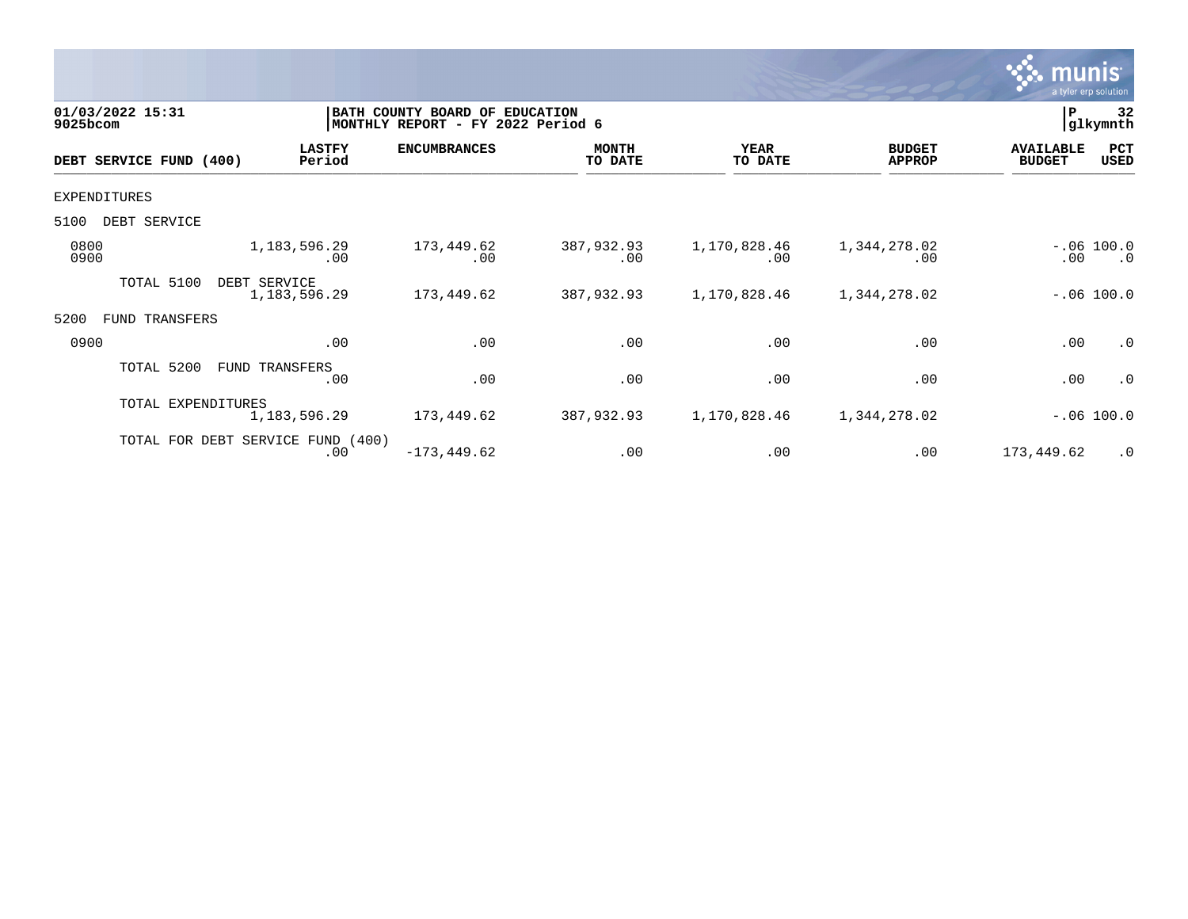

| 01/03/2022 15:31<br>9025bcom |                                   |                         | BATH COUNTY BOARD OF<br><b>EDUCATION</b><br>MONTHLY REPORT - FY 2022 Period 6 |                         |                        |                                |                                   | 32<br>glkymnth            |
|------------------------------|-----------------------------------|-------------------------|-------------------------------------------------------------------------------|-------------------------|------------------------|--------------------------------|-----------------------------------|---------------------------|
|                              | DEBT SERVICE FUND (400)           | <b>LASTFY</b><br>Period | <b>ENCUMBRANCES</b>                                                           | <b>MONTH</b><br>TO DATE | <b>YEAR</b><br>TO DATE | <b>BUDGET</b><br><b>APPROP</b> | <b>AVAILABLE</b><br><b>BUDGET</b> | PCT<br>USED               |
| <b>EXPENDITURES</b>          |                                   |                         |                                                                               |                         |                        |                                |                                   |                           |
| 5100                         | DEBT SERVICE                      |                         |                                                                               |                         |                        |                                |                                   |                           |
| 0800<br>0900                 |                                   | 1,183,596.29<br>.00     | 173,449.62<br>.00                                                             | 387,932.93<br>.00       | 1,170,828.46<br>.00    | 1,344,278.02<br>.00            | $.00 \,$                          | $-.06 100.0$<br>$\cdot$ 0 |
|                              | TOTAL 5100<br>DEBT SERVICE        | 1,183,596.29            | 173,449.62                                                                    | 387,932.93              | 1,170,828.46           | 1,344,278.02                   |                                   | $-.06 100.0$              |
| 5200<br>FUND                 | TRANSFERS                         |                         |                                                                               |                         |                        |                                |                                   |                           |
| 0900                         |                                   | .00                     | .00                                                                           | .00                     | .00                    | .00                            | .00                               | .0                        |
|                              | TOTAL 5200                        | FUND TRANSFERS<br>.00   | .00                                                                           | .00                     | .00                    | .00                            | .00                               | $\cdot$ 0                 |
|                              | TOTAL EXPENDITURES                | 1,183,596.29            | 173,449.62                                                                    | 387,932.93              | 1,170,828.46           | 1,344,278.02                   |                                   | $-.06 100.0$              |
|                              | TOTAL FOR DEBT SERVICE FUND (400) | .00                     | $-173, 449.62$                                                                | .00                     | .00                    | .00                            | 173,449.62                        | $\cdot$ 0                 |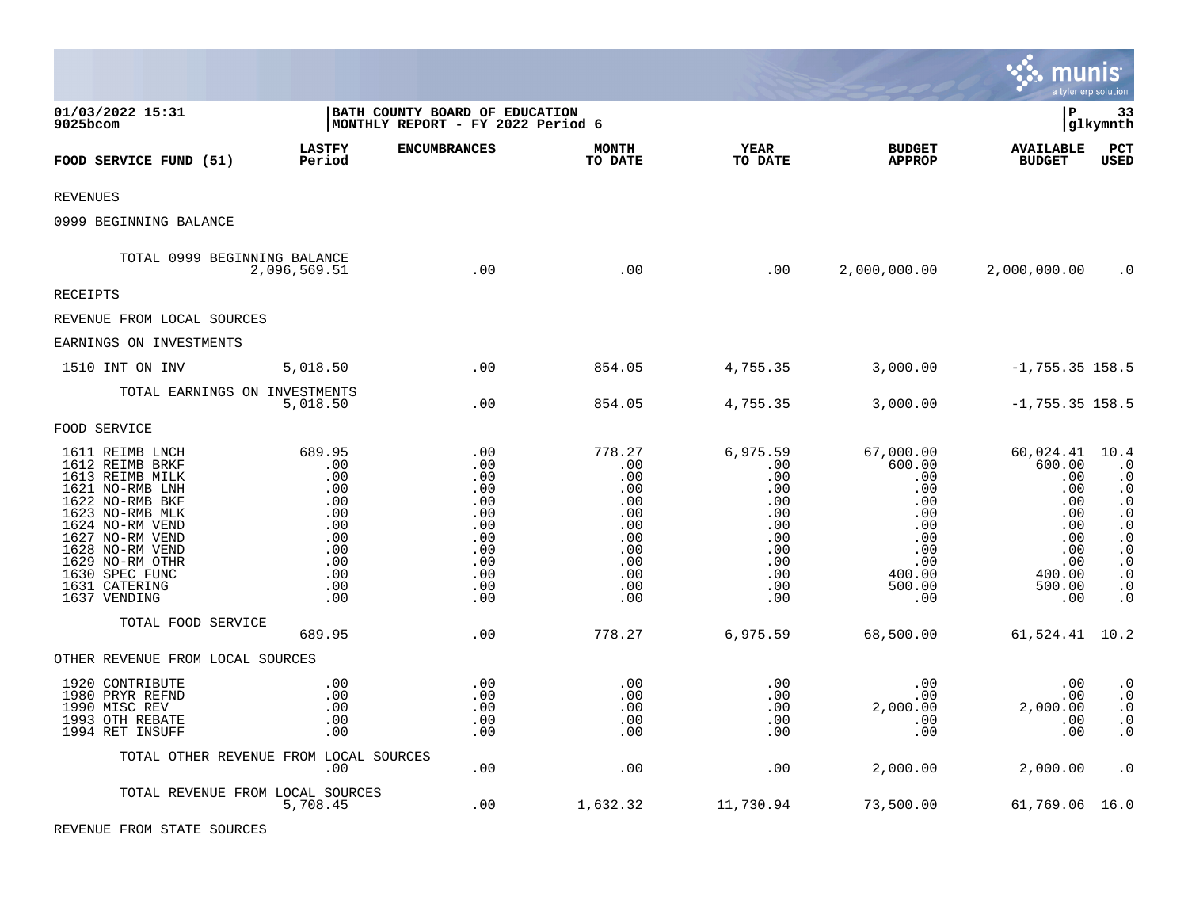|                                                                                                                                                                                                                                               |                                                                                            |                                                                                              |                                                                                            |                                                                                              |                                                                                                        | munis                                                                                                  | a tyler erp solution                                                                                                                                                          |
|-----------------------------------------------------------------------------------------------------------------------------------------------------------------------------------------------------------------------------------------------|--------------------------------------------------------------------------------------------|----------------------------------------------------------------------------------------------|--------------------------------------------------------------------------------------------|----------------------------------------------------------------------------------------------|--------------------------------------------------------------------------------------------------------|--------------------------------------------------------------------------------------------------------|-------------------------------------------------------------------------------------------------------------------------------------------------------------------------------|
| 01/03/2022 15:31<br>9025bcom                                                                                                                                                                                                                  |                                                                                            | BATH COUNTY BOARD OF EDUCATION<br>MONTHLY REPORT - FY 2022 Period 6                          |                                                                                            |                                                                                              |                                                                                                        | l P                                                                                                    | 33<br> glkymnth                                                                                                                                                               |
| FOOD SERVICE FUND (51)                                                                                                                                                                                                                        | <b>LASTFY</b><br>Period                                                                    | <b>ENCUMBRANCES</b>                                                                          | <b>MONTH</b><br>TO DATE                                                                    | <b>YEAR</b><br>TO DATE                                                                       | <b>BUDGET</b><br><b>APPROP</b>                                                                         | <b>AVAILABLE</b><br><b>BUDGET</b>                                                                      | PCT<br>USED                                                                                                                                                                   |
| <b>REVENUES</b>                                                                                                                                                                                                                               |                                                                                            |                                                                                              |                                                                                            |                                                                                              |                                                                                                        |                                                                                                        |                                                                                                                                                                               |
| 0999 BEGINNING BALANCE                                                                                                                                                                                                                        |                                                                                            |                                                                                              |                                                                                            |                                                                                              |                                                                                                        |                                                                                                        |                                                                                                                                                                               |
| TOTAL 0999 BEGINNING BALANCE                                                                                                                                                                                                                  | 2,096,569.51                                                                               | .00                                                                                          | .00                                                                                        | .00                                                                                          | 2,000,000.00                                                                                           | 2,000,000.00                                                                                           | $\cdot$ 0                                                                                                                                                                     |
| <b>RECEIPTS</b>                                                                                                                                                                                                                               |                                                                                            |                                                                                              |                                                                                            |                                                                                              |                                                                                                        |                                                                                                        |                                                                                                                                                                               |
| REVENUE FROM LOCAL SOURCES                                                                                                                                                                                                                    |                                                                                            |                                                                                              |                                                                                            |                                                                                              |                                                                                                        |                                                                                                        |                                                                                                                                                                               |
| EARNINGS ON INVESTMENTS                                                                                                                                                                                                                       |                                                                                            |                                                                                              |                                                                                            |                                                                                              |                                                                                                        |                                                                                                        |                                                                                                                                                                               |
| 1510 INT ON INV                                                                                                                                                                                                                               | 5,018.50                                                                                   | .00                                                                                          | 854.05                                                                                     | 4,755.35                                                                                     | 3,000.00                                                                                               | $-1,755.35$ 158.5                                                                                      |                                                                                                                                                                               |
| TOTAL EARNINGS ON INVESTMENTS                                                                                                                                                                                                                 | 5,018.50                                                                                   | .00                                                                                          | 854.05                                                                                     | 4,755.35                                                                                     | 3,000.00                                                                                               | $-1,755.35$ 158.5                                                                                      |                                                                                                                                                                               |
| FOOD SERVICE                                                                                                                                                                                                                                  |                                                                                            |                                                                                              |                                                                                            |                                                                                              |                                                                                                        |                                                                                                        |                                                                                                                                                                               |
| 1611 REIMB LNCH<br>1612 REIMB BRKF<br>1613 REIMB MILK<br>1621 NO-RMB LNH<br>1622 NO-RMB BKF<br>1623 NO-RMB MLK<br>1624 NO-RM VEND<br>1627 NO-RM VEND<br>1628 NO-RM VEND<br>1629 NO-RM OTHR<br>1630 SPEC FUNC<br>1631 CATERING<br>1637 VENDING | 689.95<br>.00<br>.00<br>.00<br>.00<br>.00<br>.00<br>.00<br>.00<br>.00<br>.00<br>.00<br>.00 | .00<br>.00<br>.00<br>.00<br>.00<br>.00<br>.00<br>.00<br>.00<br>.00<br>.00<br>.00<br>$.00 \,$ | 778.27<br>.00<br>.00<br>.00<br>.00<br>.00<br>.00<br>.00<br>.00<br>.00<br>.00<br>.00<br>.00 | 6,975.59<br>.00<br>.00<br>.00<br>.00<br>.00<br>.00<br>.00<br>.00<br>.00<br>.00<br>.00<br>.00 | 67,000.00<br>600.00<br>.00<br>.00<br>.00<br>.00<br>.00<br>.00<br>.00<br>.00<br>400.00<br>500.00<br>.00 | 60,024.41<br>600.00<br>.00<br>.00<br>.00<br>.00<br>.00<br>.00<br>.00<br>.00<br>400.00<br>500.00<br>.00 | 10.4<br>$\cdot$ 0<br>$\cdot$ 0<br>$\cdot$ 0<br>$\cdot$ 0<br>$\cdot$ 0<br>$\cdot$ 0<br>$\cdot$ 0<br>$\cdot$ 0<br>$\cdot$ 0<br>$\cdot$ 0<br>$\boldsymbol{\cdot}$ 0<br>$\cdot$ 0 |
| TOTAL FOOD SERVICE                                                                                                                                                                                                                            | 689.95                                                                                     | .00                                                                                          | 778.27                                                                                     | 6,975.59                                                                                     | 68,500.00                                                                                              | 61,524.41 10.2                                                                                         |                                                                                                                                                                               |
| OTHER REVENUE FROM LOCAL SOURCES                                                                                                                                                                                                              |                                                                                            |                                                                                              |                                                                                            |                                                                                              |                                                                                                        |                                                                                                        |                                                                                                                                                                               |
| 1920 CONTRIBUTE<br>1980 PRYR REFND<br>1990 MISC REV<br>1993 OTH REBATE<br>1994 RET INSUFF                                                                                                                                                     | .00<br>.00<br>.00<br>.00<br>.00                                                            | .00<br>.00<br>.00<br>.00<br>.00                                                              | .00<br>.00<br>.00<br>.00<br>.00                                                            | .00<br>.00<br>.00<br>.00<br>.00                                                              | .00<br>.00<br>2,000.00<br>.00<br>.00                                                                   | .00<br>.00<br>2,000.00<br>.00<br>.00                                                                   | $\boldsymbol{\cdot}$ 0<br>$\cdot$ 0<br>$\cdot$ 0<br>$\cdot$ 0<br>$\cdot$ 0                                                                                                    |
| TOTAL OTHER REVENUE FROM LOCAL SOURCES                                                                                                                                                                                                        | .00                                                                                        | .00                                                                                          | .00                                                                                        | .00                                                                                          | 2,000.00                                                                                               | 2,000.00                                                                                               | $\cdot$ 0                                                                                                                                                                     |
| TOTAL REVENUE FROM LOCAL SOURCES                                                                                                                                                                                                              | 5,708.45                                                                                   | .00                                                                                          | 1,632.32                                                                                   | 11,730.94                                                                                    | 73,500.00                                                                                              | 61,769.06 16.0                                                                                         |                                                                                                                                                                               |

 $\mathcal{L}$ 

REVENUE FROM STATE SOURCES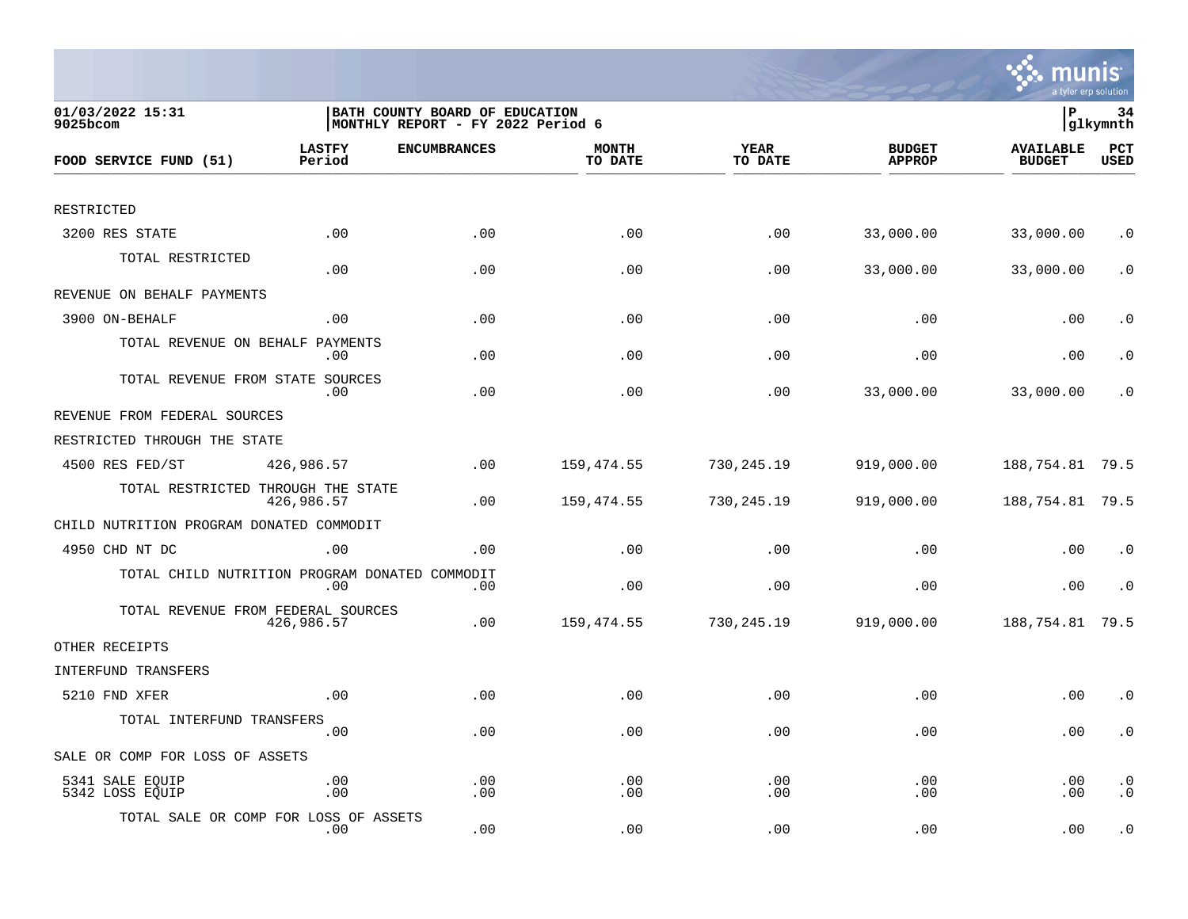

| 01/03/2022 15:31<br>9025bcom                   |                         | BATH COUNTY BOARD OF EDUCATION<br>MONTHLY REPORT - FY 2022 Period 6 |                         |                 |                                | lР                                | 34<br> glkymnth        |
|------------------------------------------------|-------------------------|---------------------------------------------------------------------|-------------------------|-----------------|--------------------------------|-----------------------------------|------------------------|
| FOOD SERVICE FUND (51)                         | <b>LASTFY</b><br>Period | <b>ENCUMBRANCES</b>                                                 | <b>MONTH</b><br>TO DATE | YEAR<br>TO DATE | <b>BUDGET</b><br><b>APPROP</b> | <b>AVAILABLE</b><br><b>BUDGET</b> | PCT<br><b>USED</b>     |
|                                                |                         |                                                                     |                         |                 |                                |                                   |                        |
| RESTRICTED                                     |                         |                                                                     |                         |                 |                                |                                   |                        |
| 3200 RES STATE                                 | .00                     | .00                                                                 | .00                     | .00             | 33,000.00                      | 33,000.00                         | $\cdot$ 0              |
| TOTAL RESTRICTED                               | .00                     | .00                                                                 | .00                     | .00             | 33,000.00                      | 33,000.00                         | $\cdot$ 0              |
| REVENUE ON BEHALF PAYMENTS                     |                         |                                                                     |                         |                 |                                |                                   |                        |
| 3900 ON-BEHALF                                 | .00                     | .00                                                                 | .00                     | .00             | .00                            | .00                               | $\cdot$ 0              |
| TOTAL REVENUE ON BEHALF                        | PAYMENTS<br>.00         | .00                                                                 | .00                     | .00             | .00                            | .00                               | $\cdot$ 0              |
| TOTAL REVENUE FROM STATE SOURCES               | .00                     | .00                                                                 | .00                     | .00             | 33,000.00                      | 33,000.00                         | . 0                    |
| REVENUE FROM FEDERAL SOURCES                   |                         |                                                                     |                         |                 |                                |                                   |                        |
| RESTRICTED THROUGH THE STATE                   |                         |                                                                     |                         |                 |                                |                                   |                        |
| 4500 RES FED/ST                                | 426,986.57              | .00                                                                 | 159,474.55              | 730,245.19      | 919,000.00                     | 188,754.81 79.5                   |                        |
| TOTAL RESTRICTED THROUGH THE STATE             | 426,986.57              | .00                                                                 | 159,474.55              | 730, 245. 19    | 919,000.00                     | 188, 754.81 79.5                  |                        |
| CHILD NUTRITION PROGRAM DONATED COMMODIT       |                         |                                                                     |                         |                 |                                |                                   |                        |
| 4950 CHD NT DC                                 | .00                     | .00                                                                 | .00                     | .00             | .00                            | .00                               | $\cdot$ 0              |
| TOTAL CHILD NUTRITION PROGRAM DONATED COMMODIT | .00                     | .00                                                                 | .00                     | .00             | .00                            | .00                               | $\cdot$ 0              |
| TOTAL REVENUE FROM FEDERAL SOURCES             | 426,986.57              | .00                                                                 | 159,474.55              | 730,245.19      | 919,000.00                     | 188,754.81                        | 79.5                   |
| OTHER RECEIPTS                                 |                         |                                                                     |                         |                 |                                |                                   |                        |
| INTERFUND TRANSFERS                            |                         |                                                                     |                         |                 |                                |                                   |                        |
| 5210 FND XFER                                  | .00                     | .00                                                                 | .00                     | .00             | .00                            | .00                               | $\cdot$ 0              |
| TOTAL INTERFUND TRANSFERS                      | .00                     | .00                                                                 | .00                     | .00             | .00                            | .00                               | $\cdot$ 0              |
| SALE OR COMP FOR LOSS OF ASSETS                |                         |                                                                     |                         |                 |                                |                                   |                        |
| 5341 SALE EQUIP<br>5342 LOSS EQUIP             | .00<br>.00              | .00<br>.00                                                          | .00<br>.00              | .00<br>.00      | .00<br>.00                     | .00<br>.00                        | $\cdot$ 0<br>$\cdot$ 0 |
| TOTAL SALE OR COMP FOR LOSS OF ASSETS          | $.00 \,$                | .00                                                                 | .00                     | .00             | .00                            | .00                               | $\cdot$ 0              |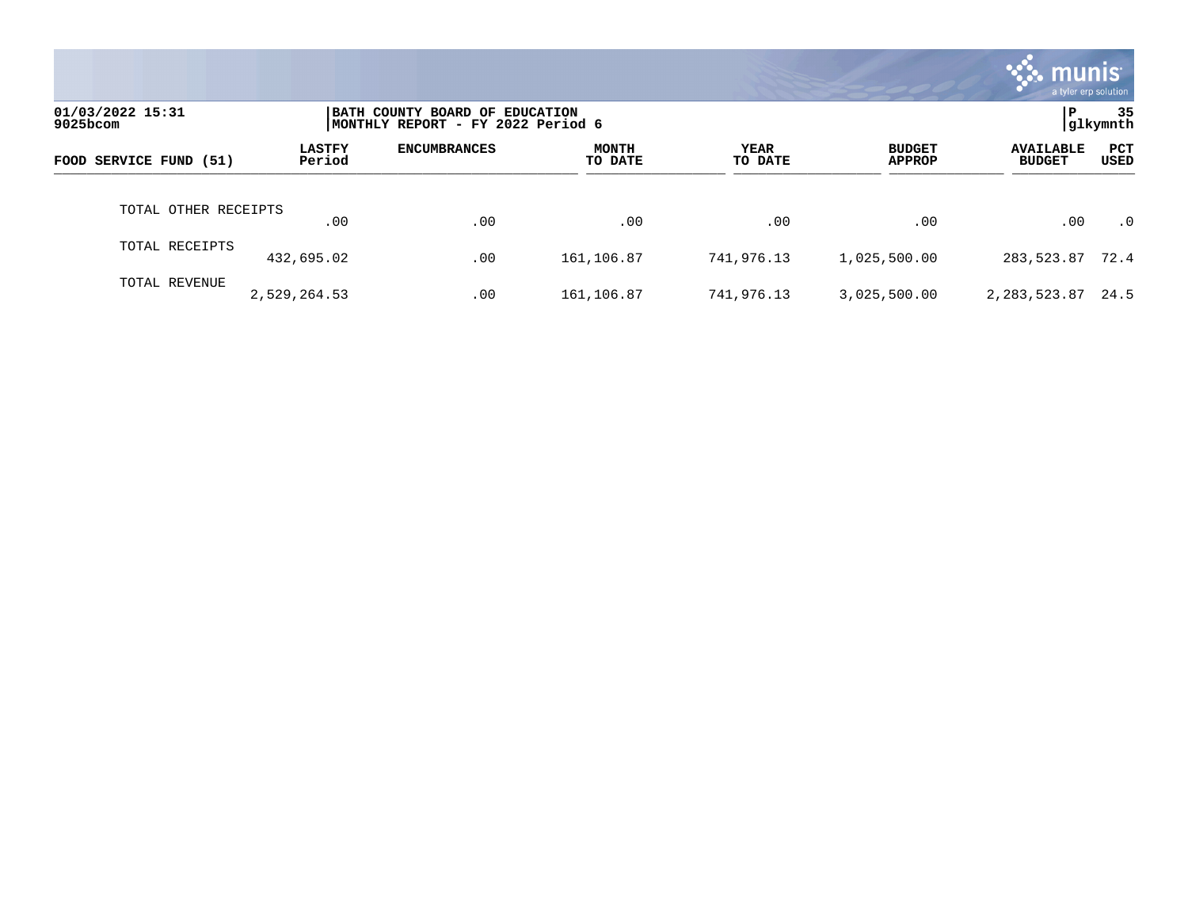|                              |                         |                                                                      |                         |                 |                                | munis l<br>a tyler erp solution   |                |
|------------------------------|-------------------------|----------------------------------------------------------------------|-------------------------|-----------------|--------------------------------|-----------------------------------|----------------|
| 01/03/2022 15:31<br>9025bcom |                         | BATH COUNTY BOARD OF EDUCATION<br> MONTHLY REPORT - FY 2022 Period 6 |                         |                 |                                | l P                               | 35<br>glkymnth |
| FOOD SERVICE FUND (51)       | <b>LASTFY</b><br>Period | <b>ENCUMBRANCES</b>                                                  | <b>MONTH</b><br>TO DATE | YEAR<br>TO DATE | <b>BUDGET</b><br><b>APPROP</b> | <b>AVAILABLE</b><br><b>BUDGET</b> | PCT<br>USED    |
| TOTAL OTHER RECEIPTS         | .00                     | .00                                                                  | .00                     | .00             | .00                            | .00                               | $\cdot$ 0      |
| TOTAL RECEIPTS               | 432,695.02              | .00                                                                  | 161,106.87              | 741,976.13      | 1,025,500.00                   | 283,523.87 72.4                   |                |
| TOTAL REVENUE                | 2,529,264.53            | .00                                                                  | 161,106.87              | 741,976.13      | 3,025,500.00                   | 2,283,523.87                      | 24.5           |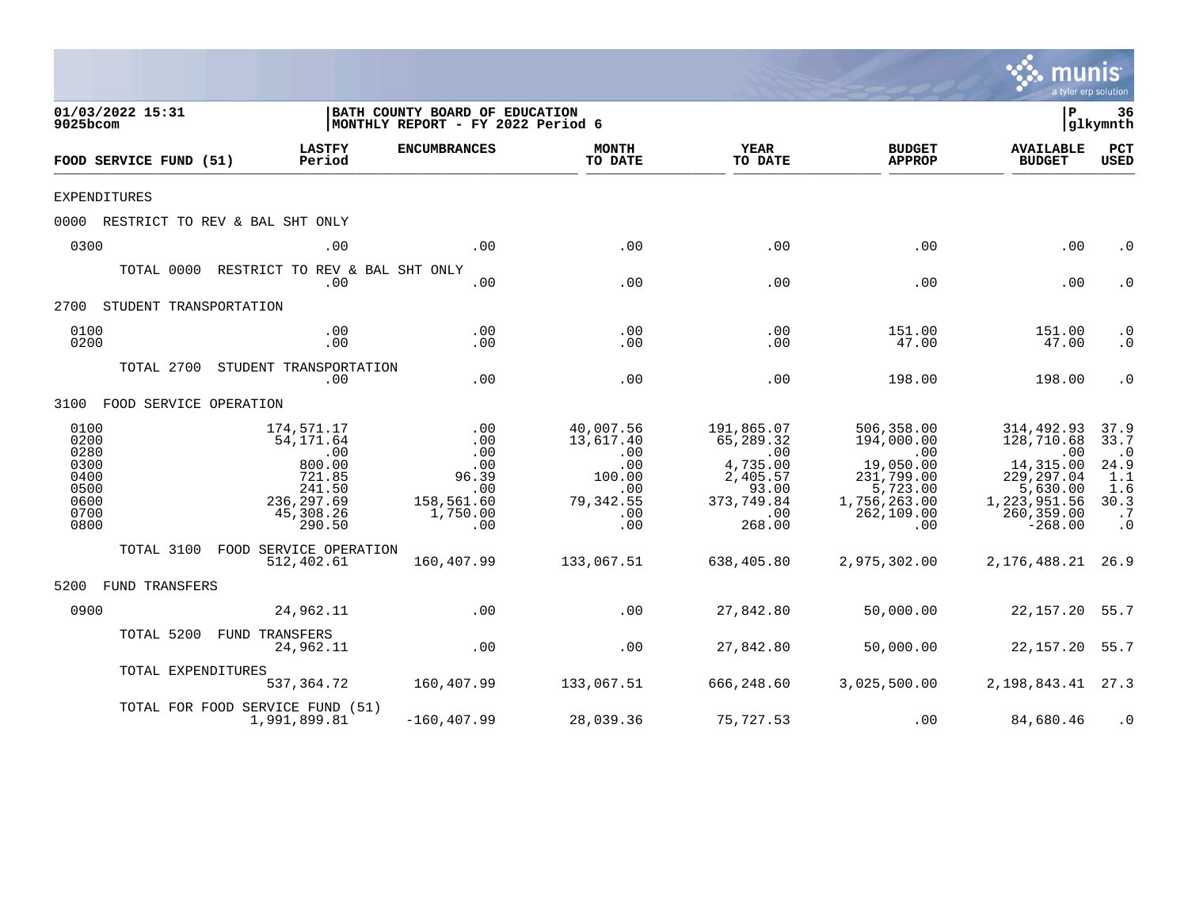|                                                                      |                                                                                                   |                                                                                                                         |                                                                                         |                                                                                                                        |                                                                                                                          |                                                                                                                     | a tyler erp solution                                                                                 |
|----------------------------------------------------------------------|---------------------------------------------------------------------------------------------------|-------------------------------------------------------------------------------------------------------------------------|-----------------------------------------------------------------------------------------|------------------------------------------------------------------------------------------------------------------------|--------------------------------------------------------------------------------------------------------------------------|---------------------------------------------------------------------------------------------------------------------|------------------------------------------------------------------------------------------------------|
| 01/03/2022 15:31<br>9025bcom                                         |                                                                                                   | BATH COUNTY BOARD OF EDUCATION<br>MONTHLY REPORT - FY 2022 Period 6                                                     |                                                                                         |                                                                                                                        |                                                                                                                          | Þ                                                                                                                   | 36<br> glkymnth                                                                                      |
| FOOD SERVICE FUND (51)                                               | <b>LASTFY</b><br>Period                                                                           | <b>ENCUMBRANCES</b>                                                                                                     | <b>MONTH</b><br>TO DATE                                                                 | YEAR<br>TO DATE                                                                                                        | <b>BUDGET</b><br><b>APPROP</b>                                                                                           | <b>AVAILABLE</b><br><b>BUDGET</b>                                                                                   | PCT<br><b>USED</b>                                                                                   |
| <b>EXPENDITURES</b>                                                  |                                                                                                   |                                                                                                                         |                                                                                         |                                                                                                                        |                                                                                                                          |                                                                                                                     |                                                                                                      |
|                                                                      | 0000 RESTRICT TO REV & BAL SHT ONLY                                                               |                                                                                                                         |                                                                                         |                                                                                                                        |                                                                                                                          |                                                                                                                     |                                                                                                      |
| 0300                                                                 | .00                                                                                               | .00                                                                                                                     | .00                                                                                     | .00                                                                                                                    | .00                                                                                                                      | .00                                                                                                                 | . 0                                                                                                  |
| TOTAL 0000                                                           | RESTRICT TO REV & BAL SHT ONLY<br>.00                                                             | .00                                                                                                                     | .00                                                                                     | .00                                                                                                                    | .00                                                                                                                      | .00                                                                                                                 | $\cdot$ 0                                                                                            |
| 2700 STUDENT TRANSPORTATION                                          |                                                                                                   |                                                                                                                         |                                                                                         |                                                                                                                        |                                                                                                                          |                                                                                                                     |                                                                                                      |
| 0100<br>0200                                                         | .00<br>.00                                                                                        | .00<br>.00                                                                                                              | .00<br>.00                                                                              | .00<br>.00                                                                                                             | 151.00<br>47.00                                                                                                          | 151.00<br>47.00                                                                                                     | . 0<br>$.0 \,$                                                                                       |
|                                                                      | TOTAL 2700 STUDENT TRANSPORTATION<br>.00                                                          | .00                                                                                                                     | .00                                                                                     | .00                                                                                                                    | 198.00                                                                                                                   | 198.00                                                                                                              | $\cdot$ 0                                                                                            |
| 3100 FOOD SERVICE OPERATION                                          |                                                                                                   |                                                                                                                         |                                                                                         |                                                                                                                        |                                                                                                                          |                                                                                                                     |                                                                                                      |
| 0100<br>0200<br>0280<br>0300<br>0400<br>0500<br>0600<br>0700<br>0800 | 174,571.17<br>54,171.64<br>.00<br>800.00<br>721.85<br>241.50<br>236,297.69<br>45,308.26<br>290.50 | $\begin{array}{c} 0.00 \\ -0.00 \end{array}$<br>.00<br>.00<br>96.39<br>.00<br>158,561.60<br>1,750.00<br>$\overline{00}$ | 40,007.56<br>13,617.40<br>.00<br>.00<br>100.00<br>.00<br>79, 342.55<br>$\sim 00$<br>.00 | 191,865.07<br>65,289.32<br>$\overline{00}$<br>4,735.00<br>2,405.57<br>93.00<br>373,749.84<br>$\overline{00}$<br>268.00 | 506,358.00<br>194,000.00<br>$\overline{00}$<br>19,050.00<br>231,799.00<br>5,723.00<br>1,756,263.00<br>262, 109.00<br>.00 | 314,492.93<br>128,710.68<br>.00<br>14,315.00<br>229, 297.04<br>5,630.00<br>1,223,951.56<br>260, 359.00<br>$-268.00$ | 37.9<br>33.7<br>$\cdot$ 0<br>$24.9$<br>$1.1$<br>1.6<br>30.3<br>$\overline{\mathbf{.7}}$<br>$\cdot$ 0 |
|                                                                      | TOTAL 3100 FOOD SERVICE OPERATION<br>512,402.61                                                   | 160,407.99                                                                                                              | 133,067.51                                                                              | 638,405.80                                                                                                             | 2,975,302.00                                                                                                             | 2, 176, 488. 21 26. 9                                                                                               |                                                                                                      |
| 5200 FUND TRANSFERS                                                  |                                                                                                   |                                                                                                                         |                                                                                         |                                                                                                                        |                                                                                                                          |                                                                                                                     |                                                                                                      |
| 0900                                                                 | 24,962.11                                                                                         | .00                                                                                                                     | .00                                                                                     | 27,842.80                                                                                                              | 50,000.00                                                                                                                | 22, 157. 20 55. 7                                                                                                   |                                                                                                      |
|                                                                      | TOTAL 5200 FUND TRANSFERS<br>24,962.11                                                            | .00                                                                                                                     | .00                                                                                     | 27,842.80                                                                                                              | 50,000.00                                                                                                                | 22, 157. 20 55. 7                                                                                                   |                                                                                                      |
|                                                                      | TOTAL EXPENDITURES<br>537,364.72                                                                  | 160,407.99                                                                                                              | 133,067.51                                                                              | 666,248.60                                                                                                             | 3,025,500.00                                                                                                             | 2, 198, 843. 41 27. 3                                                                                               |                                                                                                      |
|                                                                      | TOTAL FOR FOOD SERVICE FUND (51)<br>1,991,899.81                                                  | $-160, 407.99$                                                                                                          | 28,039.36                                                                               | 75,727.53                                                                                                              | .00                                                                                                                      | 84,680.46                                                                                                           | $\cdot$ 0                                                                                            |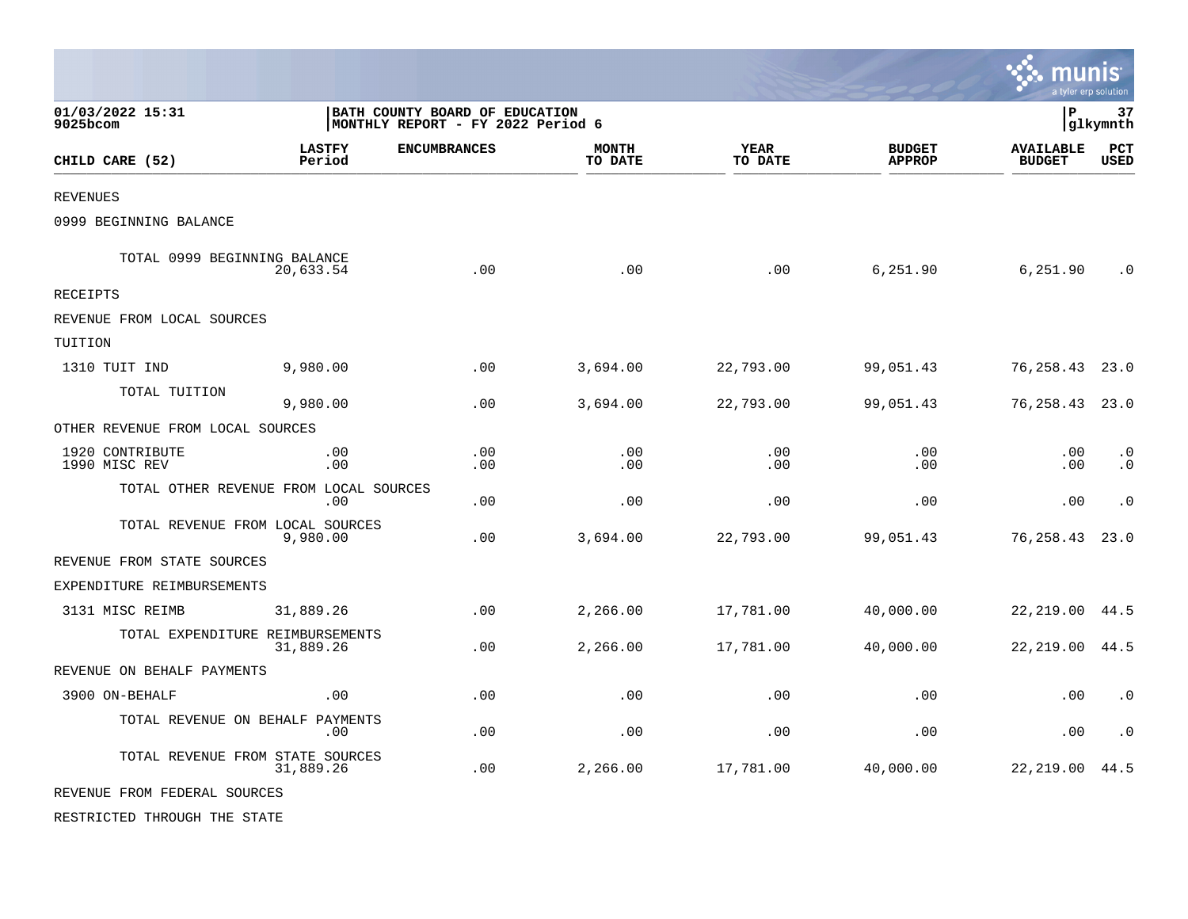|                                        |                         |                                                                      |                         |                        |                                | <b>. .</b> munis<br>a tyler erp solution |                        |
|----------------------------------------|-------------------------|----------------------------------------------------------------------|-------------------------|------------------------|--------------------------------|------------------------------------------|------------------------|
| 01/03/2022 15:31<br>9025bcom           |                         | BATH COUNTY BOARD OF EDUCATION<br> MONTHLY REPORT - FY 2022 Period 6 |                         |                        |                                | P                                        | 37<br>glkymnth         |
| CHILD CARE (52)                        | <b>LASTFY</b><br>Period | <b>ENCUMBRANCES</b>                                                  | <b>MONTH</b><br>TO DATE | <b>YEAR</b><br>TO DATE | <b>BUDGET</b><br><b>APPROP</b> | <b>AVAILABLE</b><br><b>BUDGET</b>        | PCT<br><b>USED</b>     |
| <b>REVENUES</b>                        |                         |                                                                      |                         |                        |                                |                                          |                        |
| 0999 BEGINNING BALANCE                 |                         |                                                                      |                         |                        |                                |                                          |                        |
| TOTAL 0999 BEGINNING BALANCE           | 20,633.54               | .00                                                                  | .00                     | .00                    | 6,251.90                       | 6,251.90                                 | $\cdot$ 0              |
| <b>RECEIPTS</b>                        |                         |                                                                      |                         |                        |                                |                                          |                        |
| REVENUE FROM LOCAL SOURCES             |                         |                                                                      |                         |                        |                                |                                          |                        |
| TUITION                                |                         |                                                                      |                         |                        |                                |                                          |                        |
| 1310 TUIT IND                          | 9,980.00                | .00                                                                  | 3,694.00                | 22,793.00              | 99,051.43                      | 76,258.43                                | 23.0                   |
| TOTAL TUITION                          | 9,980.00                | .00                                                                  | 3,694.00                | 22,793.00              | 99,051.43                      | 76,258.43                                | 23.0                   |
| OTHER REVENUE FROM LOCAL SOURCES       |                         |                                                                      |                         |                        |                                |                                          |                        |
| 1920 CONTRIBUTE<br>1990 MISC REV       | .00<br>.00              | .00<br>.00                                                           | .00<br>.00              | .00<br>.00             | .00<br>.00                     | .00<br>.00                               | $\cdot$ 0<br>$\cdot$ 0 |
| TOTAL OTHER REVENUE FROM LOCAL SOURCES | .00                     | .00                                                                  | .00                     | .00                    | .00                            | .00                                      | $\cdot$ 0              |
| TOTAL REVENUE FROM LOCAL SOURCES       | 9,980.00                | .00                                                                  | 3,694.00                | 22,793.00              | 99,051.43                      | 76,258.43                                | 23.0                   |
| REVENUE FROM STATE SOURCES             |                         |                                                                      |                         |                        |                                |                                          |                        |
| EXPENDITURE REIMBURSEMENTS             |                         |                                                                      |                         |                        |                                |                                          |                        |
| 3131 MISC REIMB                        | 31,889.26               | .00                                                                  | 2,266.00                | 17,781.00              | 40,000.00                      | 22, 219.00                               | 44.5                   |
| TOTAL EXPENDITURE REIMBURSEMENTS       | 31,889.26               | .00                                                                  | 2,266.00                | 17,781.00              | 40,000.00                      | 22, 219.00                               | 44.5                   |
| REVENUE ON BEHALF PAYMENTS             |                         |                                                                      |                         |                        |                                |                                          |                        |
| 3900 ON-BEHALF                         | .00                     | .00                                                                  | .00                     | .00                    | .00                            | .00                                      | $\cdot$ 0              |
| TOTAL REVENUE ON BEHALF PAYMENTS       | .00                     | .00                                                                  | .00                     | .00                    | .00                            | .00                                      | $\cdot$ 0              |
| TOTAL REVENUE FROM STATE SOURCES       | 31,889.26               | .00                                                                  | 2,266.00                | 17,781.00              | 40,000.00                      | 22, 219.00                               | 44.5                   |
| REVENUE FROM FEDERAL SOURCES           |                         |                                                                      |                         |                        |                                |                                          |                        |

 $\mathcal{L}$ 

RESTRICTED THROUGH THE STATE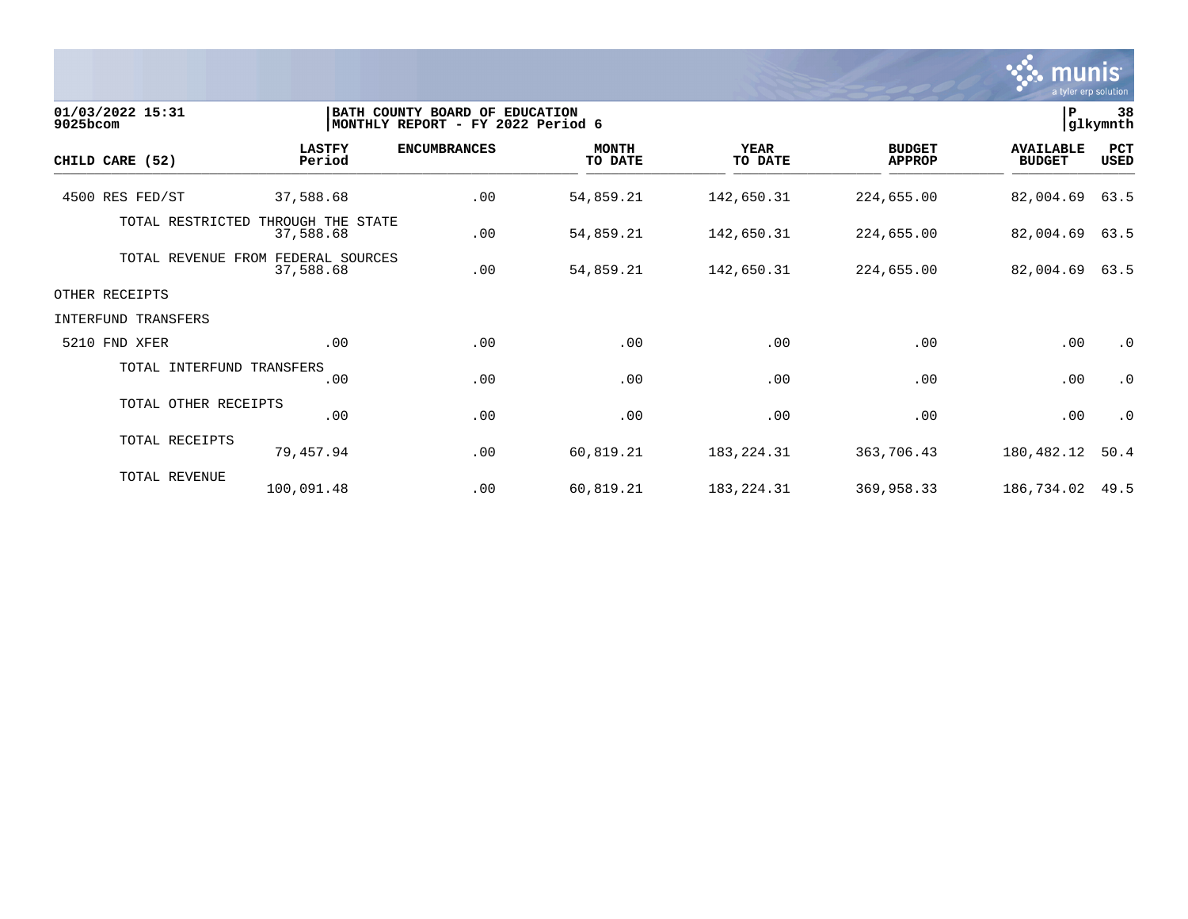

| 01/03/2022 15:31<br>9025bcom |                           |                                | BATH COUNTY BOARD OF EDUCATION<br>MONTHLY REPORT - FY 2022 Period 6 |                         |                        |                                | $\, {\bf P}$                      | 38<br>glkymnth |
|------------------------------|---------------------------|--------------------------------|---------------------------------------------------------------------|-------------------------|------------------------|--------------------------------|-----------------------------------|----------------|
| CHILD CARE (52)              |                           | <b>LASTFY</b><br>Period        | <b>ENCUMBRANCES</b>                                                 | <b>MONTH</b><br>TO DATE | <b>YEAR</b><br>TO DATE | <b>BUDGET</b><br><b>APPROP</b> | <b>AVAILABLE</b><br><b>BUDGET</b> | PCT<br>USED    |
|                              | 4500 RES FED/ST           | 37,588.68                      | .00                                                                 | 54,859.21               | 142,650.31             | 224,655.00                     | 82,004.69                         | 63.5           |
|                              | TOTAL RESTRICTED          | THROUGH THE STATE<br>37,588.68 | .00                                                                 | 54,859.21               | 142,650.31             | 224,655.00                     | 82,004.69                         | 63.5           |
|                              | TOTAL REVENUE FROM        | FEDERAL SOURCES<br>37,588.68   | .00                                                                 | 54,859.21               | 142,650.31             | 224,655.00                     | 82,004.69                         | 63.5           |
| OTHER RECEIPTS               |                           |                                |                                                                     |                         |                        |                                |                                   |                |
|                              | INTERFUND TRANSFERS       |                                |                                                                     |                         |                        |                                |                                   |                |
| 5210 FND XFER                |                           | .00                            | .00                                                                 | .00                     | .00                    | .00                            | .00                               | $\cdot$ 0      |
|                              | TOTAL INTERFUND TRANSFERS | .00                            | .00                                                                 | .00                     | .00                    | .00                            | .00                               | $\cdot$ 0      |
|                              | TOTAL OTHER RECEIPTS      | .00                            | .00                                                                 | .00                     | .00                    | .00                            | .00                               | $\cdot$ 0      |
|                              | TOTAL RECEIPTS            | 79,457.94                      | .00                                                                 | 60,819.21               | 183, 224. 31           | 363,706.43                     | 180,482.12                        | 50.4           |
|                              | TOTAL REVENUE             | 100,091.48                     | .00                                                                 | 60,819.21               | 183, 224. 31           | 369,958.33                     | 186,734.02                        | 49.5           |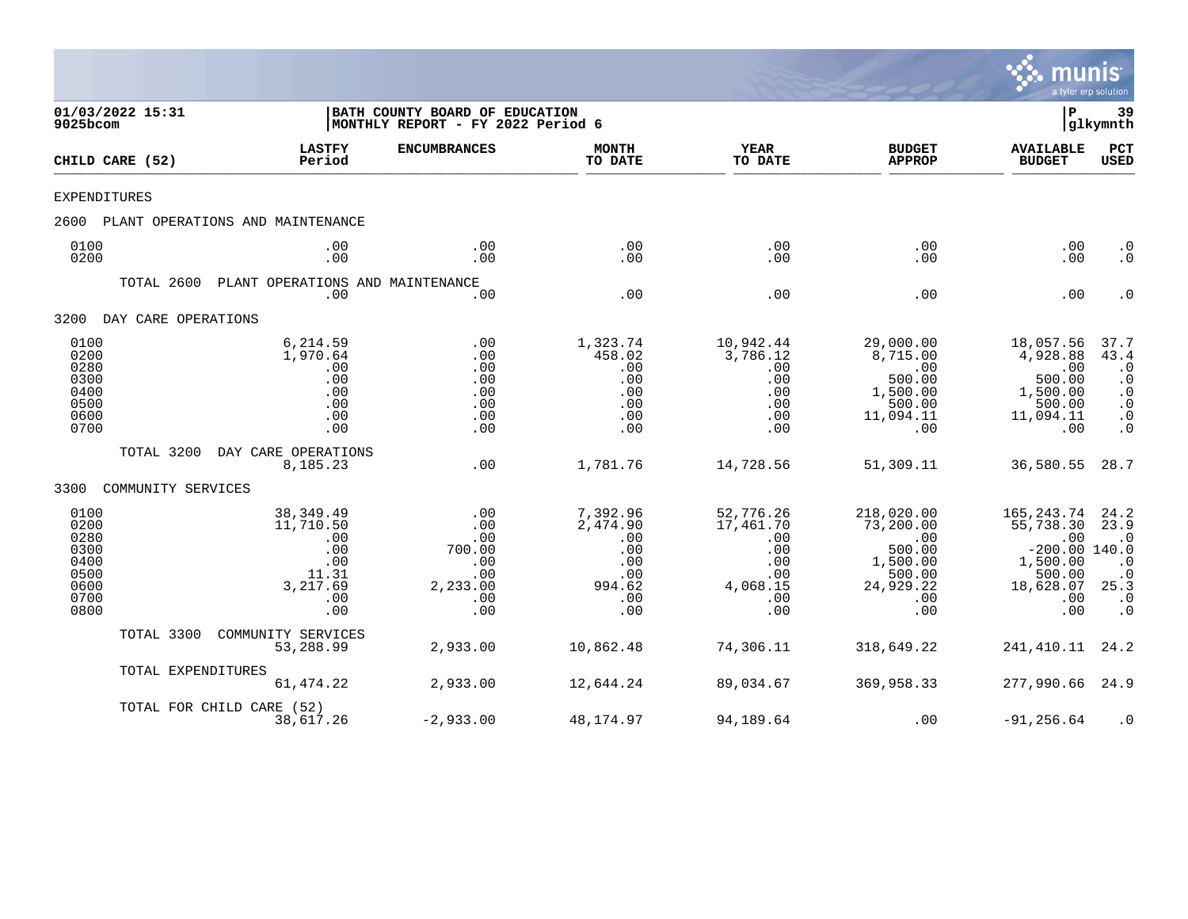

| 9025bcom                                                             | 01/03/2022 15:31    |                                                                                 | BATH COUNTY BOARD OF EDUCATION<br>MONTHLY REPORT - FY 2022 Period 6 |                                                                          |                                                                              |                                                                                           |                                                                                                      |                                                                                                    |
|----------------------------------------------------------------------|---------------------|---------------------------------------------------------------------------------|---------------------------------------------------------------------|--------------------------------------------------------------------------|------------------------------------------------------------------------------|-------------------------------------------------------------------------------------------|------------------------------------------------------------------------------------------------------|----------------------------------------------------------------------------------------------------|
|                                                                      | CHILD CARE (52)     | <b>LASTFY</b><br>Period                                                         | <b>ENCUMBRANCES</b>                                                 | <b>MONTH</b><br>TO DATE                                                  | <b>YEAR</b><br>TO DATE                                                       | <b>BUDGET</b><br><b>APPROP</b>                                                            | <b>AVAILABLE</b><br><b>BUDGET</b>                                                                    | <b>PCT</b><br>USED                                                                                 |
| <b>EXPENDITURES</b>                                                  |                     |                                                                                 |                                                                     |                                                                          |                                                                              |                                                                                           |                                                                                                      |                                                                                                    |
| 2600                                                                 |                     | PLANT OPERATIONS AND MAINTENANCE                                                |                                                                     |                                                                          |                                                                              |                                                                                           |                                                                                                      |                                                                                                    |
| 0100<br>0200                                                         |                     | .00<br>.00                                                                      | .00<br>.00                                                          | .00<br>.00                                                               | .00<br>.00                                                                   | .00<br>.00                                                                                | .00<br>.00                                                                                           | $\cdot$ 0<br>$\cdot$ 0                                                                             |
|                                                                      | TOTAL 2600          | PLANT OPERATIONS AND MAINTENANCE<br>.00                                         | .00                                                                 | .00                                                                      | .00                                                                          | .00                                                                                       | .00                                                                                                  | $\cdot$ 0                                                                                          |
| 3200                                                                 | DAY CARE OPERATIONS |                                                                                 |                                                                     |                                                                          |                                                                              |                                                                                           |                                                                                                      |                                                                                                    |
| 0100<br>0200<br>0280<br>0300<br>0400<br>0500<br>0600<br>0700         |                     | 6,214.59<br>1,970.64<br>.00<br>.00<br>.00<br>.00<br>.00<br>.00                  | .00<br>.00<br>.00<br>.00<br>.00<br>.00<br>.00<br>.00                | 1,323.74<br>458.02<br>.00<br>.00<br>.00<br>.00<br>.00<br>.00             | 10,942.44<br>3,786.12<br>.00<br>.00<br>.00<br>.00<br>.00<br>.00              | 29,000.00<br>8,715.00<br>.00<br>500.00<br>1,500.00<br>500.00<br>11,094.11<br>.00          | 18,057.56<br>4,928.88<br>.00<br>500.00<br>1,500.00<br>500.00<br>11,094.11<br>.00                     | 37.7<br>43.4<br>$\cdot$ 0<br>$\cdot$ 0<br>$\cdot$ 0<br>$\cdot$ 0<br>$\cdot$ 0<br>$\cdot$ 0         |
|                                                                      | TOTAL 3200          | DAY CARE OPERATIONS<br>8,185.23                                                 | .00                                                                 | 1,781.76                                                                 | 14,728.56                                                                    | 51,309.11                                                                                 | 36,580.55                                                                                            | 28.7                                                                                               |
| 3300                                                                 | COMMUNITY SERVICES  |                                                                                 |                                                                     |                                                                          |                                                                              |                                                                                           |                                                                                                      |                                                                                                    |
| 0100<br>0200<br>0280<br>0300<br>0400<br>0500<br>0600<br>0700<br>0800 |                     | 38, 349.49<br>11,710.50<br>.00<br>.00<br>.00<br>11.31<br>3,217.69<br>.00<br>.00 | .00<br>.00<br>.00<br>700.00<br>.00<br>.00<br>2,233.00<br>.00<br>.00 | 7,392.96<br>2,474.90<br>.00<br>.00<br>.00<br>.00<br>994.62<br>.00<br>.00 | 52,776.26<br>17,461.70<br>.00<br>.00<br>.00<br>.00<br>4,068.15<br>.00<br>.00 | 218,020.00<br>73,200.00<br>.00<br>500.00<br>1,500.00<br>500.00<br>24,929.22<br>.00<br>.00 | 165, 243. 74<br>55,738.30<br>.00<br>$-200.00$ 140.0<br>1,500.00<br>500.00<br>18,628.07<br>.00<br>.00 | 24.2<br>23.9<br>$\cdot$ 0<br>$\cdot$ 0<br>$\cdot$ 0<br>25.3<br>$\boldsymbol{\cdot}$ 0<br>$\cdot$ 0 |
|                                                                      | TOTAL 3300          | COMMUNITY SERVICES<br>53,288.99                                                 | 2,933.00                                                            | 10,862.48                                                                | 74,306.11                                                                    | 318,649.22                                                                                | 241,410.11                                                                                           | 24.2                                                                                               |
|                                                                      | TOTAL EXPENDITURES  | 61, 474.22                                                                      | 2,933.00                                                            | 12,644.24                                                                | 89,034.67                                                                    | 369,958.33                                                                                | 277,990.66                                                                                           | 24.9                                                                                               |
|                                                                      |                     | TOTAL FOR CHILD CARE (52)<br>38,617.26                                          | $-2,933.00$                                                         | 48,174.97                                                                | 94,189.64                                                                    | .00                                                                                       | $-91, 256.64$                                                                                        | $\cdot$ 0                                                                                          |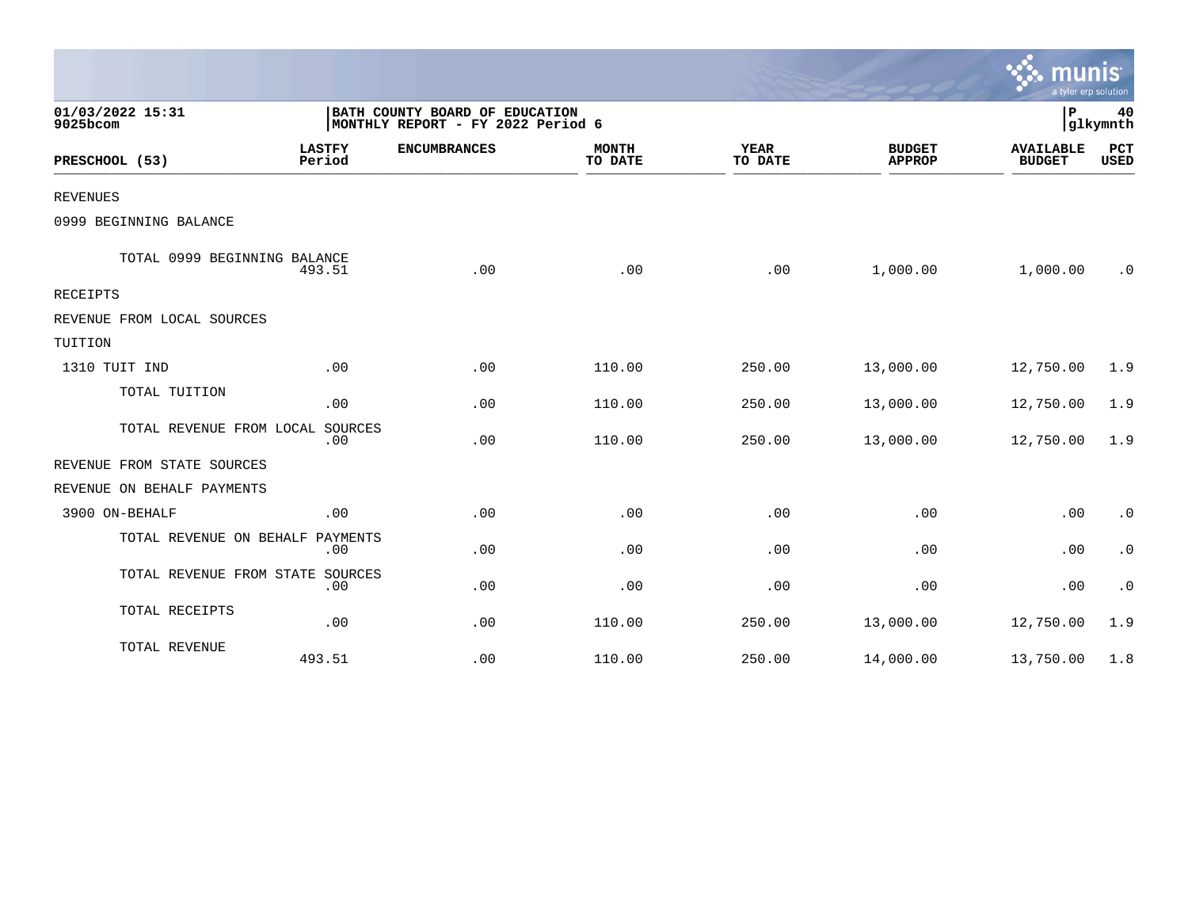|                                  |                         |                                                                     |                         |                        |                                | mun<br>a tyler erp solution       |                |
|----------------------------------|-------------------------|---------------------------------------------------------------------|-------------------------|------------------------|--------------------------------|-----------------------------------|----------------|
| 01/03/2022 15:31<br>9025bcom     |                         | BATH COUNTY BOARD OF EDUCATION<br>MONTHLY REPORT - FY 2022 Period 6 |                         |                        |                                | P                                 | 40<br>glkymnth |
| PRESCHOOL (53)                   | <b>LASTFY</b><br>Period | <b>ENCUMBRANCES</b>                                                 | <b>MONTH</b><br>TO DATE | <b>YEAR</b><br>TO DATE | <b>BUDGET</b><br><b>APPROP</b> | <b>AVAILABLE</b><br><b>BUDGET</b> | PCT<br>USED    |
| <b>REVENUES</b>                  |                         |                                                                     |                         |                        |                                |                                   |                |
| 0999 BEGINNING BALANCE           |                         |                                                                     |                         |                        |                                |                                   |                |
| TOTAL 0999 BEGINNING BALANCE     | 493.51                  | .00                                                                 | .00                     | .00                    | 1,000.00                       | 1,000.00                          | $\cdot$ 0      |
| RECEIPTS                         |                         |                                                                     |                         |                        |                                |                                   |                |
| REVENUE FROM LOCAL SOURCES       |                         |                                                                     |                         |                        |                                |                                   |                |
| TUITION                          |                         |                                                                     |                         |                        |                                |                                   |                |
| 1310 TUIT IND                    | .00                     | .00                                                                 | 110.00                  | 250.00                 | 13,000.00                      | 12,750.00                         | 1.9            |
| TOTAL TUITION                    | .00                     | .00                                                                 | 110.00                  | 250.00                 | 13,000.00                      | 12,750.00                         | 1.9            |
| TOTAL REVENUE FROM LOCAL SOURCES | .00                     | .00                                                                 | 110.00                  | 250.00                 | 13,000.00                      | 12,750.00                         | 1.9            |
| REVENUE FROM STATE SOURCES       |                         |                                                                     |                         |                        |                                |                                   |                |
| REVENUE ON BEHALF PAYMENTS       |                         |                                                                     |                         |                        |                                |                                   |                |
| 3900 ON-BEHALF                   | .00                     | .00                                                                 | .00                     | .00                    | .00                            | .00                               | $\cdot$ 0      |
| TOTAL REVENUE ON BEHALF PAYMENTS | .00                     | .00                                                                 | .00                     | .00                    | .00                            | .00                               | $\cdot$ 0      |
| TOTAL REVENUE FROM STATE SOURCES | .00                     | .00                                                                 | .00                     | .00                    | .00                            | .00                               | $\cdot$ 0      |
| TOTAL RECEIPTS                   | .00                     | .00                                                                 | 110.00                  | 250.00                 | 13,000.00                      | 12,750.00                         | 1.9            |
| TOTAL REVENUE                    | 493.51                  | .00                                                                 | 110.00                  | 250.00                 | 14,000.00                      | 13,750.00                         | 1.8            |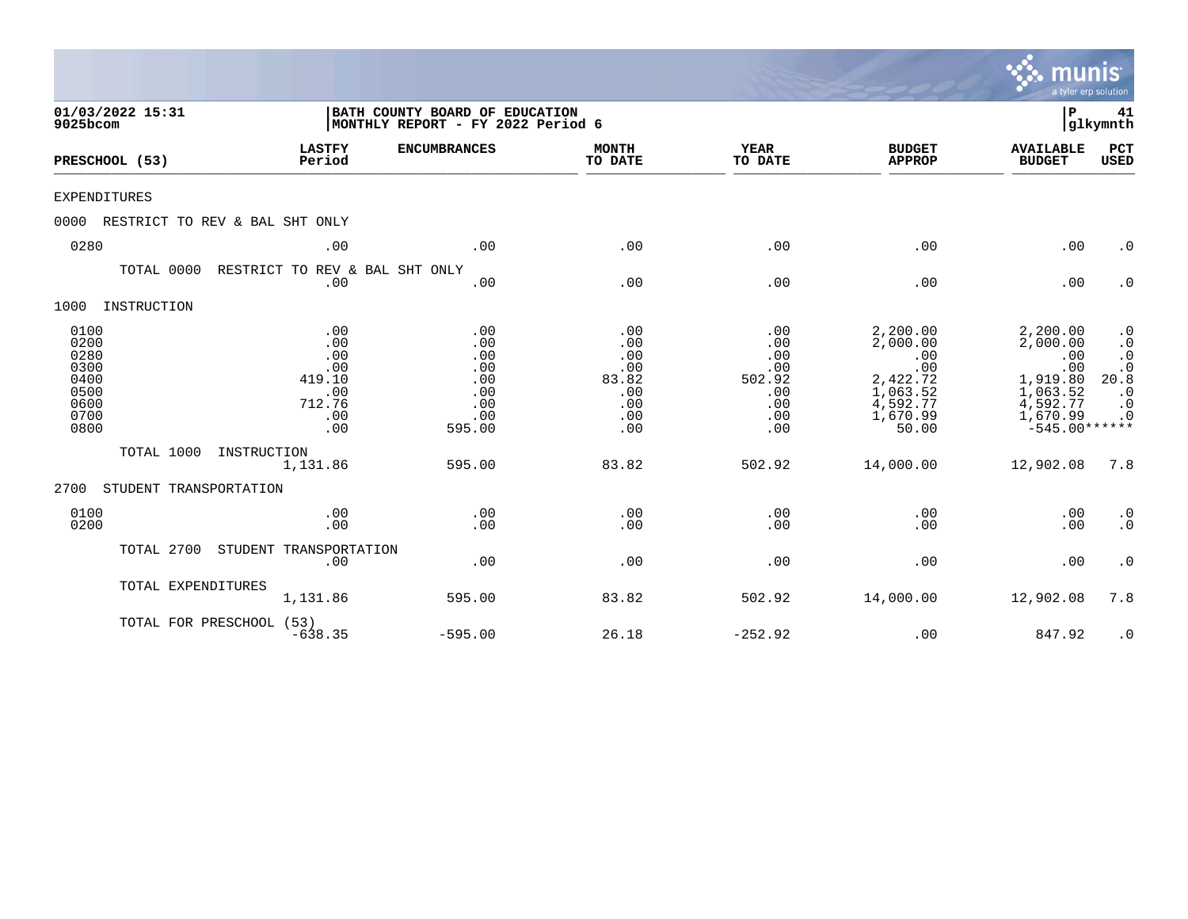|                                                                      |                                                                   |                                                                     |                                                               |                                                                |                                                                                             | munis<br>a tyler erp solution                                                                         |                                                                                                         |
|----------------------------------------------------------------------|-------------------------------------------------------------------|---------------------------------------------------------------------|---------------------------------------------------------------|----------------------------------------------------------------|---------------------------------------------------------------------------------------------|-------------------------------------------------------------------------------------------------------|---------------------------------------------------------------------------------------------------------|
| 01/03/2022 15:31<br>9025bcom                                         |                                                                   | BATH COUNTY BOARD OF EDUCATION<br>MONTHLY REPORT - FY 2022 Period 6 |                                                               |                                                                |                                                                                             | l P                                                                                                   | 41<br>glkymnth                                                                                          |
| PRESCHOOL (53)                                                       | <b>LASTFY</b><br>Period                                           | <b>ENCUMBRANCES</b>                                                 | <b>MONTH</b><br>TO DATE                                       | <b>YEAR</b><br>TO DATE                                         | <b>BUDGET</b><br><b>APPROP</b>                                                              | <b>AVAILABLE</b><br><b>BUDGET</b>                                                                     | PCT<br><b>USED</b>                                                                                      |
| <b>EXPENDITURES</b>                                                  |                                                                   |                                                                     |                                                               |                                                                |                                                                                             |                                                                                                       |                                                                                                         |
| 0000                                                                 | RESTRICT TO REV & BAL SHT ONLY                                    |                                                                     |                                                               |                                                                |                                                                                             |                                                                                                       |                                                                                                         |
| 0280                                                                 | .00                                                               | .00                                                                 | .00                                                           | .00                                                            | .00                                                                                         | .00                                                                                                   | $\cdot$ 0                                                                                               |
| TOTAL 0000                                                           | RESTRICT TO REV & BAL SHT ONLY<br>.00                             | .00                                                                 | .00                                                           | .00                                                            | .00                                                                                         | .00                                                                                                   | $\cdot$ 0                                                                                               |
| 1000<br>INSTRUCTION                                                  |                                                                   |                                                                     |                                                               |                                                                |                                                                                             |                                                                                                       |                                                                                                         |
| 0100<br>0200<br>0280<br>0300<br>0400<br>0500<br>0600<br>0700<br>0800 | .00<br>.00<br>.00<br>.00<br>419.10<br>.00<br>712.76<br>.00<br>.00 | .00<br>.00<br>.00<br>.00<br>.00<br>.00<br>.00<br>.00<br>595.00      | .00<br>.00<br>.00<br>.00<br>83.82<br>.00<br>.00<br>.00<br>.00 | .00<br>.00<br>.00<br>.00<br>502.92<br>.00<br>.00<br>.00<br>.00 | 2,200.00<br>2,000.00<br>.00<br>.00<br>2,422.72<br>1,063.52<br>4,592.77<br>1,670.99<br>50.00 | 2,200.00<br>2,000.00<br>.00<br>.00<br>1,919.80<br>1,063.52<br>4,592.77<br>1,670.99<br>$-545.00******$ | $\cdot$ 0<br>$\cdot$ 0<br>$\boldsymbol{\cdot}$ 0<br>$.0$<br>20.8<br>$\cdot$ 0<br>$\cdot$ 0<br>$\cdot$ 0 |
| TOTAL 1000                                                           | INSTRUCTION<br>1,131.86                                           | 595.00                                                              | 83.82                                                         | 502.92                                                         | 14,000.00                                                                                   | 12,902.08                                                                                             | 7.8                                                                                                     |
| 2700<br>STUDENT TRANSPORTATION                                       |                                                                   |                                                                     |                                                               |                                                                |                                                                                             |                                                                                                       |                                                                                                         |
| 0100<br>0200                                                         | .00<br>.00                                                        | .00<br>.00                                                          | .00<br>.00                                                    | .00<br>.00                                                     | .00<br>.00                                                                                  | .00<br>.00                                                                                            | $\cdot$ 0<br>$\boldsymbol{\cdot}$ 0                                                                     |
| TOTAL 2700                                                           | STUDENT TRANSPORTATION<br>.00                                     | .00                                                                 | .00                                                           | .00                                                            | .00                                                                                         | .00                                                                                                   | $\cdot$ 0                                                                                               |
| TOTAL EXPENDITURES                                                   | 1,131.86                                                          | 595.00                                                              | 83.82                                                         | 502.92                                                         | 14,000.00                                                                                   | 12,902.08                                                                                             | 7.8                                                                                                     |
|                                                                      | TOTAL FOR PRESCHOOL (53)<br>$-638.35$                             | $-595.00$                                                           | 26.18                                                         | $-252.92$                                                      | .00                                                                                         | 847.92                                                                                                | $\cdot$ 0                                                                                               |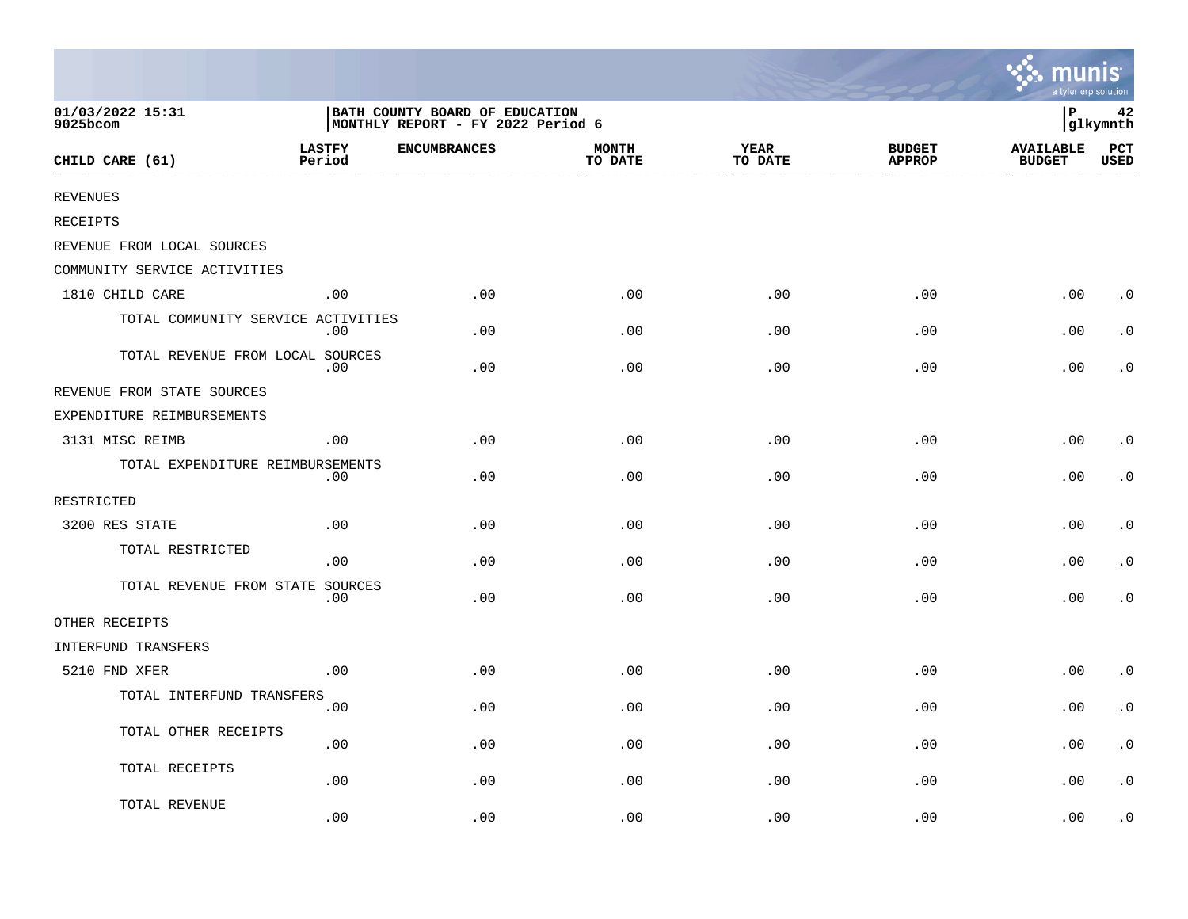|                                    |                         |                                                                     |                         |                        |                                | mun<br>a tyler erp solution       |                        |
|------------------------------------|-------------------------|---------------------------------------------------------------------|-------------------------|------------------------|--------------------------------|-----------------------------------|------------------------|
| 01/03/2022 15:31<br>9025bcom       |                         | BATH COUNTY BOARD OF EDUCATION<br>MONTHLY REPORT - FY 2022 Period 6 |                         |                        |                                | ∣P<br>42<br>glkymnth              |                        |
| CHILD CARE (61)                    | <b>LASTFY</b><br>Period | <b>ENCUMBRANCES</b>                                                 | <b>MONTH</b><br>TO DATE | <b>YEAR</b><br>TO DATE | <b>BUDGET</b><br><b>APPROP</b> | <b>AVAILABLE</b><br><b>BUDGET</b> | $_{\rm PCT}$<br>USED   |
| <b>REVENUES</b>                    |                         |                                                                     |                         |                        |                                |                                   |                        |
| <b>RECEIPTS</b>                    |                         |                                                                     |                         |                        |                                |                                   |                        |
| REVENUE FROM LOCAL SOURCES         |                         |                                                                     |                         |                        |                                |                                   |                        |
| COMMUNITY SERVICE ACTIVITIES       |                         |                                                                     |                         |                        |                                |                                   |                        |
| 1810 CHILD CARE                    | .00                     | .00                                                                 | .00                     | .00                    | .00                            | .00                               | $\cdot$ 0              |
| TOTAL COMMUNITY SERVICE ACTIVITIES | .00                     | .00                                                                 | .00                     | .00                    | .00                            | .00                               | $\cdot$ 0              |
| TOTAL REVENUE FROM LOCAL SOURCES   | .00                     | .00                                                                 | .00                     | .00                    | .00                            | .00                               | $\cdot$ 0              |
| REVENUE FROM STATE SOURCES         |                         |                                                                     |                         |                        |                                |                                   |                        |
| EXPENDITURE REIMBURSEMENTS         |                         |                                                                     |                         |                        |                                |                                   |                        |
| 3131 MISC REIMB                    | .00                     | .00                                                                 | .00                     | .00                    | .00                            | .00                               | $\cdot$ 0              |
| TOTAL EXPENDITURE REIMBURSEMENTS   | .00                     | .00                                                                 | .00                     | .00                    | .00                            | .00                               | $\cdot$ 0              |
| RESTRICTED                         |                         |                                                                     |                         |                        |                                |                                   |                        |
| 3200 RES STATE                     | .00                     | .00                                                                 | .00                     | .00                    | .00                            | .00                               | $\cdot$ 0              |
| TOTAL RESTRICTED                   | .00                     | .00                                                                 | .00                     | .00                    | .00                            | .00                               | $\cdot$ 0              |
| TOTAL REVENUE FROM STATE SOURCES   | .00                     | .00                                                                 | .00                     | .00                    | .00                            | .00                               | $\cdot$ 0              |
| OTHER RECEIPTS                     |                         |                                                                     |                         |                        |                                |                                   |                        |
| INTERFUND TRANSFERS                |                         |                                                                     |                         |                        |                                |                                   |                        |
| 5210 FND XFER                      | .00                     | .00                                                                 | .00                     | .00                    | .00                            | .00                               | $\cdot$ 0              |
| TOTAL INTERFUND TRANSFERS          | .00                     | .00                                                                 | .00                     | .00                    | .00                            | .00                               | $\cdot$ 0              |
| TOTAL OTHER RECEIPTS               | .00                     | .00                                                                 | .00                     | .00                    | .00                            | .00                               | $\cdot$ 0              |
| TOTAL RECEIPTS                     | .00                     | .00                                                                 | .00                     | .00                    | .00                            | .00                               | $\boldsymbol{\cdot}$ 0 |
| TOTAL REVENUE                      | .00                     | .00                                                                 | .00                     | .00                    | .00                            | .00                               | . 0                    |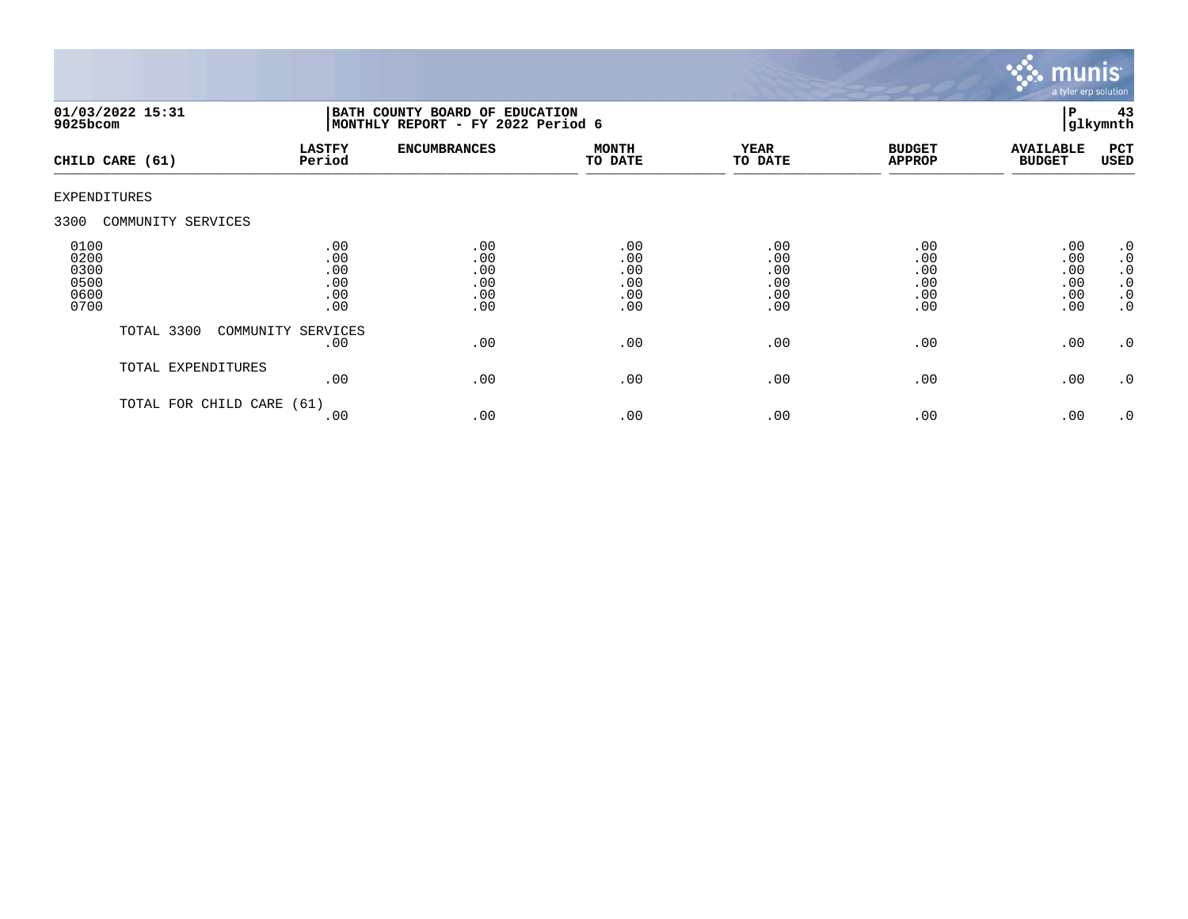

| $9025$ bcom                                  | 01/03/2022 15:31     | BATH COUNTY BOARD OF EDUCATION<br>MONTHLY REPORT - FY 2022 Period 6 |                                        |                                        |                                        |                                        |                                        | 43<br>glkymnth                                                             |
|----------------------------------------------|----------------------|---------------------------------------------------------------------|----------------------------------------|----------------------------------------|----------------------------------------|----------------------------------------|----------------------------------------|----------------------------------------------------------------------------|
|                                              | CHILD CARE (61)      | <b>LASTFY</b><br>Period                                             | <b>ENCUMBRANCES</b>                    | <b>MONTH</b><br>TO DATE                | <b>YEAR</b><br>TO DATE                 | <b>BUDGET</b><br><b>APPROP</b>         | <b>AVAILABLE</b><br><b>BUDGET</b>      | PCT<br>USED                                                                |
| <b>EXPENDITURES</b>                          |                      |                                                                     |                                        |                                        |                                        |                                        |                                        |                                                                            |
| 3300                                         | COMMUNITY SERVICES   |                                                                     |                                        |                                        |                                        |                                        |                                        |                                                                            |
| 0100<br>0200<br>0300<br>0500<br>0600<br>0700 |                      | .00<br>.00<br>.00<br>.00<br>.00<br>.00                              | .00<br>.00<br>.00<br>.00<br>.00<br>.00 | .00<br>.00<br>.00<br>.00<br>.00<br>.00 | .00<br>.00<br>.00<br>.00<br>.00<br>.00 | .00<br>.00<br>.00<br>.00<br>.00<br>.00 | .00<br>.00<br>.00<br>.00<br>.00<br>.00 | $\cdot$ 0<br>$\cdot$ 0<br>$\cdot$ 0<br>$\cdot$ 0<br>$\cdot$ 0<br>$\cdot$ 0 |
|                                              | TOTAL 3300           | COMMUNITY SERVICES<br>.00                                           | .00                                    | .00                                    | .00                                    | .00                                    | .00                                    | $\cdot$ 0                                                                  |
|                                              | TOTAL EXPENDITURES   | .00                                                                 | .00                                    | .00                                    | .00                                    | .00                                    | .00                                    | $\cdot$ 0                                                                  |
|                                              | TOTAL FOR CHILD CARE | (61)<br>.00                                                         | .00                                    | .00                                    | .00                                    | .00                                    | .00                                    | .0                                                                         |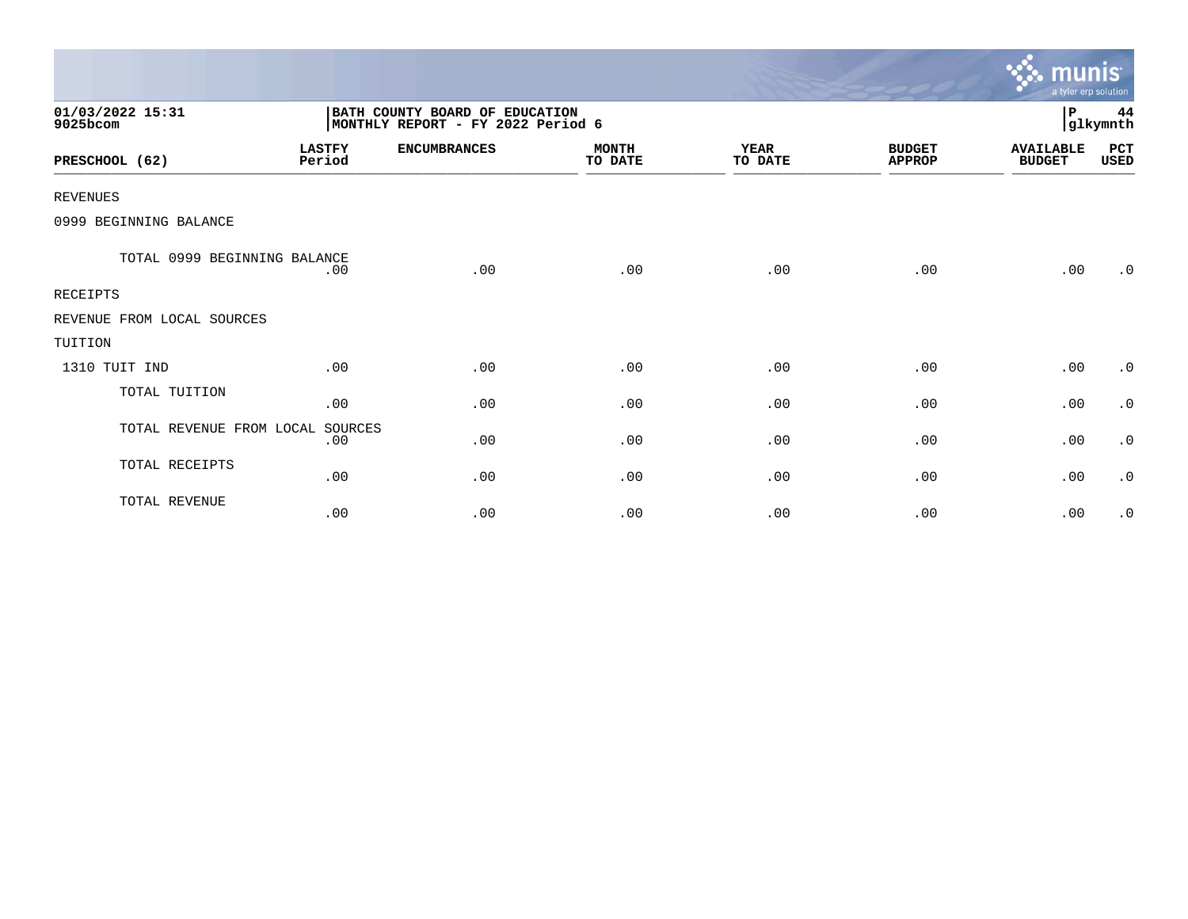|                              |                         |                                                                     |                         |                        |                                | <u>munis </u><br>a tyler erp solution |                |
|------------------------------|-------------------------|---------------------------------------------------------------------|-------------------------|------------------------|--------------------------------|---------------------------------------|----------------|
| 01/03/2022 15:31<br>9025bcom |                         | BATH COUNTY BOARD OF EDUCATION<br>MONTHLY REPORT - FY 2022 Period 6 |                         |                        |                                | P                                     | 44<br>glkymnth |
| PRESCHOOL (62)               | <b>LASTFY</b><br>Period | <b>ENCUMBRANCES</b>                                                 | <b>MONTH</b><br>TO DATE | <b>YEAR</b><br>TO DATE | <b>BUDGET</b><br><b>APPROP</b> | <b>AVAILABLE</b><br><b>BUDGET</b>     | PCT<br>USED    |
| <b>REVENUES</b>              |                         |                                                                     |                         |                        |                                |                                       |                |
| 0999 BEGINNING BALANCE       |                         |                                                                     |                         |                        |                                |                                       |                |
| TOTAL 0999 BEGINNING BALANCE | .00                     | .00                                                                 | .00                     | .00                    | .00                            | .00                                   | .0             |
| <b>RECEIPTS</b>              |                         |                                                                     |                         |                        |                                |                                       |                |
| REVENUE FROM LOCAL SOURCES   |                         |                                                                     |                         |                        |                                |                                       |                |
| TUITION                      |                         |                                                                     |                         |                        |                                |                                       |                |
| 1310 TUIT IND                | .00                     | .00                                                                 | .00                     | .00                    | .00                            | .00                                   | $\cdot$ 0      |
| TOTAL TUITION                | .00                     | .00                                                                 | .00                     | .00                    | .00                            | .00                                   | $\cdot$ 0      |
| TOTAL REVENUE FROM LOCAL     | SOURCES<br>.00          | .00                                                                 | .00                     | .00                    | .00                            | .00                                   | $\cdot$ 0      |
| TOTAL RECEIPTS               | .00                     | .00                                                                 | .00                     | .00                    | .00                            | .00                                   | $\cdot$ 0      |
| TOTAL REVENUE                | .00                     | .00                                                                 | .00                     | .00                    | .00                            | .00                                   | $\cdot$ 0      |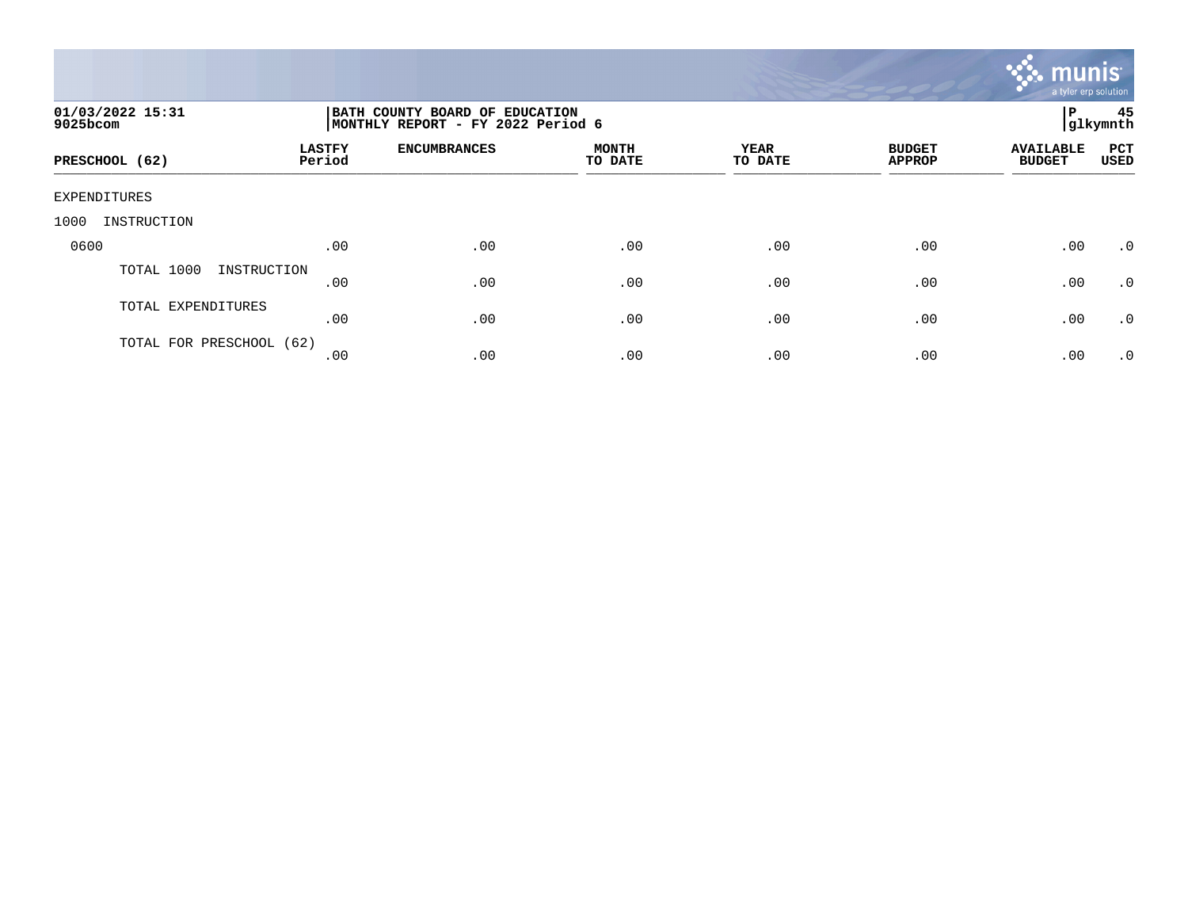

| 01/03/2022 15:31<br>9025bcom |                         | BATH COUNTY BOARD OF EDUCATION<br>MONTHLY REPORT - FY 2022 Period 6 |                         |                 |                                |                                   |                    |  |
|------------------------------|-------------------------|---------------------------------------------------------------------|-------------------------|-----------------|--------------------------------|-----------------------------------|--------------------|--|
| PRESCHOOL (62)               | <b>LASTFY</b><br>Period | <b>ENCUMBRANCES</b>                                                 | <b>MONTH</b><br>TO DATE | YEAR<br>TO DATE | <b>BUDGET</b><br><b>APPROP</b> | <b>AVAILABLE</b><br><b>BUDGET</b> | PCT<br><b>USED</b> |  |
| EXPENDITURES                 |                         |                                                                     |                         |                 |                                |                                   |                    |  |
| INSTRUCTION<br>1000          |                         |                                                                     |                         |                 |                                |                                   |                    |  |
| 0600                         | .00                     | .00                                                                 | .00                     | .00             | .00                            | .00                               | $\cdot$ 0          |  |
| TOTAL 1000<br>INSTRUCTION    | .00                     | .00                                                                 | .00                     | .00             | .00                            | .00                               | .0                 |  |
| TOTAL EXPENDITURES           | .00                     | .00                                                                 | .00                     | .00             | .00                            | .00                               | $\cdot$ 0          |  |
| TOTAL FOR PRESCHOOL (62)     | .00                     | .00                                                                 | .00                     | .00             | .00                            | .00                               | .0                 |  |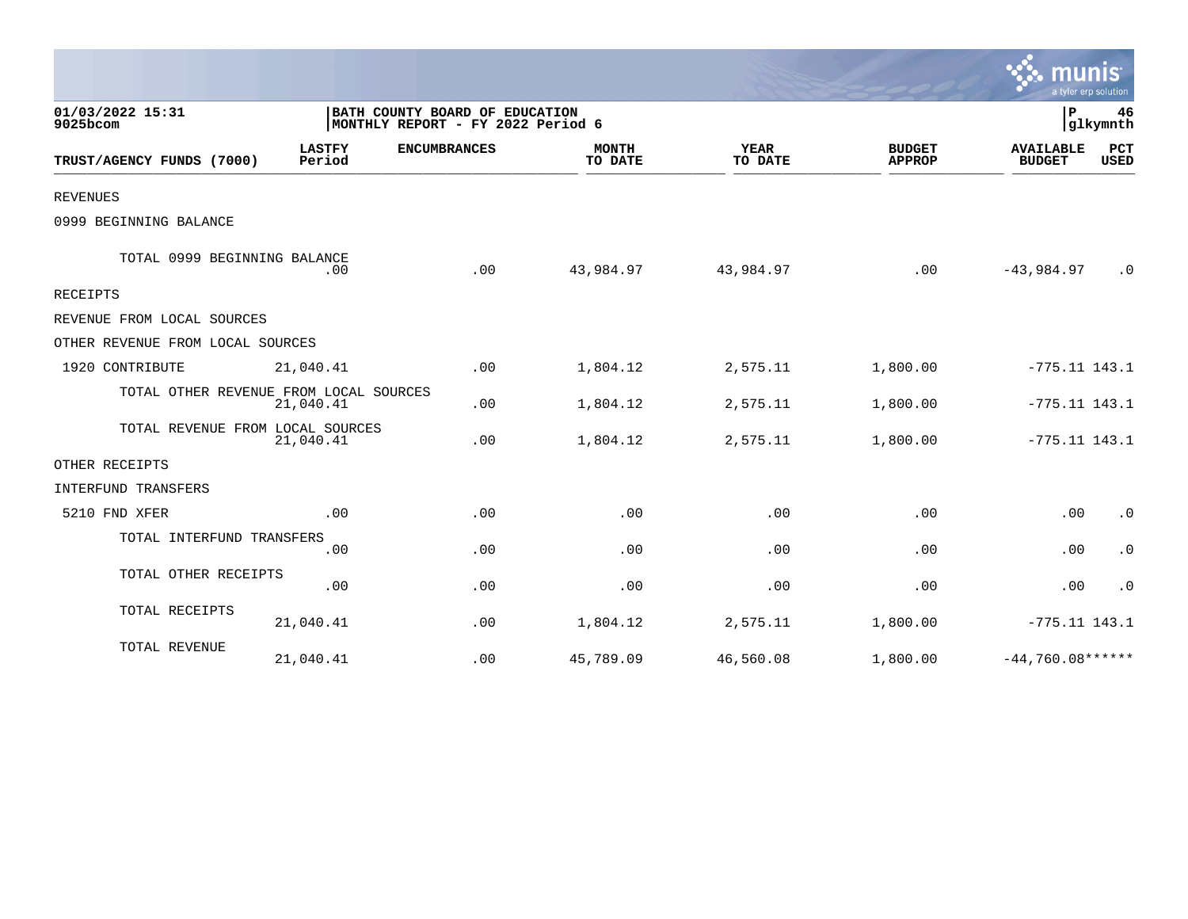|                                        |                         |                                                                     |                         |                        |                                |                                   | a tyler erp solution |
|----------------------------------------|-------------------------|---------------------------------------------------------------------|-------------------------|------------------------|--------------------------------|-----------------------------------|----------------------|
| 01/03/2022 15:31<br>9025bcom           |                         | BATH COUNTY BOARD OF EDUCATION<br>MONTHLY REPORT - FY 2022 Period 6 |                         |                        |                                | $\mathbf{P}$                      | 46<br>glkymnth       |
| TRUST/AGENCY FUNDS (7000)              | <b>LASTFY</b><br>Period | <b>ENCUMBRANCES</b>                                                 | <b>MONTH</b><br>TO DATE | <b>YEAR</b><br>TO DATE | <b>BUDGET</b><br><b>APPROP</b> | <b>AVAILABLE</b><br><b>BUDGET</b> | PCT<br><b>USED</b>   |
| <b>REVENUES</b>                        |                         |                                                                     |                         |                        |                                |                                   |                      |
| 0999 BEGINNING BALANCE                 |                         |                                                                     |                         |                        |                                |                                   |                      |
| TOTAL 0999 BEGINNING BALANCE           | .00                     | .00                                                                 | 43,984.97               | 43,984.97              | .00                            | $-43,984.97$                      | $\cdot$ 0            |
| RECEIPTS                               |                         |                                                                     |                         |                        |                                |                                   |                      |
| REVENUE FROM LOCAL SOURCES             |                         |                                                                     |                         |                        |                                |                                   |                      |
| OTHER REVENUE FROM LOCAL SOURCES       |                         |                                                                     |                         |                        |                                |                                   |                      |
| 1920 CONTRIBUTE                        | 21,040.41               | .00                                                                 | 1,804.12                | 2,575.11               | 1,800.00                       | $-775.11$ 143.1                   |                      |
| TOTAL OTHER REVENUE FROM LOCAL SOURCES | 21,040.41               | .00                                                                 | 1,804.12                | 2,575.11               | 1,800.00                       | $-775.11$ 143.1                   |                      |
| TOTAL REVENUE FROM LOCAL SOURCES       | 21,040.41               | .00                                                                 | 1,804.12                | 2,575.11               | 1,800.00                       | $-775.11$ 143.1                   |                      |
| OTHER RECEIPTS                         |                         |                                                                     |                         |                        |                                |                                   |                      |
| INTERFUND TRANSFERS                    |                         |                                                                     |                         |                        |                                |                                   |                      |
| 5210 FND XFER                          | .00                     | .00                                                                 | .00                     | .00                    | .00                            | .00                               | $\cdot$ 0            |
| TOTAL INTERFUND TRANSFERS              | .00                     | .00                                                                 | .00                     | .00                    | .00                            | .00                               | $\cdot$ 0            |
| TOTAL OTHER RECEIPTS                   | .00                     | .00                                                                 | .00                     | .00                    | .00                            | .00                               | $\cdot$ 0            |
| TOTAL RECEIPTS                         | 21,040.41               | .00                                                                 | 1,804.12                | 2,575.11               | 1,800.00                       | $-775.11$ 143.1                   |                      |
| TOTAL REVENUE                          | 21,040.41               | .00                                                                 | 45,789.09               | 46,560.08              | 1,800.00                       | $-44.760.08***$                   |                      |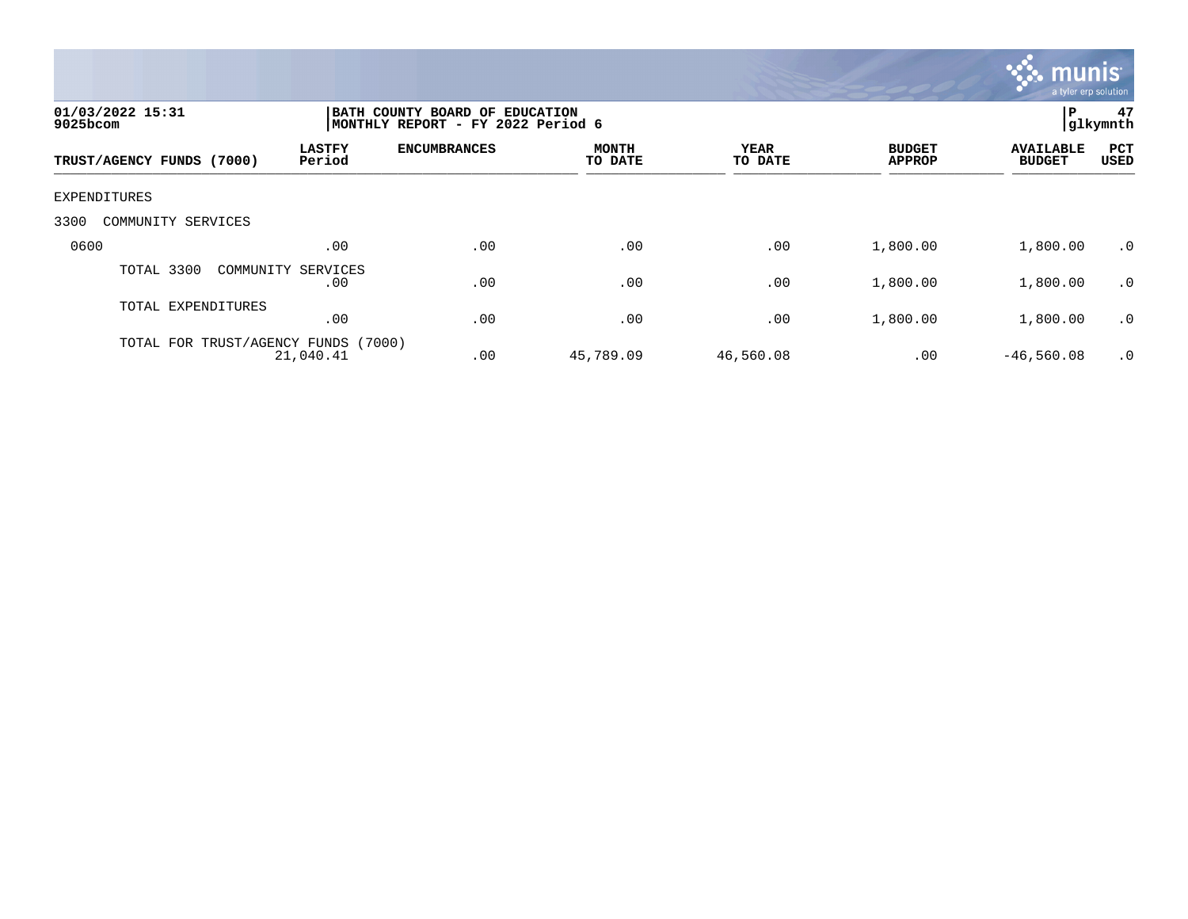

| 01/03/2022 15:31<br>$9025$ bcom     |                           | BATH COUNTY BOARD OF EDUCATION<br>MONTHLY REPORT - FY 2022 Period 6 |                         |                        |                                |                                   |             |
|-------------------------------------|---------------------------|---------------------------------------------------------------------|-------------------------|------------------------|--------------------------------|-----------------------------------|-------------|
| TRUST/AGENCY FUNDS (7000)           | <b>LASTFY</b><br>Period   | <b>ENCUMBRANCES</b>                                                 | <b>MONTH</b><br>TO DATE | <b>YEAR</b><br>TO DATE | <b>BUDGET</b><br><b>APPROP</b> | <b>AVAILABLE</b><br><b>BUDGET</b> | PCT<br>USED |
| EXPENDITURES                        |                           |                                                                     |                         |                        |                                |                                   |             |
| 3300<br>COMMUNITY SERVICES          |                           |                                                                     |                         |                        |                                |                                   |             |
| 0600                                | .00                       | .00                                                                 | .00                     | .00                    | 1,800.00                       | 1,800.00                          | .0          |
| TOTAL 3300                          | COMMUNITY SERVICES<br>.00 | .00                                                                 | .00                     | .00                    | 1,800.00                       | 1,800.00                          | $\cdot$ 0   |
| TOTAL EXPENDITURES                  | .00                       | .00                                                                 | .00                     | .00                    | 1,800.00                       | 1,800.00                          | $\cdot$ 0   |
| TOTAL FOR TRUST/AGENCY FUNDS (7000) | 21,040.41                 | .00                                                                 | 45,789.09               | 46,560.08              | .00                            | $-46,560.08$                      | $\cdot$ 0   |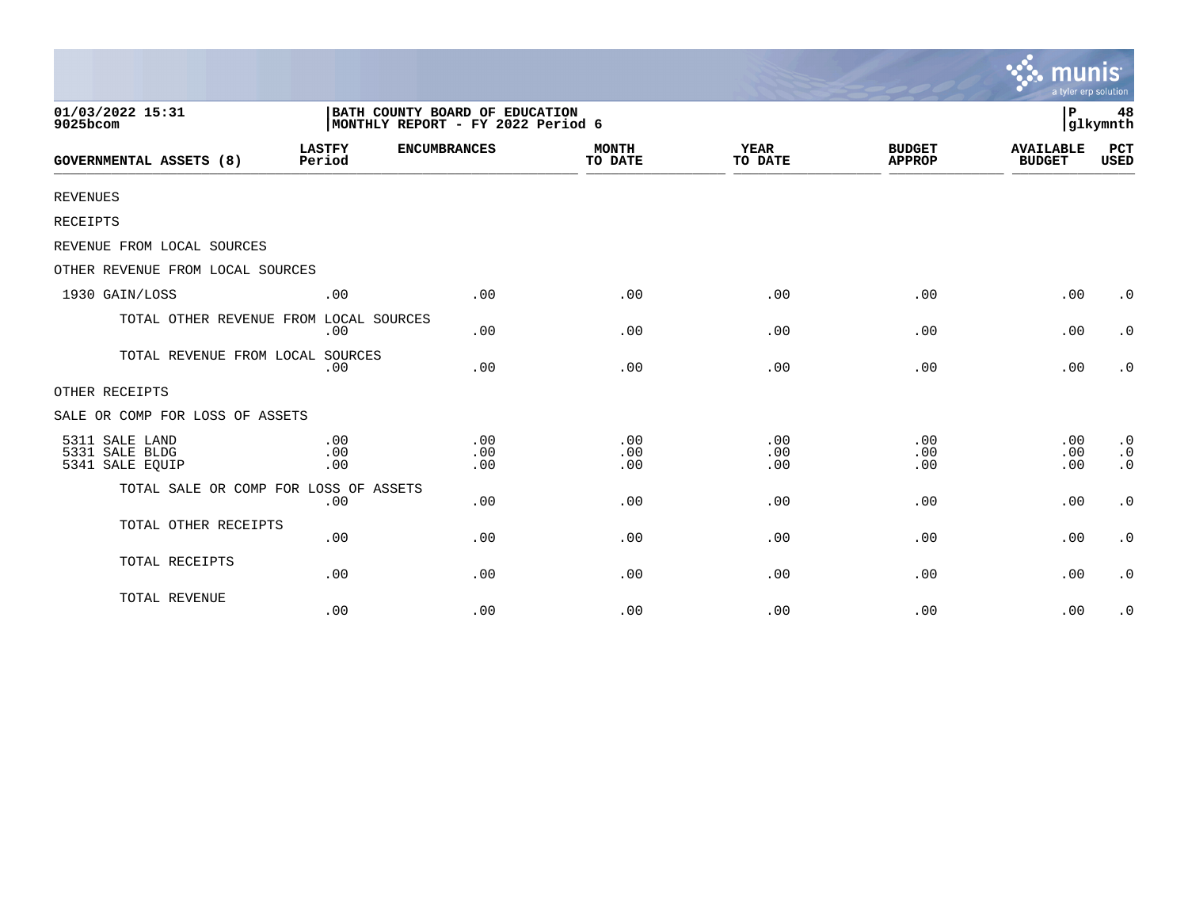|                                                     |                         |                                                                     |                         |                        |                                | munis<br>a tyler erp solution     |                                     |
|-----------------------------------------------------|-------------------------|---------------------------------------------------------------------|-------------------------|------------------------|--------------------------------|-----------------------------------|-------------------------------------|
| 01/03/2022 15:31<br>9025bcom                        |                         | BATH COUNTY BOARD OF EDUCATION<br>MONTHLY REPORT - FY 2022 Period 6 |                         |                        |                                | l P                               | 48<br>glkymnth                      |
| <b>GOVERNMENTAL ASSETS (8)</b>                      | <b>LASTFY</b><br>Period | <b>ENCUMBRANCES</b>                                                 | <b>MONTH</b><br>TO DATE | <b>YEAR</b><br>TO DATE | <b>BUDGET</b><br><b>APPROP</b> | <b>AVAILABLE</b><br><b>BUDGET</b> | <b>PCT</b><br><b>USED</b>           |
| <b>REVENUES</b>                                     |                         |                                                                     |                         |                        |                                |                                   |                                     |
| RECEIPTS                                            |                         |                                                                     |                         |                        |                                |                                   |                                     |
| REVENUE FROM LOCAL SOURCES                          |                         |                                                                     |                         |                        |                                |                                   |                                     |
| OTHER REVENUE FROM LOCAL SOURCES                    |                         |                                                                     |                         |                        |                                |                                   |                                     |
| 1930 GAIN/LOSS                                      | .00                     | .00                                                                 | .00                     | .00                    | .00                            | .00                               | $\cdot$ 0                           |
| TOTAL OTHER REVENUE FROM LOCAL SOURCES              | .00                     | .00                                                                 | .00                     | .00                    | .00                            | .00                               | $\cdot$ 0                           |
| TOTAL REVENUE FROM LOCAL SOURCES                    | .00                     | .00                                                                 | .00                     | .00                    | .00                            | .00                               | $\cdot$ 0                           |
| OTHER RECEIPTS                                      |                         |                                                                     |                         |                        |                                |                                   |                                     |
| SALE OR COMP FOR LOSS OF ASSETS                     |                         |                                                                     |                         |                        |                                |                                   |                                     |
| 5311 SALE LAND<br>5331 SALE BLDG<br>5341 SALE EQUIP | .00<br>.00<br>.00       | .00<br>.00<br>.00                                                   | .00<br>.00<br>.00       | .00<br>.00<br>.00      | .00<br>.00<br>.00              | .00<br>.00<br>.00                 | $\cdot$ 0<br>$\cdot$ 0<br>$\cdot$ 0 |
| TOTAL SALE OR COMP FOR LOSS OF ASSETS               | .00                     | .00                                                                 | .00                     | .00                    | .00                            | .00                               | $\cdot$ 0                           |
| TOTAL OTHER RECEIPTS                                | .00                     | .00                                                                 | .00                     | .00                    | .00                            | .00                               | $\cdot$ 0                           |
| TOTAL RECEIPTS                                      | .00                     | .00                                                                 | .00                     | .00                    | .00                            | .00                               | $\cdot$ 0                           |
| TOTAL REVENUE                                       | .00                     | .00                                                                 | .00                     | .00                    | .00                            | .00                               | $\cdot$ 0                           |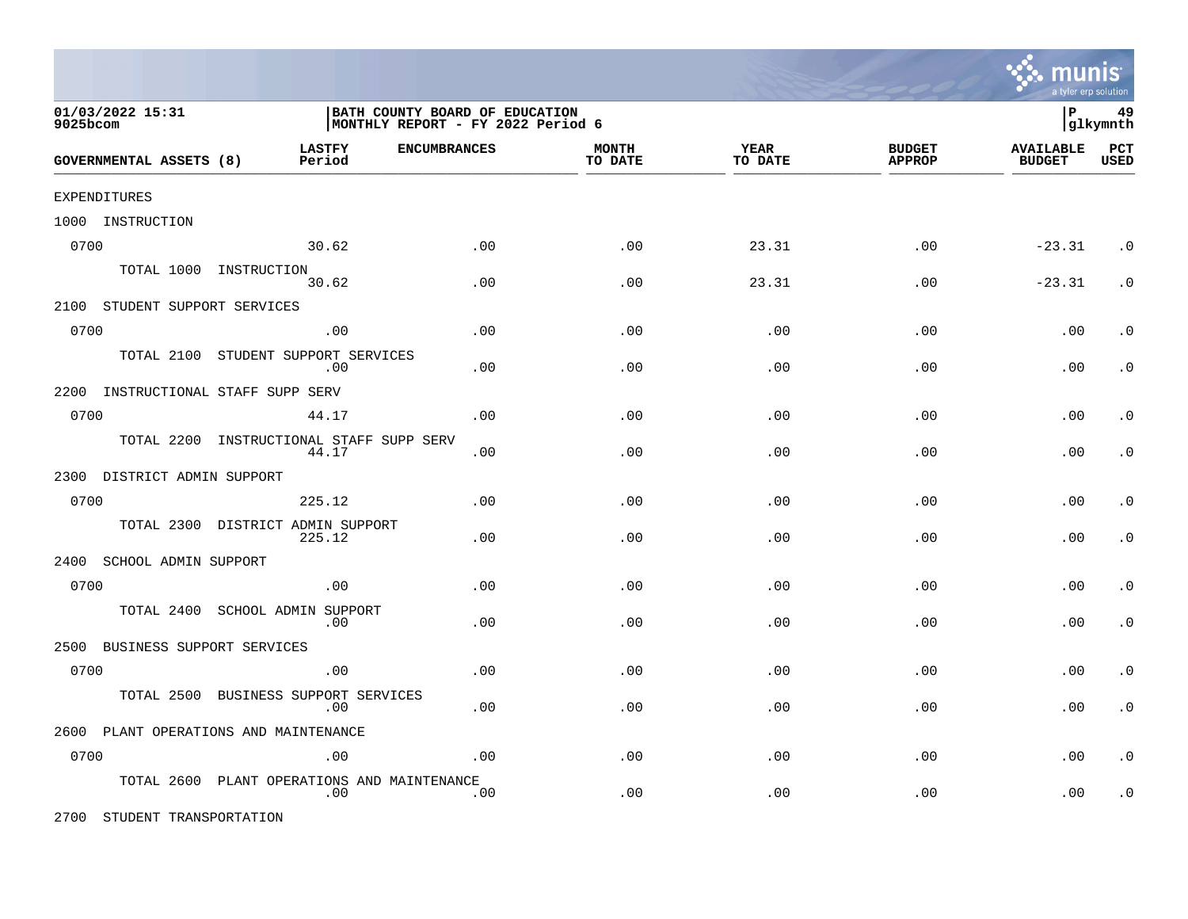

| 01/03/2022 15:31<br>9025bcom       |                                         | BATH COUNTY BOARD OF EDUCATION<br>MONTHLY REPORT - FY 2022 Period 6 |                         |                 |                                |                                   | 49<br> glkymnth    |
|------------------------------------|-----------------------------------------|---------------------------------------------------------------------|-------------------------|-----------------|--------------------------------|-----------------------------------|--------------------|
| GOVERNMENTAL ASSETS (8)            | <b>LASTFY</b><br>Period                 | <b>ENCUMBRANCES</b>                                                 | <b>MONTH</b><br>TO DATE | YEAR<br>TO DATE | <b>BUDGET</b><br><b>APPROP</b> | <b>AVAILABLE</b><br><b>BUDGET</b> | PCT<br><b>USED</b> |
| EXPENDITURES                       |                                         |                                                                     |                         |                 |                                |                                   |                    |
| 1000 INSTRUCTION                   |                                         |                                                                     |                         |                 |                                |                                   |                    |
| 0700                               | 30.62                                   | .00                                                                 | .00                     | 23.31           | .00                            | $-23.31$                          | $\cdot$ 0          |
|                                    | TOTAL 1000 INSTRUCTION<br>30.62         | .00                                                                 | .00                     | 23.31           | .00                            | $-23.31$                          | $\cdot$ 0          |
| 2100 STUDENT SUPPORT SERVICES      |                                         |                                                                     |                         |                 |                                |                                   |                    |
| 0700                               | .00                                     | .00                                                                 | .00                     | .00             | .00                            | .00                               | $\cdot$ 0          |
| TOTAL 2100                         | STUDENT SUPPORT SERVICES<br>.00         | .00                                                                 | .00                     | .00             | .00                            | .00                               | $\cdot$ 0          |
| 2200 INSTRUCTIONAL STAFF SUPP SERV |                                         |                                                                     |                         |                 |                                |                                   |                    |
| 0700                               | 44.17                                   | .00                                                                 | .00                     | .00             | .00                            | .00                               | $\cdot$ 0          |
| TOTAL 2200                         | INSTRUCTIONAL STAFF SUPP SERV<br>44.17  | .00                                                                 | .00                     | .00             | .00                            | .00                               | $\cdot$ 0          |
| 2300 DISTRICT ADMIN SUPPORT        |                                         |                                                                     |                         |                 |                                |                                   |                    |
| 0700                               | 225.12                                  | .00                                                                 | .00                     | .00             | .00                            | .00                               | $\cdot$ 0          |
| TOTAL 2300                         | DISTRICT ADMIN SUPPORT<br>225.12        | .00                                                                 | .00                     | .00             | .00                            | .00                               | . $\boldsymbol{0}$ |
| 2400 SCHOOL ADMIN SUPPORT          |                                         |                                                                     |                         |                 |                                |                                   |                    |
| 0700                               | .00                                     | .00                                                                 | .00                     | .00             | .00                            | .00                               | $\cdot$ 0          |
| TOTAL 2400                         | SCHOOL ADMIN SUPPORT<br>.00             | .00                                                                 | .00                     | .00             | .00                            | .00                               | $\cdot$ 0          |
| 2500<br>BUSINESS SUPPORT SERVICES  |                                         |                                                                     |                         |                 |                                |                                   |                    |
| 0700                               | .00                                     | .00                                                                 | .00                     | .00             | .00                            | .00                               | $\cdot$ 0          |
| TOTAL 2500                         | BUSINESS SUPPORT SERVICES<br>.00        | .00                                                                 | .00                     | .00             | .00                            | .00                               | $\cdot$ 0          |
|                                    | 2600 PLANT OPERATIONS AND MAINTENANCE   |                                                                     |                         |                 |                                |                                   |                    |
| 0700                               | .00                                     | .00                                                                 | .00                     | .00             | .00                            | .00                               | . $\boldsymbol{0}$ |
| TOTAL 2600                         | PLANT OPERATIONS AND MAINTENANCE<br>.00 | .00                                                                 | .00                     | .00             | .00                            | .00                               | . $\boldsymbol{0}$ |

2700 STUDENT TRANSPORTATION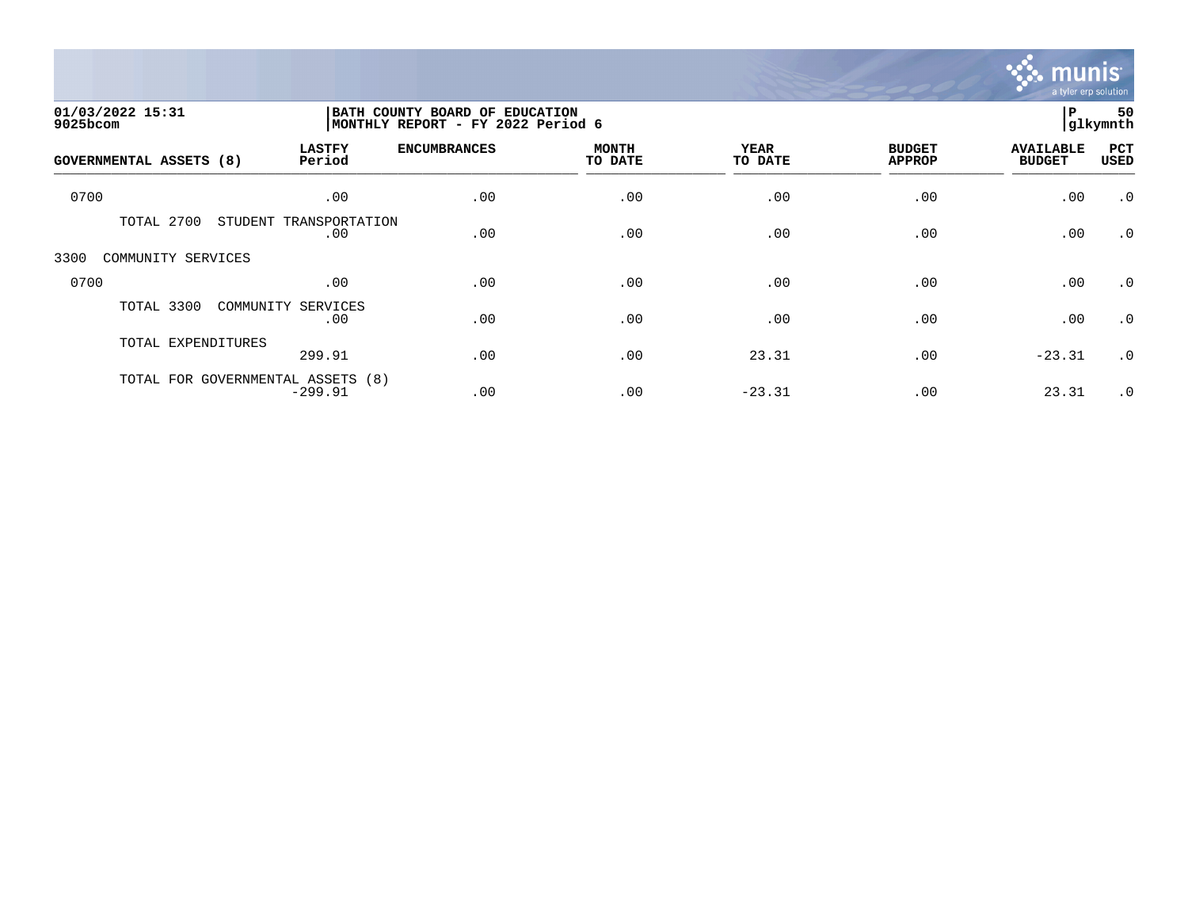

| 01/03/2022 15:31<br>9025bcom   |                                                | BATH COUNTY BOARD OF EDUCATION<br>MONTHLY REPORT - FY 2022 Period 6 |                         |                        |                                |                                   | 50<br>glkymnth |
|--------------------------------|------------------------------------------------|---------------------------------------------------------------------|-------------------------|------------------------|--------------------------------|-----------------------------------|----------------|
| <b>GOVERNMENTAL ASSETS (8)</b> | <b>LASTFY</b><br>Period                        | <b>ENCUMBRANCES</b>                                                 | <b>MONTH</b><br>TO DATE | <b>YEAR</b><br>TO DATE | <b>BUDGET</b><br><b>APPROP</b> | <b>AVAILABLE</b><br><b>BUDGET</b> | PCT<br>USED    |
| 0700                           | .00                                            | .00                                                                 | .00                     | .00                    | .00                            | .00                               | $\cdot$ 0      |
| TOTAL 2700                     | STUDENT<br>TRANSPORTATION<br>.00               | .00                                                                 | .00                     | .00                    | .00                            | .00                               | $\cdot$ 0      |
| 3300<br>COMMUNITY SERVICES     |                                                |                                                                     |                         |                        |                                |                                   |                |
| 0700                           | .00                                            | .00                                                                 | .00                     | .00                    | .00                            | .00                               | $\cdot$ 0      |
| TOTAL 3300                     | COMMUNITY SERVICES<br>.00                      | .00                                                                 | .00                     | .00                    | .00                            | .00                               | $\cdot$ 0      |
| TOTAL EXPENDITURES             | 299.91                                         | .00                                                                 | .00                     | 23.31                  | .00                            | $-23.31$                          | $\cdot$ 0      |
|                                | TOTAL FOR GOVERNMENTAL ASSETS (8)<br>$-299.91$ | .00                                                                 | .00                     | $-23.31$               | .00                            | 23.31                             | $\cdot$ 0      |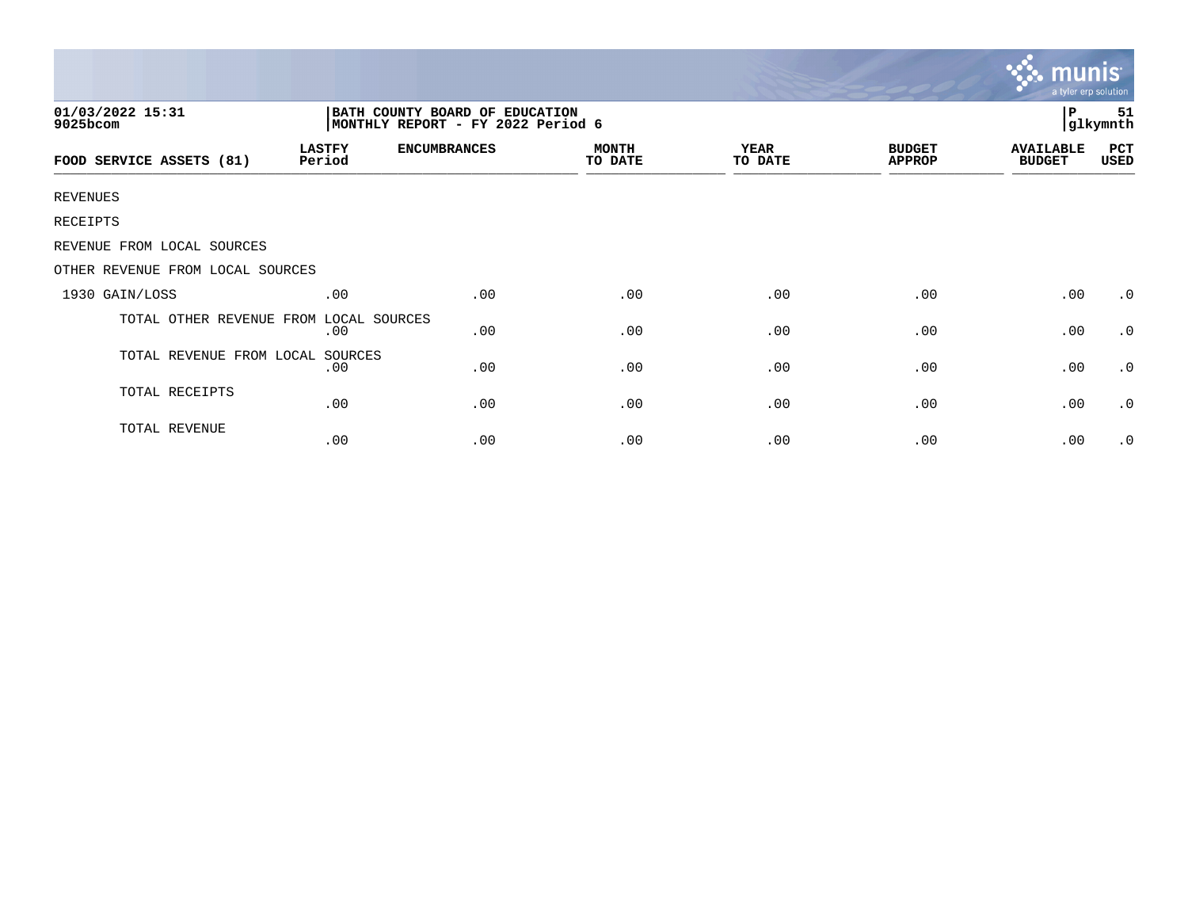|                                  |                         |                                                                     |                         |                 |                                | mun<br>a tyler erp solution       |                |
|----------------------------------|-------------------------|---------------------------------------------------------------------|-------------------------|-----------------|--------------------------------|-----------------------------------|----------------|
| 01/03/2022 15:31<br>9025bcom     |                         | BATH COUNTY BOARD OF EDUCATION<br>MONTHLY REPORT - FY 2022 Period 6 |                         |                 |                                | P                                 | 51<br>glkymnth |
| FOOD SERVICE ASSETS (81)         | <b>LASTFY</b><br>Period | <b>ENCUMBRANCES</b>                                                 | <b>MONTH</b><br>TO DATE | YEAR<br>TO DATE | <b>BUDGET</b><br><b>APPROP</b> | <b>AVAILABLE</b><br><b>BUDGET</b> | PCT<br>USED    |
| <b>REVENUES</b>                  |                         |                                                                     |                         |                 |                                |                                   |                |
| RECEIPTS                         |                         |                                                                     |                         |                 |                                |                                   |                |
| REVENUE FROM LOCAL SOURCES       |                         |                                                                     |                         |                 |                                |                                   |                |
| OTHER REVENUE FROM LOCAL SOURCES |                         |                                                                     |                         |                 |                                |                                   |                |
| 1930 GAIN/LOSS                   | .00                     | .00                                                                 | .00                     | .00             | .00                            | .00                               | $\cdot$ 0      |
| TOTAL OTHER REVENUE FROM         | LOCAL SOURCES<br>.00    | .00                                                                 | .00                     | .00             | .00                            | .00                               | $\cdot$ 0      |
| TOTAL REVENUE FROM LOCAL         | SOURCES<br>.00          | .00                                                                 | .00                     | .00             | .00                            | .00                               | $\cdot$ 0      |
| TOTAL RECEIPTS                   | .00                     | .00                                                                 | .00                     | .00             | .00                            | .00                               | $\cdot$ 0      |
| <b>TOTAL REVENUE</b>             | .00                     | .00                                                                 | .00                     | .00             | .00                            | .00                               | $\cdot$ 0      |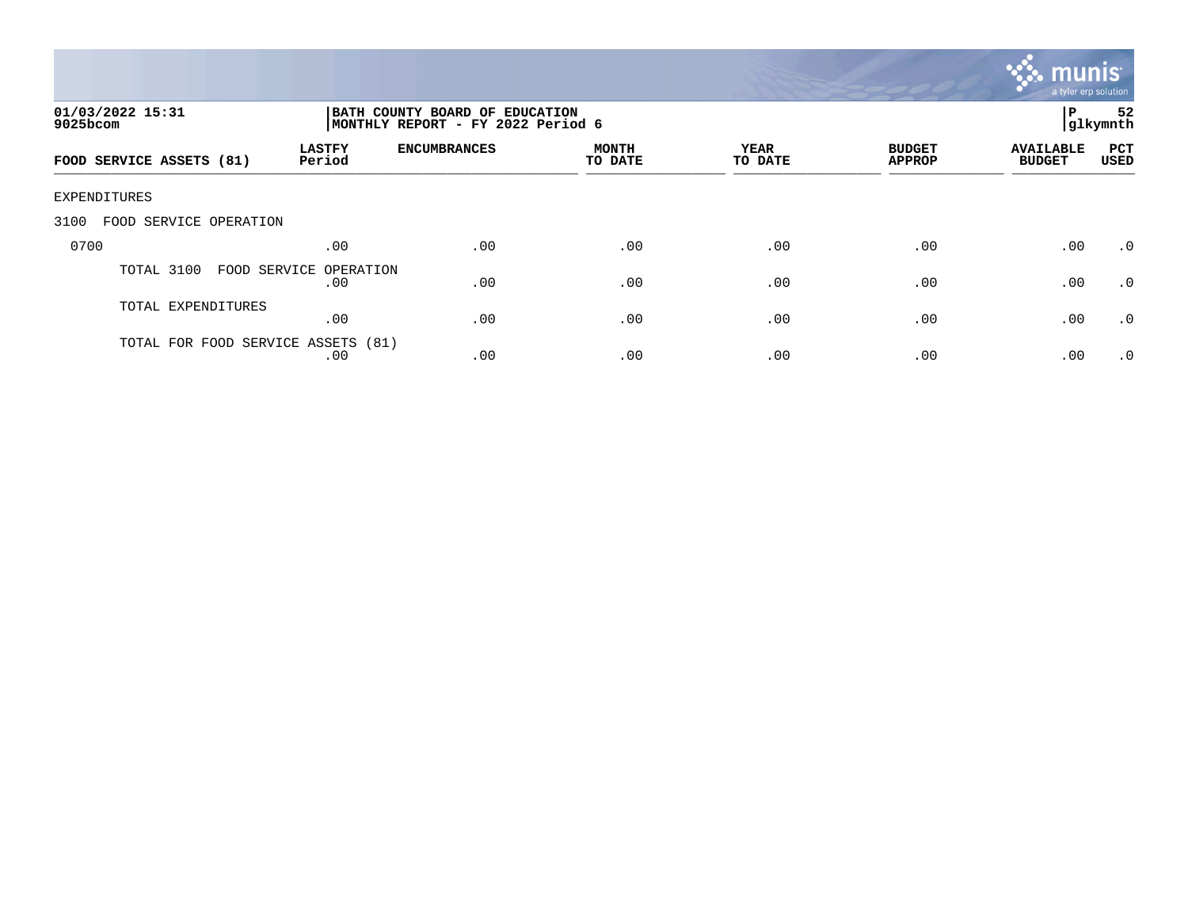

| 01/03/2022 15:31<br>$9025$ bcom    | BATH COUNTY BOARD OF EDUCATION<br>P<br> glkymnth<br>MONTHLY REPORT - FY 2022 Period 6 |                     |                         |                 |                                |                                   |                    |
|------------------------------------|---------------------------------------------------------------------------------------|---------------------|-------------------------|-----------------|--------------------------------|-----------------------------------|--------------------|
| FOOD SERVICE ASSETS (81)           | <b>LASTFY</b><br>Period                                                               | <b>ENCUMBRANCES</b> | <b>MONTH</b><br>TO DATE | YEAR<br>TO DATE | <b>BUDGET</b><br><b>APPROP</b> | <b>AVAILABLE</b><br><b>BUDGET</b> | PCT<br><b>USED</b> |
| EXPENDITURES                       |                                                                                       |                     |                         |                 |                                |                                   |                    |
| 3100<br>FOOD SERVICE OPERATION     |                                                                                       |                     |                         |                 |                                |                                   |                    |
| 0700                               | .00                                                                                   | .00                 | .00                     | .00             | .00                            | .00                               | $.0 \cdot$         |
| TOTAL 3100                         | FOOD SERVICE OPERATION<br>.00                                                         | .00                 | .00                     | .00             | .00                            | .00                               | $\cdot$ 0          |
| TOTAL EXPENDITURES                 | .00                                                                                   | .00                 | .00                     | .00             | .00                            | .00                               | $\cdot$ 0          |
| TOTAL FOR FOOD SERVICE ASSETS (81) | .00                                                                                   | .00                 | .00                     | .00             | .00                            | .00                               | $.0 \cdot$         |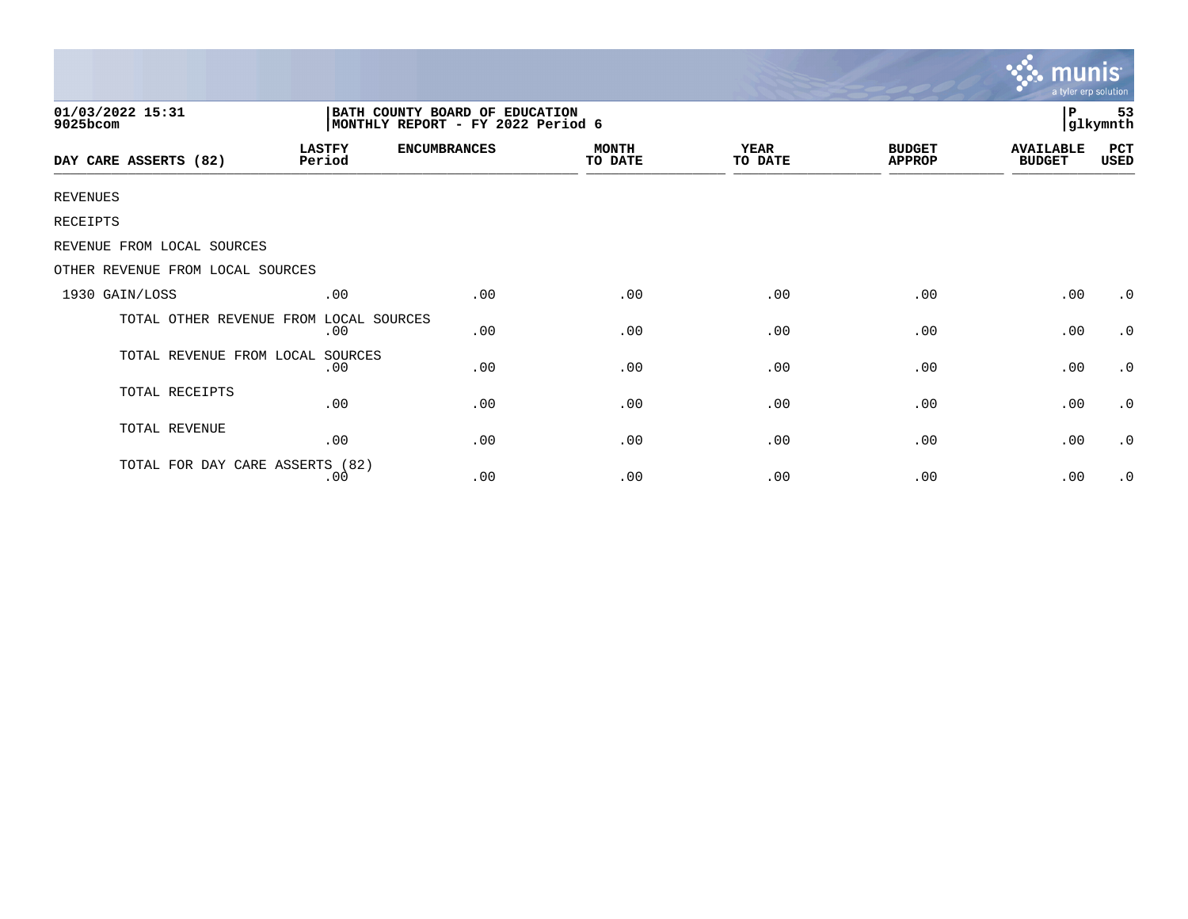|                                  |                         |                                                                      |                         |                 |                                | <b>munis</b><br>a tyler erp solution |                |
|----------------------------------|-------------------------|----------------------------------------------------------------------|-------------------------|-----------------|--------------------------------|--------------------------------------|----------------|
| 01/03/2022 15:31<br>9025bcom     |                         | BATH COUNTY BOARD OF EDUCATION<br> MONTHLY REPORT - FY 2022 Period 6 |                         |                 |                                | P                                    | 53<br>glkymnth |
| DAY CARE ASSERTS (82)            | <b>LASTFY</b><br>Period | <b>ENCUMBRANCES</b>                                                  | <b>MONTH</b><br>TO DATE | YEAR<br>TO DATE | <b>BUDGET</b><br><b>APPROP</b> | <b>AVAILABLE</b><br><b>BUDGET</b>    | PCT<br>USED    |
| <b>REVENUES</b>                  |                         |                                                                      |                         |                 |                                |                                      |                |
| RECEIPTS                         |                         |                                                                      |                         |                 |                                |                                      |                |
| REVENUE FROM LOCAL SOURCES       |                         |                                                                      |                         |                 |                                |                                      |                |
| OTHER REVENUE FROM LOCAL SOURCES |                         |                                                                      |                         |                 |                                |                                      |                |
| 1930 GAIN/LOSS                   | .00                     | .00                                                                  | .00                     | .00             | .00                            | .00                                  | $\cdot$ 0      |
| TOTAL OTHER REVENUE FROM         | LOCAL SOURCES<br>.00    | .00                                                                  | .00                     | .00             | .00                            | .00                                  | $\cdot$ 0      |
| TOTAL REVENUE FROM LOCAL         | SOURCES<br>.00          | .00                                                                  | .00                     | .00             | .00                            | .00                                  | $\cdot$ 0      |
| TOTAL RECEIPTS                   | .00                     | .00                                                                  | .00                     | .00             | .00                            | .00                                  | $\cdot$ 0      |
| TOTAL REVENUE                    | .00                     | .00                                                                  | .00                     | .00             | .00                            | .00                                  | $\cdot$ 0      |
| TOTAL FOR DAY CARE ASSERTS (82)  | .00                     | .00                                                                  | .00                     | .00             | .00                            | .00                                  | $\cdot$ 0      |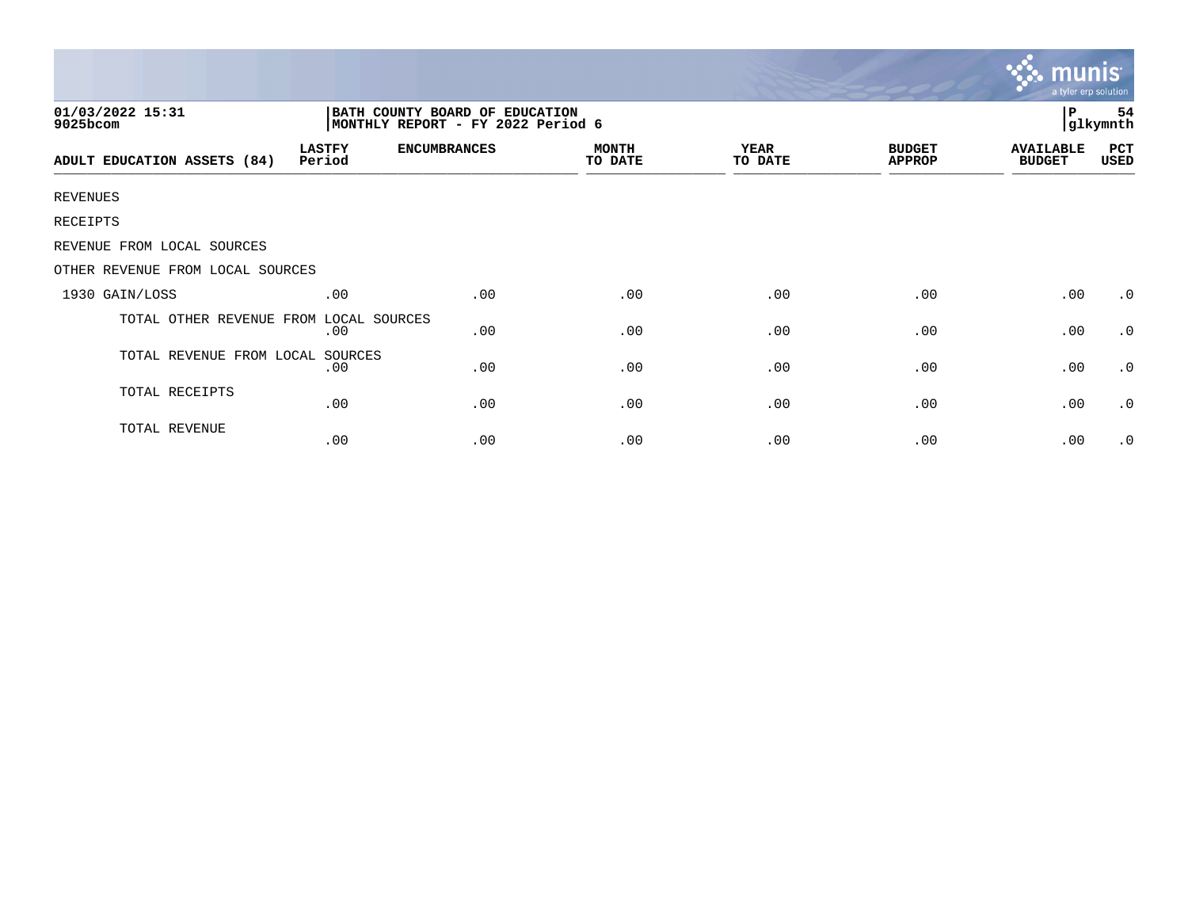|                                  |                                                                     |                     |                         |                        |                                | munis<br>a tyler erp solution     |                |
|----------------------------------|---------------------------------------------------------------------|---------------------|-------------------------|------------------------|--------------------------------|-----------------------------------|----------------|
| 01/03/2022 15:31<br>9025bcom     | BATH COUNTY BOARD OF EDUCATION<br>MONTHLY REPORT - FY 2022 Period 6 |                     |                         |                        |                                | P                                 | 54<br>glkymnth |
| ADULT EDUCATION ASSETS (84)      | <b>LASTFY</b><br>Period                                             | <b>ENCUMBRANCES</b> | <b>MONTH</b><br>TO DATE | <b>YEAR</b><br>TO DATE | <b>BUDGET</b><br><b>APPROP</b> | <b>AVAILABLE</b><br><b>BUDGET</b> | PCT<br>USED    |
| <b>REVENUES</b>                  |                                                                     |                     |                         |                        |                                |                                   |                |
| RECEIPTS                         |                                                                     |                     |                         |                        |                                |                                   |                |
| REVENUE FROM LOCAL SOURCES       |                                                                     |                     |                         |                        |                                |                                   |                |
| OTHER REVENUE FROM LOCAL SOURCES |                                                                     |                     |                         |                        |                                |                                   |                |
| 1930 GAIN/LOSS                   | .00                                                                 | .00                 | .00                     | .00                    | .00                            | .00                               | $\cdot$ 0      |
| TOTAL OTHER REVENUE FROM         | LOCAL SOURCES<br>.00                                                | .00                 | .00                     | .00                    | .00                            | .00                               | $\cdot$ 0      |
| TOTAL REVENUE FROM LOCAL SOURCES | .00                                                                 | .00                 | .00                     | .00                    | .00                            | .00                               | $\cdot$ 0      |
| TOTAL RECEIPTS                   | .00                                                                 | .00                 | .00                     | .00                    | .00                            | .00                               | $\cdot$ 0      |
| TOTAL REVENUE                    | .00                                                                 | .00                 | .00                     | .00                    | .00                            | .00                               | $\cdot$ 0      |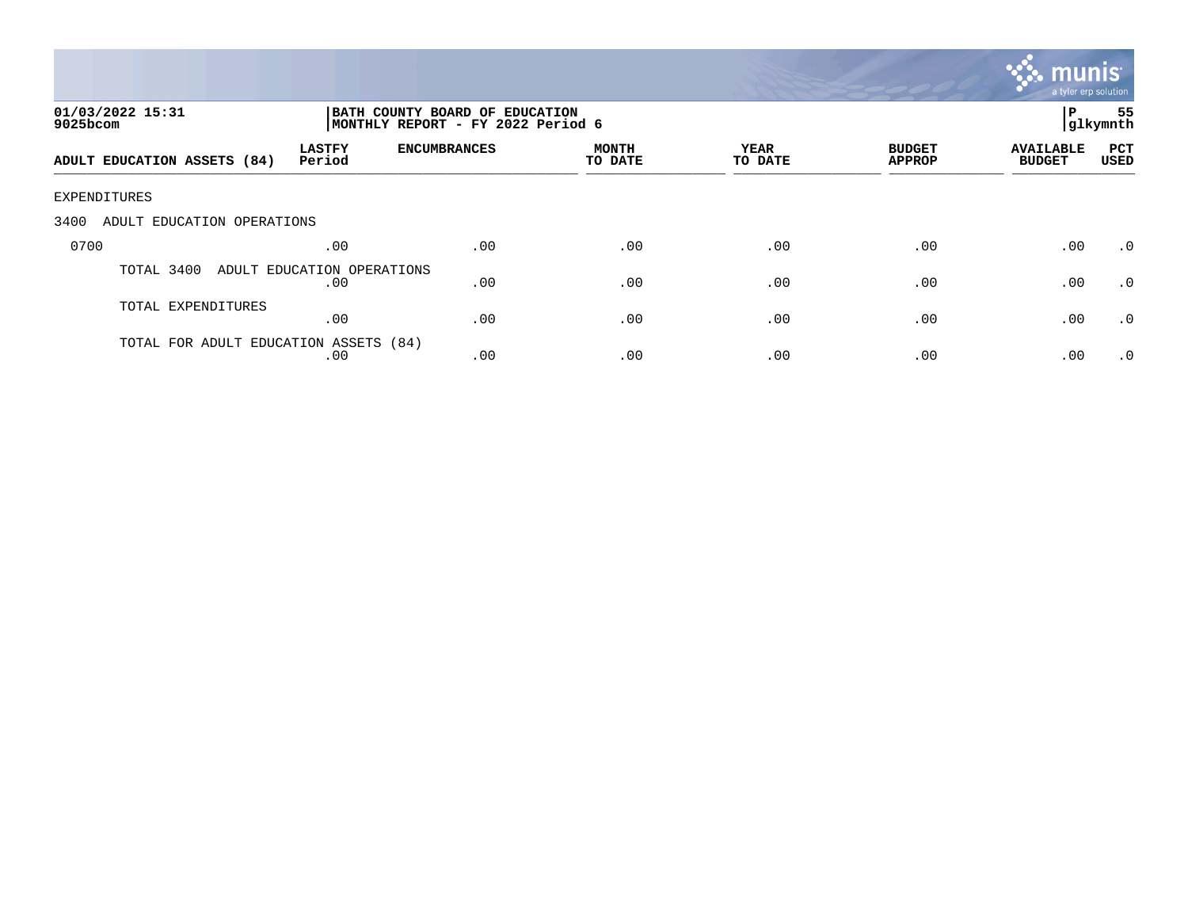

| 01/03/2022 15:31<br>$9025$ bcom       |                                   |                     | BATH COUNTY BOARD OF EDUCATION<br>MONTHLY REPORT - FY 2022 Period 6 |                 |                                |                                   |                    |
|---------------------------------------|-----------------------------------|---------------------|---------------------------------------------------------------------|-----------------|--------------------------------|-----------------------------------|--------------------|
| ADULT EDUCATION ASSETS (84)           | <b>LASTFY</b><br>Period           | <b>ENCUMBRANCES</b> | MONTH<br>TO DATE                                                    | YEAR<br>TO DATE | <b>BUDGET</b><br><b>APPROP</b> | <b>AVAILABLE</b><br><b>BUDGET</b> | PCT<br><b>USED</b> |
| EXPENDITURES                          |                                   |                     |                                                                     |                 |                                |                                   |                    |
| 3400<br>ADULT EDUCATION OPERATIONS    |                                   |                     |                                                                     |                 |                                |                                   |                    |
| 0700                                  | .00                               | .00                 | .00                                                                 | .00             | .00                            | .00                               | $\cdot$ 0          |
| TOTAL 3400                            | ADULT EDUCATION OPERATIONS<br>.00 | .00                 | .00                                                                 | .00             | .00                            | .00                               | $\cdot$ 0          |
| TOTAL EXPENDITURES                    | .00                               | .00                 | .00                                                                 | .00             | .00                            | .00                               | .0                 |
| TOTAL FOR ADULT EDUCATION ASSETS (84) | .00                               | .00                 | .00                                                                 | .00             | .00                            | .00                               | $\cdot$ 0          |